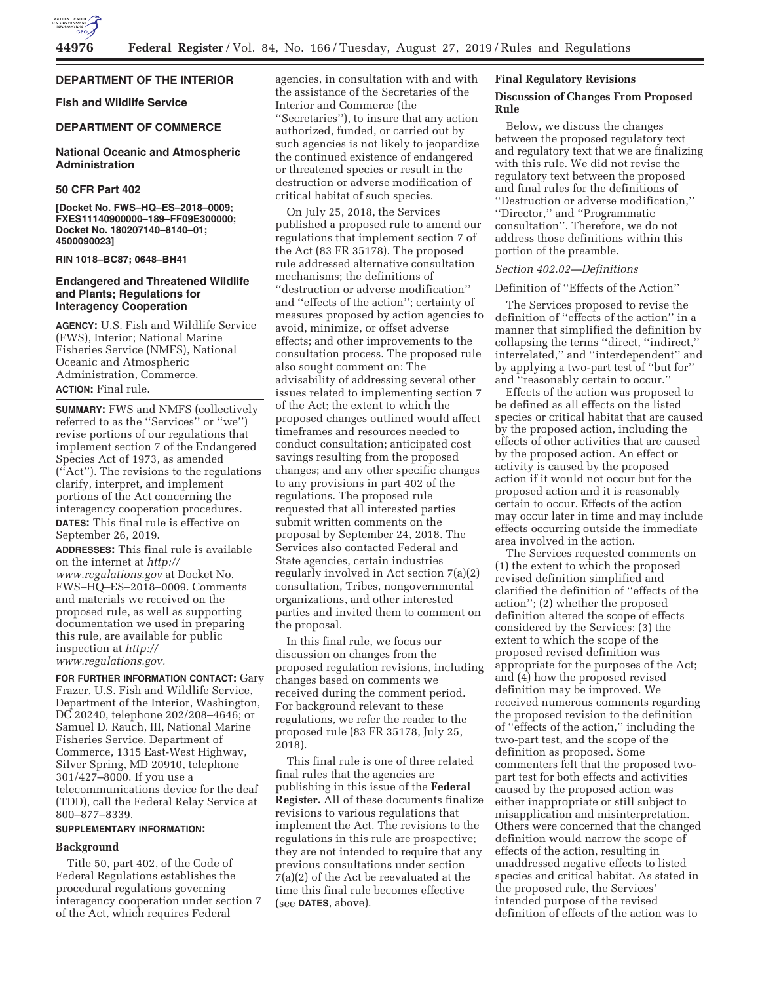

## **DEPARTMENT OF THE INTERIOR**

**Fish and Wildlife Service** 

## **DEPARTMENT OF COMMERCE**

### **National Oceanic and Atmospheric Administration**

## **50 CFR Part 402**

**[Docket No. FWS–HQ–ES–2018–0009; FXES11140900000–189–FF09E300000; Docket No. 180207140–8140–01; 4500090023]** 

## **RIN 1018–BC87; 0648–BH41**

## **Endangered and Threatened Wildlife and Plants; Regulations for Interagency Cooperation**

**AGENCY:** U.S. Fish and Wildlife Service (FWS), Interior; National Marine Fisheries Service (NMFS), National Oceanic and Atmospheric Administration, Commerce. **ACTION:** Final rule.

**SUMMARY:** FWS and NMFS (collectively referred to as the ''Services'' or ''we'') revise portions of our regulations that implement section 7 of the Endangered Species Act of 1973, as amended (''Act''). The revisions to the regulations clarify, interpret, and implement portions of the Act concerning the interagency cooperation procedures. **DATES:** This final rule is effective on September 26, 2019.

**ADDRESSES:** This final rule is available on the internet at *http:// www.regulations.gov* at Docket No. FWS–HQ–ES–2018–0009. Comments and materials we received on the proposed rule, as well as supporting documentation we used in preparing this rule, are available for public inspection at *http:// www.regulations.gov.* 

**FOR FURTHER INFORMATION CONTACT:** Gary Frazer, U.S. Fish and Wildlife Service, Department of the Interior, Washington, DC 20240, telephone 202/208–4646; or Samuel D. Rauch, III, National Marine Fisheries Service, Department of Commerce, 1315 East-West Highway, Silver Spring, MD 20910, telephone 301/427–8000. If you use a telecommunications device for the deaf (TDD), call the Federal Relay Service at 800–877–8339.

## **SUPPLEMENTARY INFORMATION:**

### **Background**

Title 50, part 402, of the Code of Federal Regulations establishes the procedural regulations governing interagency cooperation under section 7 of the Act, which requires Federal

agencies, in consultation with and with the assistance of the Secretaries of the Interior and Commerce (the ''Secretaries''), to insure that any action authorized, funded, or carried out by such agencies is not likely to jeopardize the continued existence of endangered or threatened species or result in the destruction or adverse modification of critical habitat of such species.

On July 25, 2018, the Services published a proposed rule to amend our regulations that implement section 7 of the Act (83 FR 35178). The proposed rule addressed alternative consultation mechanisms; the definitions of ''destruction or adverse modification'' and ''effects of the action''; certainty of measures proposed by action agencies to avoid, minimize, or offset adverse effects; and other improvements to the consultation process. The proposed rule also sought comment on: The advisability of addressing several other issues related to implementing section 7 of the Act; the extent to which the proposed changes outlined would affect timeframes and resources needed to conduct consultation; anticipated cost savings resulting from the proposed changes; and any other specific changes to any provisions in part 402 of the regulations. The proposed rule requested that all interested parties submit written comments on the proposal by September 24, 2018. The Services also contacted Federal and State agencies, certain industries regularly involved in Act section 7(a)(2) consultation, Tribes, nongovernmental organizations, and other interested parties and invited them to comment on the proposal.

In this final rule, we focus our discussion on changes from the proposed regulation revisions, including changes based on comments we received during the comment period. For background relevant to these regulations, we refer the reader to the proposed rule (83 FR 35178, July 25, 2018).

This final rule is one of three related final rules that the agencies are publishing in this issue of the **Federal Register.** All of these documents finalize revisions to various regulations that implement the Act. The revisions to the regulations in this rule are prospective; they are not intended to require that any previous consultations under section 7(a)(2) of the Act be reevaluated at the time this final rule becomes effective (see **DATES**, above).

## **Final Regulatory Revisions**

### **Discussion of Changes From Proposed Rule**

Below, we discuss the changes between the proposed regulatory text and regulatory text that we are finalizing with this rule. We did not revise the regulatory text between the proposed and final rules for the definitions of ''Destruction or adverse modification,'' ''Director,'' and ''Programmatic consultation''. Therefore, we do not address those definitions within this portion of the preamble.

## *Section 402.02—Definitions*

## Definition of ''Effects of the Action''

The Services proposed to revise the definition of ''effects of the action'' in a manner that simplified the definition by collapsing the terms ''direct, ''indirect,'' interrelated,'' and ''interdependent'' and by applying a two-part test of ''but for'' and ''reasonably certain to occur.''

Effects of the action was proposed to be defined as all effects on the listed species or critical habitat that are caused by the proposed action, including the effects of other activities that are caused by the proposed action. An effect or activity is caused by the proposed action if it would not occur but for the proposed action and it is reasonably certain to occur. Effects of the action may occur later in time and may include effects occurring outside the immediate area involved in the action.

The Services requested comments on (1) the extent to which the proposed revised definition simplified and clarified the definition of ''effects of the action''; (2) whether the proposed definition altered the scope of effects considered by the Services; (3) the extent to which the scope of the proposed revised definition was appropriate for the purposes of the Act; and (4) how the proposed revised definition may be improved. We received numerous comments regarding the proposed revision to the definition of ''effects of the action,'' including the two-part test, and the scope of the definition as proposed. Some commenters felt that the proposed twopart test for both effects and activities caused by the proposed action was either inappropriate or still subject to misapplication and misinterpretation. Others were concerned that the changed definition would narrow the scope of effects of the action, resulting in unaddressed negative effects to listed species and critical habitat. As stated in the proposed rule, the Services' intended purpose of the revised definition of effects of the action was to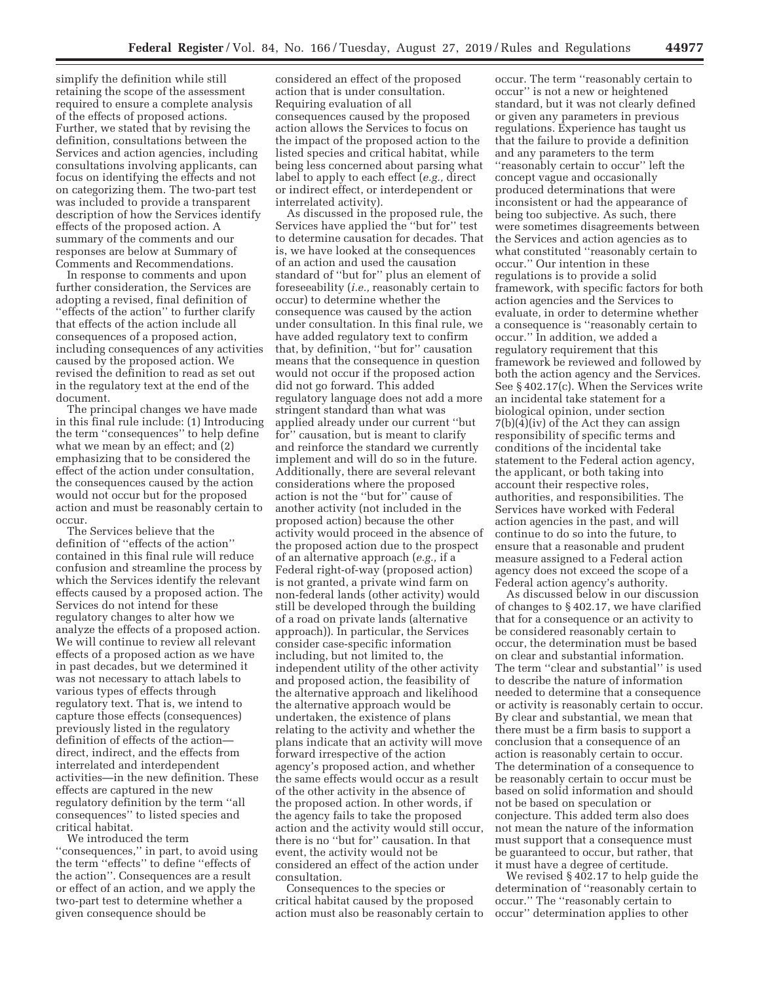simplify the definition while still retaining the scope of the assessment required to ensure a complete analysis of the effects of proposed actions. Further, we stated that by revising the definition, consultations between the Services and action agencies, including consultations involving applicants, can focus on identifying the effects and not on categorizing them. The two-part test was included to provide a transparent description of how the Services identify effects of the proposed action. A summary of the comments and our responses are below at Summary of Comments and Recommendations.

In response to comments and upon further consideration, the Services are adopting a revised, final definition of ''effects of the action'' to further clarify that effects of the action include all consequences of a proposed action, including consequences of any activities caused by the proposed action. We revised the definition to read as set out in the regulatory text at the end of the document.

The principal changes we have made in this final rule include: (1) Introducing the term ''consequences'' to help define what we mean by an effect; and (2) emphasizing that to be considered the effect of the action under consultation, the consequences caused by the action would not occur but for the proposed action and must be reasonably certain to occur.

The Services believe that the definition of ''effects of the action'' contained in this final rule will reduce confusion and streamline the process by which the Services identify the relevant effects caused by a proposed action. The Services do not intend for these regulatory changes to alter how we analyze the effects of a proposed action. We will continue to review all relevant effects of a proposed action as we have in past decades, but we determined it was not necessary to attach labels to various types of effects through regulatory text. That is, we intend to capture those effects (consequences) previously listed in the regulatory definition of effects of the action direct, indirect, and the effects from interrelated and interdependent activities—in the new definition. These effects are captured in the new regulatory definition by the term ''all consequences'' to listed species and critical habitat.

We introduced the term ''consequences,'' in part, to avoid using the term ''effects'' to define ''effects of the action''. Consequences are a result or effect of an action, and we apply the two-part test to determine whether a given consequence should be

considered an effect of the proposed action that is under consultation. Requiring evaluation of all consequences caused by the proposed action allows the Services to focus on the impact of the proposed action to the listed species and critical habitat, while being less concerned about parsing what label to apply to each effect (*e.g.,* direct or indirect effect, or interdependent or interrelated activity).

As discussed in the proposed rule, the Services have applied the ''but for'' test to determine causation for decades. That is, we have looked at the consequences of an action and used the causation standard of ''but for'' plus an element of foreseeability (*i.e.,* reasonably certain to occur) to determine whether the consequence was caused by the action under consultation. In this final rule, we have added regulatory text to confirm that, by definition, ''but for'' causation means that the consequence in question would not occur if the proposed action did not go forward. This added regulatory language does not add a more stringent standard than what was applied already under our current ''but for'' causation, but is meant to clarify and reinforce the standard we currently implement and will do so in the future. Additionally, there are several relevant considerations where the proposed action is not the ''but for'' cause of another activity (not included in the proposed action) because the other activity would proceed in the absence of the proposed action due to the prospect of an alternative approach (*e.g.,* if a Federal right-of-way (proposed action) is not granted, a private wind farm on non-federal lands (other activity) would still be developed through the building of a road on private lands (alternative approach)). In particular, the Services consider case-specific information including, but not limited to, the independent utility of the other activity and proposed action, the feasibility of the alternative approach and likelihood the alternative approach would be undertaken, the existence of plans relating to the activity and whether the plans indicate that an activity will move forward irrespective of the action agency's proposed action, and whether the same effects would occur as a result of the other activity in the absence of the proposed action. In other words, if the agency fails to take the proposed action and the activity would still occur, there is no ''but for'' causation. In that event, the activity would not be considered an effect of the action under consultation.

Consequences to the species or critical habitat caused by the proposed action must also be reasonably certain to

occur. The term ''reasonably certain to occur'' is not a new or heightened standard, but it was not clearly defined or given any parameters in previous regulations. Experience has taught us that the failure to provide a definition and any parameters to the term ''reasonably certain to occur'' left the concept vague and occasionally produced determinations that were inconsistent or had the appearance of being too subjective. As such, there were sometimes disagreements between the Services and action agencies as to what constituted ''reasonably certain to occur.'' Our intention in these regulations is to provide a solid framework, with specific factors for both action agencies and the Services to evaluate, in order to determine whether a consequence is ''reasonably certain to occur.'' In addition, we added a regulatory requirement that this framework be reviewed and followed by both the action agency and the Services. See § 402.17(c). When the Services write an incidental take statement for a biological opinion, under section 7(b)(4)(iv) of the Act they can assign responsibility of specific terms and conditions of the incidental take statement to the Federal action agency, the applicant, or both taking into account their respective roles, authorities, and responsibilities. The Services have worked with Federal action agencies in the past, and will continue to do so into the future, to ensure that a reasonable and prudent measure assigned to a Federal action agency does not exceed the scope of a Federal action agency's authority.

As discussed below in our discussion of changes to § 402.17, we have clarified that for a consequence or an activity to be considered reasonably certain to occur, the determination must be based on clear and substantial information. The term ''clear and substantial'' is used to describe the nature of information needed to determine that a consequence or activity is reasonably certain to occur. By clear and substantial, we mean that there must be a firm basis to support a conclusion that a consequence of an action is reasonably certain to occur. The determination of a consequence to be reasonably certain to occur must be based on solid information and should not be based on speculation or conjecture. This added term also does not mean the nature of the information must support that a consequence must be guaranteed to occur, but rather, that it must have a degree of certitude.

We revised § 402.17 to help guide the determination of ''reasonably certain to occur.'' The ''reasonably certain to occur'' determination applies to other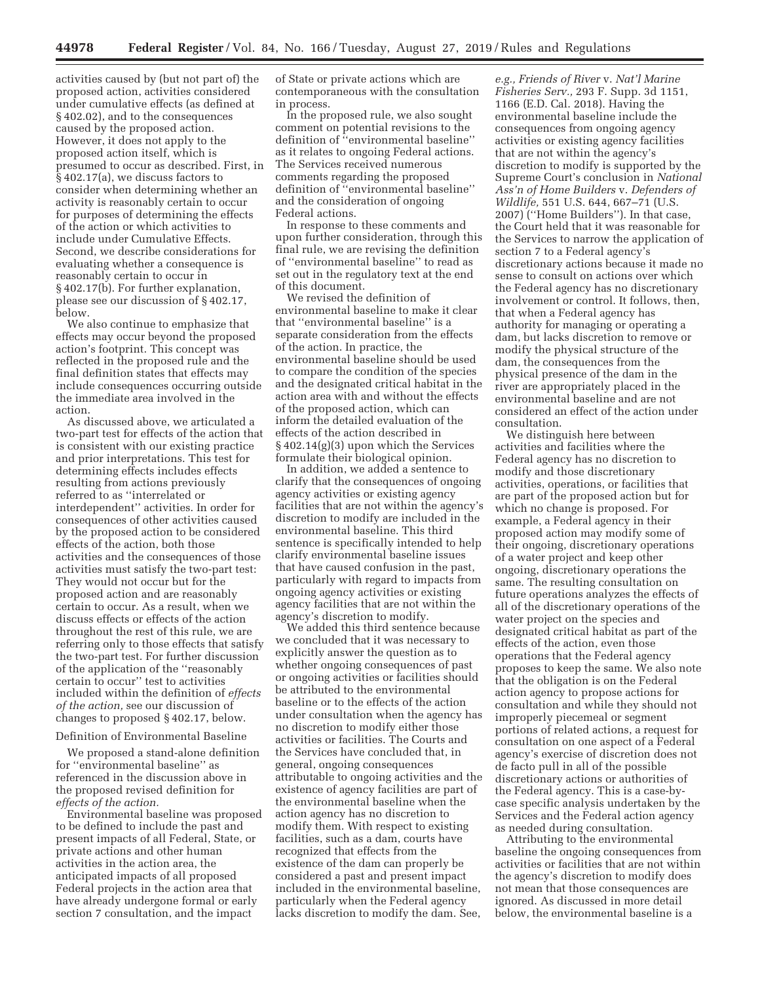activities caused by (but not part of) the proposed action, activities considered under cumulative effects (as defined at § 402.02), and to the consequences caused by the proposed action. However, it does not apply to the proposed action itself, which is presumed to occur as described. First, in § 402.17(a), we discuss factors to consider when determining whether an activity is reasonably certain to occur for purposes of determining the effects of the action or which activities to include under Cumulative Effects. Second, we describe considerations for evaluating whether a consequence is reasonably certain to occur in § 402.17(b). For further explanation, please see our discussion of § 402.17, below.

We also continue to emphasize that effects may occur beyond the proposed action's footprint. This concept was reflected in the proposed rule and the final definition states that effects may include consequences occurring outside the immediate area involved in the action.

As discussed above, we articulated a two-part test for effects of the action that is consistent with our existing practice and prior interpretations. This test for determining effects includes effects resulting from actions previously referred to as ''interrelated or interdependent'' activities. In order for consequences of other activities caused by the proposed action to be considered effects of the action, both those activities and the consequences of those activities must satisfy the two-part test: They would not occur but for the proposed action and are reasonably certain to occur. As a result, when we discuss effects or effects of the action throughout the rest of this rule, we are referring only to those effects that satisfy the two-part test. For further discussion of the application of the ''reasonably certain to occur'' test to activities included within the definition of *effects of the action,* see our discussion of changes to proposed § 402.17, below.

Definition of Environmental Baseline

We proposed a stand-alone definition for ''environmental baseline'' as referenced in the discussion above in the proposed revised definition for *effects of the action.* 

Environmental baseline was proposed to be defined to include the past and present impacts of all Federal, State, or private actions and other human activities in the action area, the anticipated impacts of all proposed Federal projects in the action area that have already undergone formal or early section 7 consultation, and the impact

of State or private actions which are contemporaneous with the consultation in process.

In the proposed rule, we also sought comment on potential revisions to the definition of ''environmental baseline'' as it relates to ongoing Federal actions. The Services received numerous comments regarding the proposed definition of ''environmental baseline'' and the consideration of ongoing Federal actions.

In response to these comments and upon further consideration, through this final rule, we are revising the definition of ''environmental baseline'' to read as set out in the regulatory text at the end of this document.

We revised the definition of environmental baseline to make it clear that ''environmental baseline'' is a separate consideration from the effects of the action. In practice, the environmental baseline should be used to compare the condition of the species and the designated critical habitat in the action area with and without the effects of the proposed action, which can inform the detailed evaluation of the effects of the action described in § 402.14(g)(3) upon which the Services formulate their biological opinion.

In addition, we added a sentence to clarify that the consequences of ongoing agency activities or existing agency facilities that are not within the agency's discretion to modify are included in the environmental baseline. This third sentence is specifically intended to help clarify environmental baseline issues that have caused confusion in the past, particularly with regard to impacts from ongoing agency activities or existing agency facilities that are not within the agency's discretion to modify.

We added this third sentence because we concluded that it was necessary to explicitly answer the question as to whether ongoing consequences of past or ongoing activities or facilities should be attributed to the environmental baseline or to the effects of the action under consultation when the agency has no discretion to modify either those activities or facilities. The Courts and the Services have concluded that, in general, ongoing consequences attributable to ongoing activities and the existence of agency facilities are part of the environmental baseline when the action agency has no discretion to modify them. With respect to existing facilities, such as a dam, courts have recognized that effects from the existence of the dam can properly be considered a past and present impact included in the environmental baseline, particularly when the Federal agency lacks discretion to modify the dam. See,

*e.g., Friends of River* v. *Nat'l Marine Fisheries Serv.,* 293 F. Supp. 3d 1151, 1166 (E.D. Cal. 2018). Having the environmental baseline include the consequences from ongoing agency activities or existing agency facilities that are not within the agency's discretion to modify is supported by the Supreme Court's conclusion in *National Ass'n of Home Builders* v. *Defenders of Wildlife,* 551 U.S. 644, 667–71 (U.S. 2007) (''Home Builders''). In that case, the Court held that it was reasonable for the Services to narrow the application of section 7 to a Federal agency's discretionary actions because it made no sense to consult on actions over which the Federal agency has no discretionary involvement or control. It follows, then, that when a Federal agency has authority for managing or operating a dam, but lacks discretion to remove or modify the physical structure of the dam, the consequences from the physical presence of the dam in the river are appropriately placed in the environmental baseline and are not considered an effect of the action under consultation.

We distinguish here between activities and facilities where the Federal agency has no discretion to modify and those discretionary activities, operations, or facilities that are part of the proposed action but for which no change is proposed. For example, a Federal agency in their proposed action may modify some of their ongoing, discretionary operations of a water project and keep other ongoing, discretionary operations the same. The resulting consultation on future operations analyzes the effects of all of the discretionary operations of the water project on the species and designated critical habitat as part of the effects of the action, even those operations that the Federal agency proposes to keep the same. We also note that the obligation is on the Federal action agency to propose actions for consultation and while they should not improperly piecemeal or segment portions of related actions, a request for consultation on one aspect of a Federal agency's exercise of discretion does not de facto pull in all of the possible discretionary actions or authorities of the Federal agency. This is a case-bycase specific analysis undertaken by the Services and the Federal action agency as needed during consultation.

Attributing to the environmental baseline the ongoing consequences from activities or facilities that are not within the agency's discretion to modify does not mean that those consequences are ignored. As discussed in more detail below, the environmental baseline is a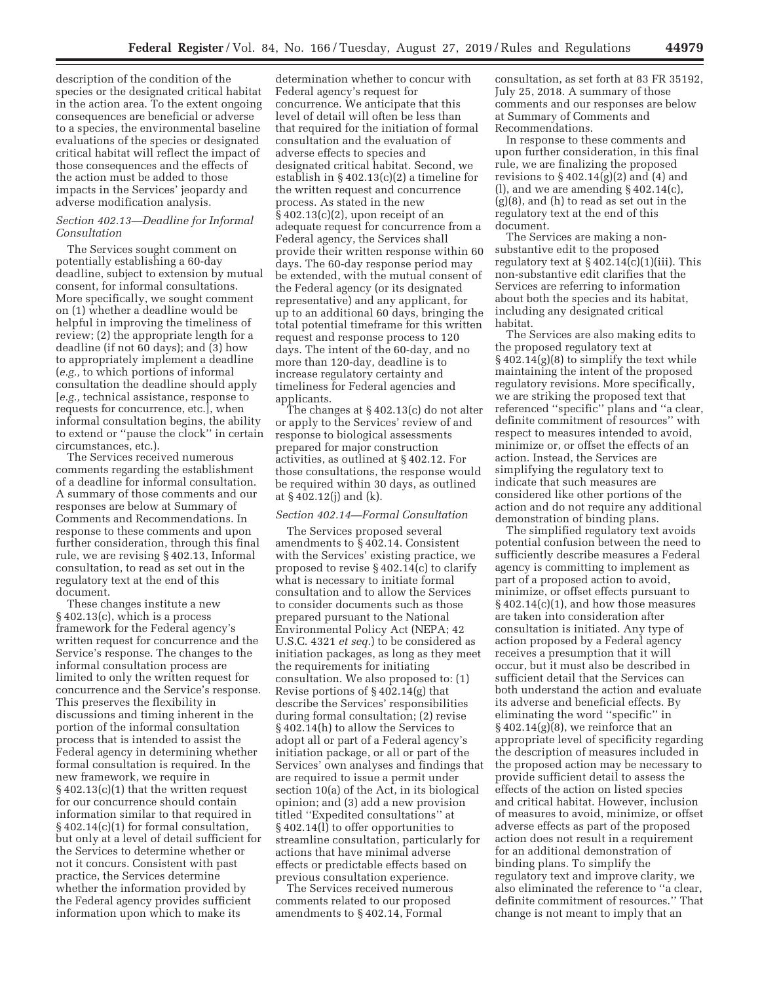description of the condition of the species or the designated critical habitat in the action area. To the extent ongoing consequences are beneficial or adverse to a species, the environmental baseline evaluations of the species or designated critical habitat will reflect the impact of those consequences and the effects of the action must be added to those impacts in the Services' jeopardy and adverse modification analysis.

#### *Section 402.13—Deadline for Informal Consultation*

The Services sought comment on potentially establishing a 60-day deadline, subject to extension by mutual consent, for informal consultations. More specifically, we sought comment on (1) whether a deadline would be helpful in improving the timeliness of review; (2) the appropriate length for a deadline (if not 60 days); and (3) how to appropriately implement a deadline (*e.g.,* to which portions of informal consultation the deadline should apply [*e.g.,* technical assistance, response to requests for concurrence, etc.], when informal consultation begins, the ability to extend or ''pause the clock'' in certain circumstances, etc.).

The Services received numerous comments regarding the establishment of a deadline for informal consultation. A summary of those comments and our responses are below at Summary of Comments and Recommendations. In response to these comments and upon further consideration, through this final rule, we are revising § 402.13, Informal consultation, to read as set out in the regulatory text at the end of this document.

These changes institute a new § 402.13(c), which is a process framework for the Federal agency's written request for concurrence and the Service's response. The changes to the informal consultation process are limited to only the written request for concurrence and the Service's response. This preserves the flexibility in discussions and timing inherent in the portion of the informal consultation process that is intended to assist the Federal agency in determining whether formal consultation is required. In the new framework, we require in § 402.13(c)(1) that the written request for our concurrence should contain information similar to that required in § 402.14(c)(1) for formal consultation, but only at a level of detail sufficient for the Services to determine whether or not it concurs. Consistent with past practice, the Services determine whether the information provided by the Federal agency provides sufficient information upon which to make its

determination whether to concur with Federal agency's request for concurrence. We anticipate that this level of detail will often be less than that required for the initiation of formal consultation and the evaluation of adverse effects to species and designated critical habitat. Second, we establish in § 402.13(c)(2) a timeline for the written request and concurrence process. As stated in the new  $\S 402.13(c)(2)$ , upon receipt of an adequate request for concurrence from a Federal agency, the Services shall provide their written response within 60 days. The 60-day response period may be extended, with the mutual consent of the Federal agency (or its designated representative) and any applicant, for up to an additional 60 days, bringing the total potential timeframe for this written request and response process to 120 days. The intent of the 60-day, and no more than 120-day, deadline is to increase regulatory certainty and timeliness for Federal agencies and applicants.

The changes at § 402.13(c) do not alter or apply to the Services' review of and response to biological assessments prepared for major construction activities, as outlined at § 402.12. For those consultations, the response would be required within 30 days, as outlined at § 402.12(j) and (k).

### *Section 402.14—Formal Consultation*

The Services proposed several amendments to § 402.14. Consistent with the Services' existing practice, we proposed to revise § 402.14(c) to clarify what is necessary to initiate formal consultation and to allow the Services to consider documents such as those prepared pursuant to the National Environmental Policy Act (NEPA; 42 U.S.C. 4321 *et seq.*) to be considered as initiation packages, as long as they meet the requirements for initiating consultation. We also proposed to: (1) Revise portions of § 402.14(g) that describe the Services' responsibilities during formal consultation; (2) revise § 402.14(h) to allow the Services to adopt all or part of a Federal agency's initiation package, or all or part of the Services' own analyses and findings that are required to issue a permit under section 10(a) of the Act, in its biological opinion; and (3) add a new provision titled ''Expedited consultations'' at § 402.14(l) to offer opportunities to streamline consultation, particularly for actions that have minimal adverse effects or predictable effects based on previous consultation experience.

The Services received numerous comments related to our proposed amendments to § 402.14, Formal

consultation, as set forth at 83 FR 35192, July 25, 2018. A summary of those comments and our responses are below at Summary of Comments and Recommendations.

In response to these comments and upon further consideration, in this final rule, we are finalizing the proposed revisions to  $\S 402.14(g)(2)$  and  $(4)$  and (l), and we are amending § 402.14(c), (g)(8), and (h) to read as set out in the regulatory text at the end of this document.

The Services are making a nonsubstantive edit to the proposed regulatory text at  $\S 402.14(c)(1)(iii)$ . This non-substantive edit clarifies that the Services are referring to information about both the species and its habitat, including any designated critical habitat.

The Services are also making edits to the proposed regulatory text at § 402.14(g)(8) to simplify the text while maintaining the intent of the proposed regulatory revisions. More specifically, we are striking the proposed text that referenced ''specific'' plans and ''a clear, definite commitment of resources'' with respect to measures intended to avoid, minimize or, or offset the effects of an action. Instead, the Services are simplifying the regulatory text to indicate that such measures are considered like other portions of the action and do not require any additional demonstration of binding plans.

The simplified regulatory text avoids potential confusion between the need to sufficiently describe measures a Federal agency is committing to implement as part of a proposed action to avoid, minimize, or offset effects pursuant to  $\S 402.14(c)(1)$ , and how those measures are taken into consideration after consultation is initiated. Any type of action proposed by a Federal agency receives a presumption that it will occur, but it must also be described in sufficient detail that the Services can both understand the action and evaluate its adverse and beneficial effects. By eliminating the word ''specific'' in  $\S 402.14(g)(8)$ , we reinforce that an appropriate level of specificity regarding the description of measures included in the proposed action may be necessary to provide sufficient detail to assess the effects of the action on listed species and critical habitat. However, inclusion of measures to avoid, minimize, or offset adverse effects as part of the proposed action does not result in a requirement for an additional demonstration of binding plans. To simplify the regulatory text and improve clarity, we also eliminated the reference to ''a clear, definite commitment of resources.'' That change is not meant to imply that an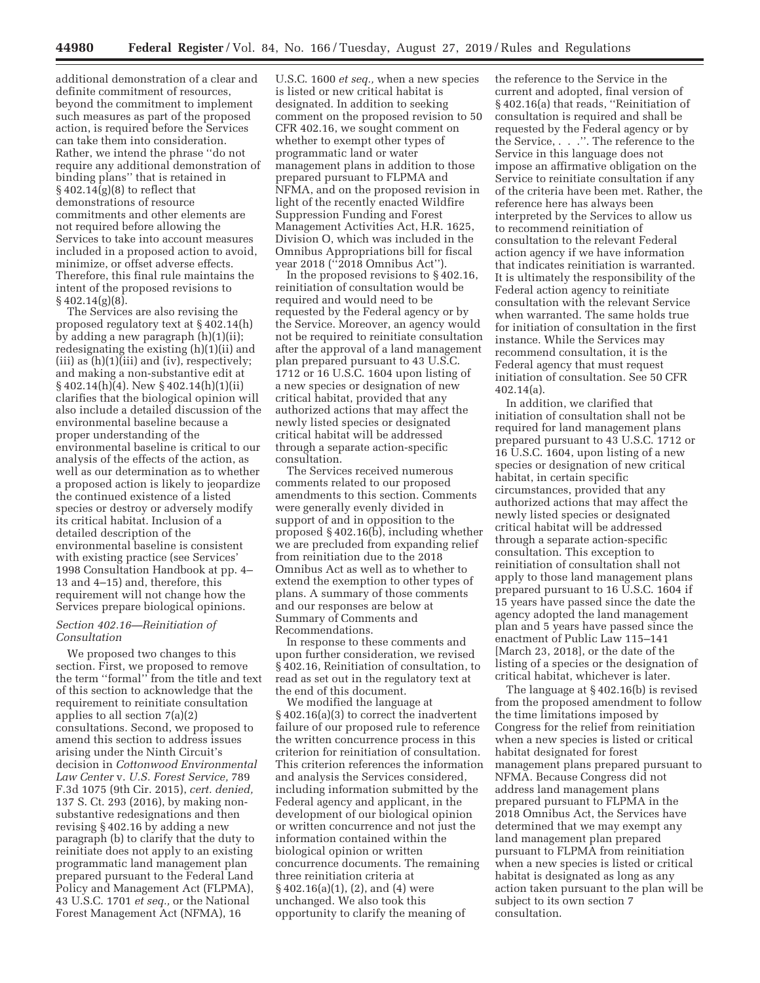additional demonstration of a clear and definite commitment of resources, beyond the commitment to implement such measures as part of the proposed action, is required before the Services can take them into consideration. Rather, we intend the phrase ''do not require any additional demonstration of binding plans'' that is retained in  $§$  402.14 $(g)(8)$  to reflect that demonstrations of resource commitments and other elements are not required before allowing the Services to take into account measures included in a proposed action to avoid, minimize, or offset adverse effects. Therefore, this final rule maintains the intent of the proposed revisions to § 402.14(g)(8).

The Services are also revising the proposed regulatory text at § 402.14(h) by adding a new paragraph (h)(1)(ii); redesignating the existing (h)(1)(ii) and  $(iii)$  as  $(h)(1)(iii)$  and  $(iv)$ , respectively; and making a non-substantive edit at § 402.14(h)(4). New § 402.14(h)(1)(ii) clarifies that the biological opinion will also include a detailed discussion of the environmental baseline because a proper understanding of the environmental baseline is critical to our analysis of the effects of the action, as well as our determination as to whether a proposed action is likely to jeopardize the continued existence of a listed species or destroy or adversely modify its critical habitat. Inclusion of a detailed description of the environmental baseline is consistent with existing practice (see Services' 1998 Consultation Handbook at pp. 4– 13 and 4–15) and, therefore, this requirement will not change how the Services prepare biological opinions.

### *Section 402.16—Reinitiation of Consultation*

We proposed two changes to this section. First, we proposed to remove the term ''formal'' from the title and text of this section to acknowledge that the requirement to reinitiate consultation applies to all section 7(a)(2) consultations. Second, we proposed to amend this section to address issues arising under the Ninth Circuit's decision in *Cottonwood Environmental Law Center* v. *U.S. Forest Service,* 789 F.3d 1075 (9th Cir. 2015), *cert. denied,*  137 S. Ct. 293 (2016), by making nonsubstantive redesignations and then revising § 402.16 by adding a new paragraph (b) to clarify that the duty to reinitiate does not apply to an existing programmatic land management plan prepared pursuant to the Federal Land Policy and Management Act (FLPMA), 43 U.S.C. 1701 *et seq.,* or the National Forest Management Act (NFMA), 16

U.S.C. 1600 *et seq.,* when a new species is listed or new critical habitat is designated. In addition to seeking comment on the proposed revision to 50 CFR 402.16, we sought comment on whether to exempt other types of programmatic land or water management plans in addition to those prepared pursuant to FLPMA and NFMA, and on the proposed revision in light of the recently enacted Wildfire Suppression Funding and Forest Management Activities Act, H.R. 1625, Division O, which was included in the Omnibus Appropriations bill for fiscal year 2018 (''2018 Omnibus Act'').

In the proposed revisions to § 402.16, reinitiation of consultation would be required and would need to be requested by the Federal agency or by the Service. Moreover, an agency would not be required to reinitiate consultation after the approval of a land management plan prepared pursuant to 43 U.S.C. 1712 or 16 U.S.C. 1604 upon listing of a new species or designation of new critical habitat, provided that any authorized actions that may affect the newly listed species or designated critical habitat will be addressed through a separate action-specific consultation.

The Services received numerous comments related to our proposed amendments to this section. Comments were generally evenly divided in support of and in opposition to the proposed § 402.16(b), including whether we are precluded from expanding relief from reinitiation due to the 2018 Omnibus Act as well as to whether to extend the exemption to other types of plans. A summary of those comments and our responses are below at Summary of Comments and Recommendations.

In response to these comments and upon further consideration, we revised § 402.16, Reinitiation of consultation, to read as set out in the regulatory text at the end of this document.

We modified the language at § 402.16(a)(3) to correct the inadvertent failure of our proposed rule to reference the written concurrence process in this criterion for reinitiation of consultation. This criterion references the information and analysis the Services considered, including information submitted by the Federal agency and applicant, in the development of our biological opinion or written concurrence and not just the information contained within the biological opinion or written concurrence documents. The remaining three reinitiation criteria at § 402.16(a)(1), (2), and (4) were unchanged. We also took this opportunity to clarify the meaning of

the reference to the Service in the current and adopted, final version of § 402.16(a) that reads, "Reinitiation of consultation is required and shall be requested by the Federal agency or by the Service, . . .''. The reference to the Service in this language does not impose an affirmative obligation on the Service to reinitiate consultation if any of the criteria have been met. Rather, the reference here has always been interpreted by the Services to allow us to recommend reinitiation of consultation to the relevant Federal action agency if we have information that indicates reinitiation is warranted. It is ultimately the responsibility of the Federal action agency to reinitiate consultation with the relevant Service when warranted. The same holds true for initiation of consultation in the first instance. While the Services may recommend consultation, it is the Federal agency that must request initiation of consultation. See 50 CFR 402.14(a).

In addition, we clarified that initiation of consultation shall not be required for land management plans prepared pursuant to 43 U.S.C. 1712 or 16 U.S.C. 1604, upon listing of a new species or designation of new critical habitat, in certain specific circumstances, provided that any authorized actions that may affect the newly listed species or designated critical habitat will be addressed through a separate action-specific consultation. This exception to reinitiation of consultation shall not apply to those land management plans prepared pursuant to 16 U.S.C. 1604 if 15 years have passed since the date the agency adopted the land management plan and 5 years have passed since the enactment of Public Law 115–141 [March 23, 2018], or the date of the listing of a species or the designation of critical habitat, whichever is later.

The language at § 402.16(b) is revised from the proposed amendment to follow the time limitations imposed by Congress for the relief from reinitiation when a new species is listed or critical habitat designated for forest management plans prepared pursuant to NFMA. Because Congress did not address land management plans prepared pursuant to FLPMA in the 2018 Omnibus Act, the Services have determined that we may exempt any land management plan prepared pursuant to FLPMA from reinitiation when a new species is listed or critical habitat is designated as long as any action taken pursuant to the plan will be subject to its own section 7 consultation.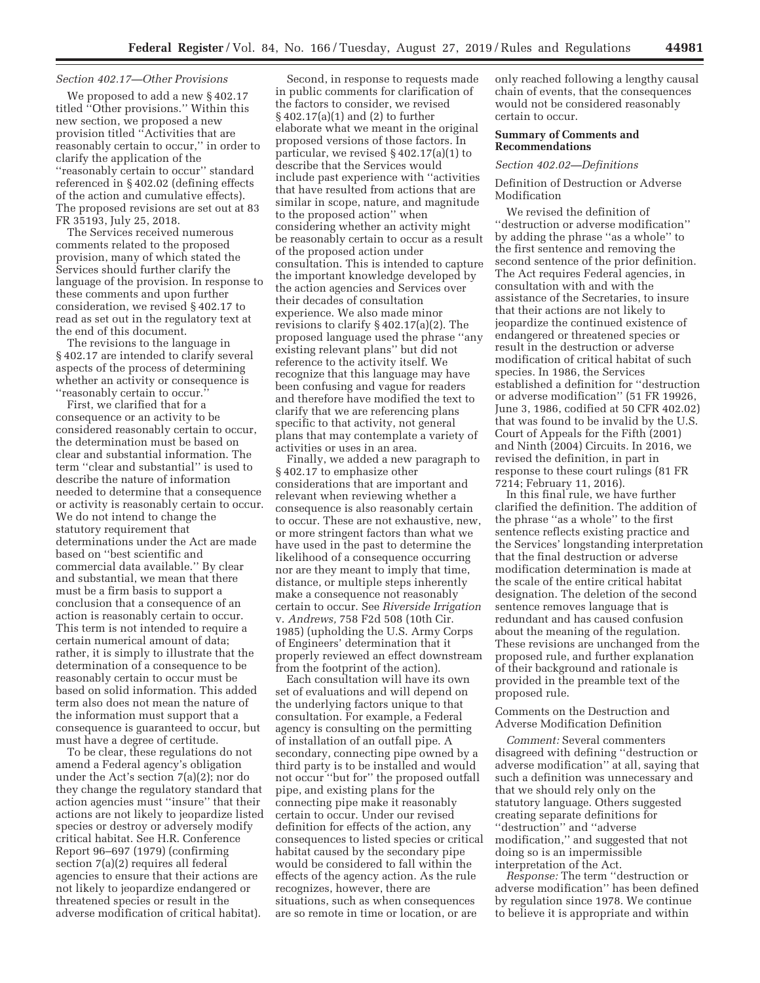### *Section 402.17—Other Provisions*

We proposed to add a new § 402.17 titled ''Other provisions.'' Within this new section, we proposed a new provision titled ''Activities that are reasonably certain to occur,'' in order to clarify the application of the ''reasonably certain to occur'' standard referenced in § 402.02 (defining effects of the action and cumulative effects). The proposed revisions are set out at 83 FR 35193, July 25, 2018.

The Services received numerous comments related to the proposed provision, many of which stated the Services should further clarify the language of the provision. In response to these comments and upon further consideration, we revised § 402.17 to read as set out in the regulatory text at the end of this document.

The revisions to the language in § 402.17 are intended to clarify several aspects of the process of determining whether an activity or consequence is ''reasonably certain to occur.''

First, we clarified that for a consequence or an activity to be considered reasonably certain to occur, the determination must be based on clear and substantial information. The term ''clear and substantial'' is used to describe the nature of information needed to determine that a consequence or activity is reasonably certain to occur. We do not intend to change the statutory requirement that determinations under the Act are made based on ''best scientific and commercial data available.'' By clear and substantial, we mean that there must be a firm basis to support a conclusion that a consequence of an action is reasonably certain to occur. This term is not intended to require a certain numerical amount of data; rather, it is simply to illustrate that the determination of a consequence to be reasonably certain to occur must be based on solid information. This added term also does not mean the nature of the information must support that a consequence is guaranteed to occur, but must have a degree of certitude.

To be clear, these regulations do not amend a Federal agency's obligation under the Act's section 7(a)(2); nor do they change the regulatory standard that action agencies must ''insure'' that their actions are not likely to jeopardize listed species or destroy or adversely modify critical habitat. See H.R. Conference Report 96–697 (1979) (confirming section 7(a)(2) requires all federal agencies to ensure that their actions are not likely to jeopardize endangered or threatened species or result in the adverse modification of critical habitat).

Second, in response to requests made in public comments for clarification of the factors to consider, we revised § 402.17(a)(1) and (2) to further elaborate what we meant in the original proposed versions of those factors. In particular, we revised § 402.17(a)(1) to describe that the Services would include past experience with ''activities that have resulted from actions that are similar in scope, nature, and magnitude to the proposed action'' when considering whether an activity might be reasonably certain to occur as a result of the proposed action under consultation. This is intended to capture the important knowledge developed by the action agencies and Services over their decades of consultation experience. We also made minor revisions to clarify § 402.17(a)(2). The proposed language used the phrase ''any existing relevant plans'' but did not reference to the activity itself. We recognize that this language may have been confusing and vague for readers and therefore have modified the text to clarify that we are referencing plans specific to that activity, not general plans that may contemplate a variety of activities or uses in an area.

Finally, we added a new paragraph to § 402.17 to emphasize other considerations that are important and relevant when reviewing whether a consequence is also reasonably certain to occur. These are not exhaustive, new, or more stringent factors than what we have used in the past to determine the likelihood of a consequence occurring nor are they meant to imply that time, distance, or multiple steps inherently make a consequence not reasonably certain to occur. See *Riverside Irrigation*  v. *Andrews,* 758 F2d 508 (10th Cir. 1985) (upholding the U.S. Army Corps of Engineers' determination that it properly reviewed an effect downstream from the footprint of the action).

Each consultation will have its own set of evaluations and will depend on the underlying factors unique to that consultation. For example, a Federal agency is consulting on the permitting of installation of an outfall pipe. A secondary, connecting pipe owned by a third party is to be installed and would not occur ''but for'' the proposed outfall pipe, and existing plans for the connecting pipe make it reasonably certain to occur. Under our revised definition for effects of the action, any consequences to listed species or critical habitat caused by the secondary pipe would be considered to fall within the effects of the agency action. As the rule recognizes, however, there are situations, such as when consequences are so remote in time or location, or are

only reached following a lengthy causal chain of events, that the consequences would not be considered reasonably certain to occur.

## **Summary of Comments and Recommendations**

#### *Section 402.02—Definitions*

Definition of Destruction or Adverse Modification

We revised the definition of ''destruction or adverse modification'' by adding the phrase ''as a whole'' to the first sentence and removing the second sentence of the prior definition. The Act requires Federal agencies, in consultation with and with the assistance of the Secretaries, to insure that their actions are not likely to jeopardize the continued existence of endangered or threatened species or result in the destruction or adverse modification of critical habitat of such species. In 1986, the Services established a definition for ''destruction or adverse modification'' (51 FR 19926, June 3, 1986, codified at 50 CFR 402.02) that was found to be invalid by the U.S. Court of Appeals for the Fifth (2001) and Ninth (2004) Circuits. In 2016, we revised the definition, in part in response to these court rulings (81 FR 7214; February 11, 2016).

In this final rule, we have further clarified the definition. The addition of the phrase ''as a whole'' to the first sentence reflects existing practice and the Services' longstanding interpretation that the final destruction or adverse modification determination is made at the scale of the entire critical habitat designation. The deletion of the second sentence removes language that is redundant and has caused confusion about the meaning of the regulation. These revisions are unchanged from the proposed rule, and further explanation of their background and rationale is provided in the preamble text of the proposed rule.

# Comments on the Destruction and Adverse Modification Definition

*Comment:* Several commenters disagreed with defining ''destruction or adverse modification'' at all, saying that such a definition was unnecessary and that we should rely only on the statutory language. Others suggested creating separate definitions for ''destruction'' and ''adverse modification,'' and suggested that not doing so is an impermissible interpretation of the Act.

*Response:* The term ''destruction or adverse modification'' has been defined by regulation since 1978. We continue to believe it is appropriate and within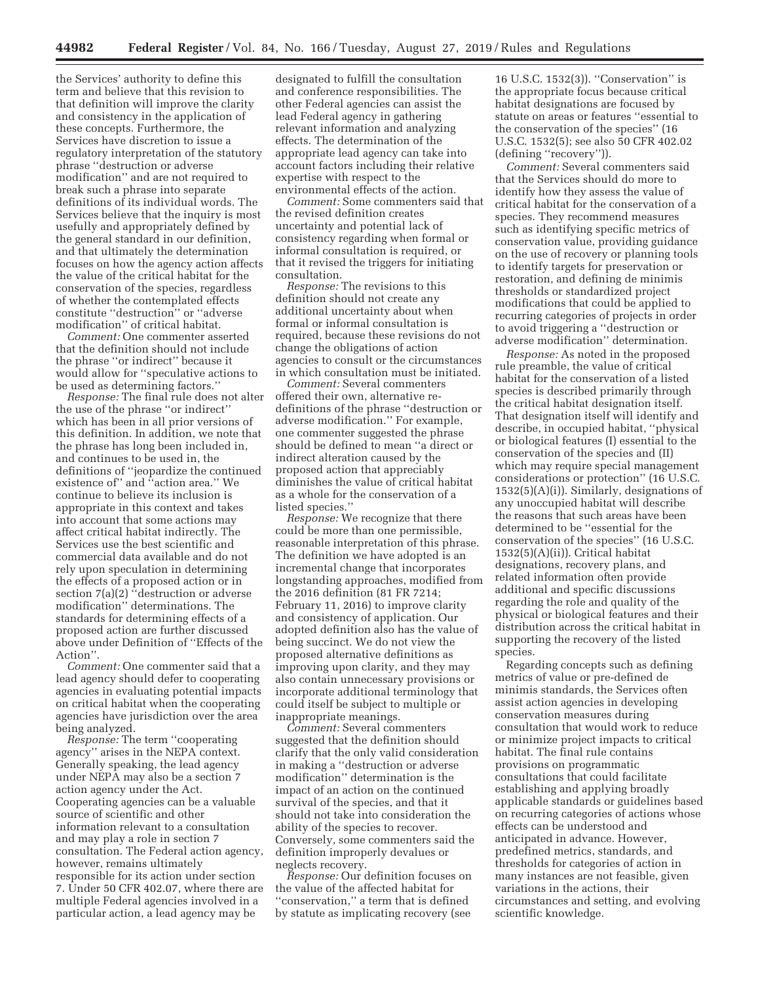the Services' authority to define this term and believe that this revision to that definition will improve the clarity and consistency in the application of these concepts. Furthermore, the Services have discretion to issue a regulatory interpretation of the statutory phrase ''destruction or adverse modification'' and are not required to break such a phrase into separate definitions of its individual words. The Services believe that the inquiry is most usefully and appropriately defined by the general standard in our definition, and that ultimately the determination focuses on how the agency action affects the value of the critical habitat for the conservation of the species, regardless of whether the contemplated effects constitute ''destruction'' or ''adverse modification'' of critical habitat.

*Comment:* One commenter asserted that the definition should not include the phrase ''or indirect'' because it would allow for ''speculative actions to be used as determining factors.''

*Response:* The final rule does not alter the use of the phrase ''or indirect'' which has been in all prior versions of this definition. In addition, we note that the phrase has long been included in, and continues to be used in, the definitions of ''jeopardize the continued existence of'' and ''action area.'' We continue to believe its inclusion is appropriate in this context and takes into account that some actions may affect critical habitat indirectly. The Services use the best scientific and commercial data available and do not rely upon speculation in determining the effects of a proposed action or in section 7(a)(2) "destruction or adverse modification'' determinations. The standards for determining effects of a proposed action are further discussed above under Definition of ''Effects of the Action''.

*Comment:* One commenter said that a lead agency should defer to cooperating agencies in evaluating potential impacts on critical habitat when the cooperating agencies have jurisdiction over the area being analyzed.

*Response:* The term ''cooperating agency'' arises in the NEPA context. Generally speaking, the lead agency under NEPA may also be a section 7 action agency under the Act. Cooperating agencies can be a valuable source of scientific and other information relevant to a consultation and may play a role in section 7 consultation. The Federal action agency, however, remains ultimately responsible for its action under section 7. Under 50 CFR 402.07, where there are multiple Federal agencies involved in a particular action, a lead agency may be

designated to fulfill the consultation and conference responsibilities. The other Federal agencies can assist the lead Federal agency in gathering relevant information and analyzing effects. The determination of the appropriate lead agency can take into account factors including their relative expertise with respect to the environmental effects of the action.

*Comment:* Some commenters said that the revised definition creates uncertainty and potential lack of consistency regarding when formal or informal consultation is required, or that it revised the triggers for initiating consultation.

*Response:* The revisions to this definition should not create any additional uncertainty about when formal or informal consultation is required, because these revisions do not change the obligations of action agencies to consult or the circumstances in which consultation must be initiated.

*Comment:* Several commenters offered their own, alternative redefinitions of the phrase ''destruction or adverse modification.'' For example, one commenter suggested the phrase should be defined to mean ''a direct or indirect alteration caused by the proposed action that appreciably diminishes the value of critical habitat as a whole for the conservation of a listed species.''

*Response:* We recognize that there could be more than one permissible, reasonable interpretation of this phrase. The definition we have adopted is an incremental change that incorporates longstanding approaches, modified from the 2016 definition (81 FR 7214; February 11, 2016) to improve clarity and consistency of application. Our adopted definition also has the value of being succinct. We do not view the proposed alternative definitions as improving upon clarity, and they may also contain unnecessary provisions or incorporate additional terminology that could itself be subject to multiple or inappropriate meanings.

*Comment:* Several commenters suggested that the definition should clarify that the only valid consideration in making a ''destruction or adverse modification'' determination is the impact of an action on the continued survival of the species, and that it should not take into consideration the ability of the species to recover. Conversely, some commenters said the definition improperly devalues or neglects recovery.

*Response:* Our definition focuses on the value of the affected habitat for ''conservation,'' a term that is defined by statute as implicating recovery (see

16 U.S.C. 1532(3)). ''Conservation'' is the appropriate focus because critical habitat designations are focused by statute on areas or features ''essential to the conservation of the species'' (16 U.S.C. 1532(5); see also 50 CFR 402.02 (defining ''recovery'')).

*Comment:* Several commenters said that the Services should do more to identify how they assess the value of critical habitat for the conservation of a species. They recommend measures such as identifying specific metrics of conservation value, providing guidance on the use of recovery or planning tools to identify targets for preservation or restoration, and defining de minimis thresholds or standardized project modifications that could be applied to recurring categories of projects in order to avoid triggering a ''destruction or adverse modification'' determination.

*Response:* As noted in the proposed rule preamble, the value of critical habitat for the conservation of a listed species is described primarily through the critical habitat designation itself. That designation itself will identify and describe, in occupied habitat, ''physical or biological features (I) essential to the conservation of the species and (II) which may require special management considerations or protection'' (16 U.S.C. 1532(5)(A)(i)). Similarly, designations of any unoccupied habitat will describe the reasons that such areas have been determined to be ''essential for the conservation of the species'' (16 U.S.C. 1532(5)(A)(ii)). Critical habitat designations, recovery plans, and related information often provide additional and specific discussions regarding the role and quality of the physical or biological features and their distribution across the critical habitat in supporting the recovery of the listed species.

Regarding concepts such as defining metrics of value or pre-defined de minimis standards, the Services often assist action agencies in developing conservation measures during consultation that would work to reduce or minimize project impacts to critical habitat. The final rule contains provisions on programmatic consultations that could facilitate establishing and applying broadly applicable standards or guidelines based on recurring categories of actions whose effects can be understood and anticipated in advance. However, predefined metrics, standards, and thresholds for categories of action in many instances are not feasible, given variations in the actions, their circumstances and setting, and evolving scientific knowledge.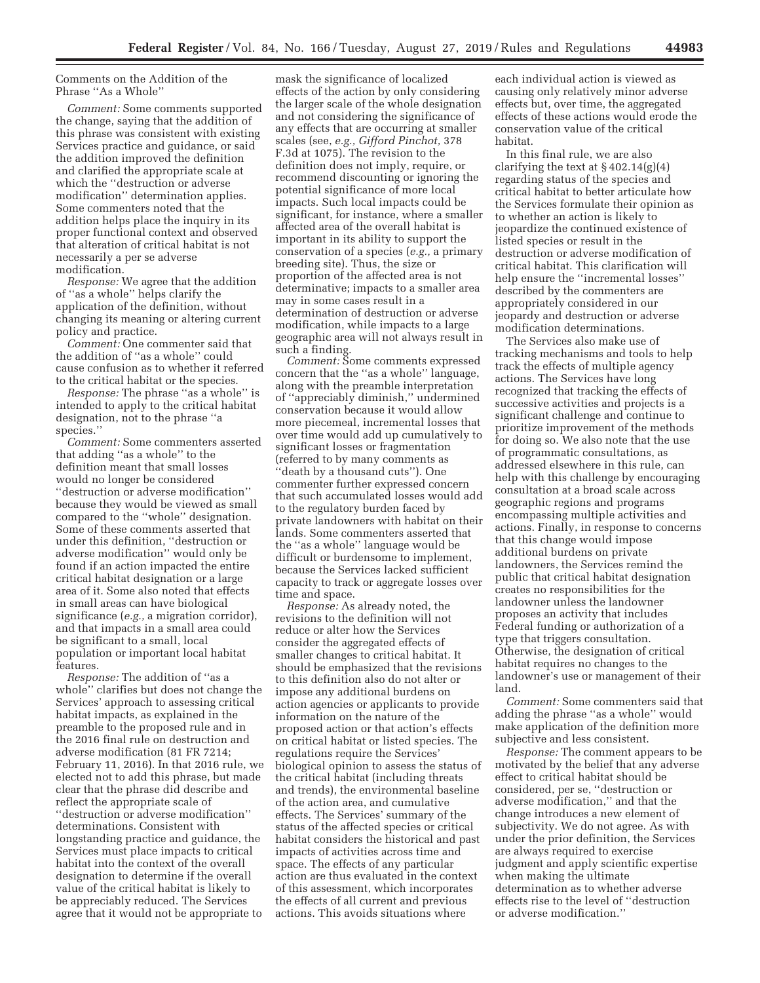## Comments on the Addition of the Phrase ''As a Whole''

*Comment:* Some comments supported the change, saying that the addition of this phrase was consistent with existing Services practice and guidance, or said the addition improved the definition and clarified the appropriate scale at which the ''destruction or adverse modification'' determination applies. Some commenters noted that the addition helps place the inquiry in its proper functional context and observed that alteration of critical habitat is not necessarily a per se adverse modification.

*Response:* We agree that the addition of ''as a whole'' helps clarify the application of the definition, without changing its meaning or altering current policy and practice.

*Comment:* One commenter said that the addition of ''as a whole'' could cause confusion as to whether it referred to the critical habitat or the species.

*Response:* The phrase "as a whole" is intended to apply to the critical habitat designation, not to the phrase ''a species.''

*Comment:* Some commenters asserted that adding ''as a whole'' to the definition meant that small losses would no longer be considered ''destruction or adverse modification'' because they would be viewed as small compared to the ''whole'' designation. Some of these comments asserted that under this definition, ''destruction or adverse modification'' would only be found if an action impacted the entire critical habitat designation or a large area of it. Some also noted that effects in small areas can have biological significance (*e.g.,* a migration corridor), and that impacts in a small area could be significant to a small, local population or important local habitat features.

*Response:* The addition of ''as a whole'' clarifies but does not change the Services' approach to assessing critical habitat impacts, as explained in the preamble to the proposed rule and in the 2016 final rule on destruction and adverse modification (81 FR 7214; February 11, 2016). In that 2016 rule, we elected not to add this phrase, but made clear that the phrase did describe and reflect the appropriate scale of ''destruction or adverse modification'' determinations. Consistent with longstanding practice and guidance, the Services must place impacts to critical habitat into the context of the overall designation to determine if the overall value of the critical habitat is likely to be appreciably reduced. The Services agree that it would not be appropriate to

mask the significance of localized effects of the action by only considering the larger scale of the whole designation and not considering the significance of any effects that are occurring at smaller scales (see, *e.g., Gifford Pinchot,* 378 F.3d at 1075). The revision to the definition does not imply, require, or recommend discounting or ignoring the potential significance of more local impacts. Such local impacts could be significant, for instance, where a smaller affected area of the overall habitat is important in its ability to support the conservation of a species (*e.g.,* a primary breeding site). Thus, the size or proportion of the affected area is not determinative; impacts to a smaller area may in some cases result in a determination of destruction or adverse modification, while impacts to a large geographic area will not always result in such a finding.

*Comment:* Some comments expressed concern that the ''as a whole'' language, along with the preamble interpretation of ''appreciably diminish,'' undermined conservation because it would allow more piecemeal, incremental losses that over time would add up cumulatively to significant losses or fragmentation (referred to by many comments as ''death by a thousand cuts''). One commenter further expressed concern that such accumulated losses would add to the regulatory burden faced by private landowners with habitat on their lands. Some commenters asserted that the ''as a whole'' language would be difficult or burdensome to implement, because the Services lacked sufficient capacity to track or aggregate losses over time and space.

*Response:* As already noted, the revisions to the definition will not reduce or alter how the Services consider the aggregated effects of smaller changes to critical habitat. It should be emphasized that the revisions to this definition also do not alter or impose any additional burdens on action agencies or applicants to provide information on the nature of the proposed action or that action's effects on critical habitat or listed species. The regulations require the Services' biological opinion to assess the status of the critical habitat (including threats and trends), the environmental baseline of the action area, and cumulative effects. The Services' summary of the status of the affected species or critical habitat considers the historical and past impacts of activities across time and space. The effects of any particular action are thus evaluated in the context of this assessment, which incorporates the effects of all current and previous actions. This avoids situations where

each individual action is viewed as causing only relatively minor adverse effects but, over time, the aggregated effects of these actions would erode the conservation value of the critical habitat.

In this final rule, we are also clarifying the text at  $\S 402.14(g)(4)$ regarding status of the species and critical habitat to better articulate how the Services formulate their opinion as to whether an action is likely to jeopardize the continued existence of listed species or result in the destruction or adverse modification of critical habitat. This clarification will help ensure the ''incremental losses'' described by the commenters are appropriately considered in our jeopardy and destruction or adverse modification determinations.

The Services also make use of tracking mechanisms and tools to help track the effects of multiple agency actions. The Services have long recognized that tracking the effects of successive activities and projects is a significant challenge and continue to prioritize improvement of the methods for doing so. We also note that the use of programmatic consultations, as addressed elsewhere in this rule, can help with this challenge by encouraging consultation at a broad scale across geographic regions and programs encompassing multiple activities and actions. Finally, in response to concerns that this change would impose additional burdens on private landowners, the Services remind the public that critical habitat designation creates no responsibilities for the landowner unless the landowner proposes an activity that includes Federal funding or authorization of a type that triggers consultation. Otherwise, the designation of critical habitat requires no changes to the landowner's use or management of their land.

*Comment:* Some commenters said that adding the phrase ''as a whole'' would make application of the definition more subjective and less consistent.

*Response:* The comment appears to be motivated by the belief that any adverse effect to critical habitat should be considered, per se, ''destruction or adverse modification,'' and that the change introduces a new element of subjectivity. We do not agree. As with under the prior definition, the Services are always required to exercise judgment and apply scientific expertise when making the ultimate determination as to whether adverse effects rise to the level of ''destruction or adverse modification.''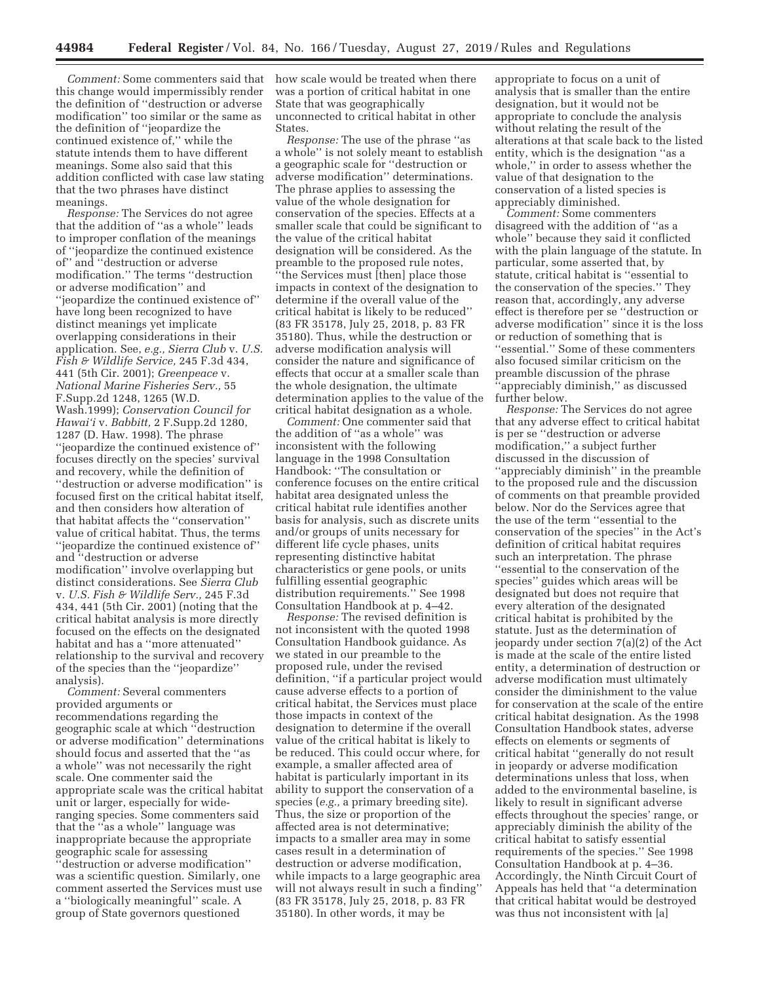*Comment:* Some commenters said that this change would impermissibly render the definition of ''destruction or adverse modification'' too similar or the same as the definition of ''jeopardize the continued existence of,'' while the statute intends them to have different meanings. Some also said that this addition conflicted with case law stating that the two phrases have distinct meanings.

*Response:* The Services do not agree that the addition of ''as a whole'' leads to improper conflation of the meanings of ''jeopardize the continued existence of'' and ''destruction or adverse modification.'' The terms ''destruction or adverse modification'' and ''jeopardize the continued existence of'' have long been recognized to have distinct meanings yet implicate overlapping considerations in their application. See, *e.g., Sierra Club* v. *U.S. Fish & Wildlife Service,* 245 F.3d 434, 441 (5th Cir. 2001); *Greenpeace* v. *National Marine Fisheries Serv.,* 55 F.Supp.2d 1248, 1265 (W.D. Wash.1999); *Conservation Council for Hawai'i* v. *Babbitt,* 2 F.Supp.2d 1280, 1287 (D. Haw. 1998). The phrase ''jeopardize the continued existence of'' focuses directly on the species' survival and recovery, while the definition of ''destruction or adverse modification'' is focused first on the critical habitat itself, and then considers how alteration of that habitat affects the ''conservation'' value of critical habitat. Thus, the terms ''jeopardize the continued existence of'' and ''destruction or adverse modification'' involve overlapping but distinct considerations. See *Sierra Club*  v. *U.S. Fish & Wildlife Serv.,* 245 F.3d 434, 441 (5th Cir. 2001) (noting that the critical habitat analysis is more directly focused on the effects on the designated habitat and has a ''more attenuated'' relationship to the survival and recovery of the species than the ''jeopardize'' analysis).

*Comment:* Several commenters provided arguments or recommendations regarding the geographic scale at which ''destruction or adverse modification'' determinations should focus and asserted that the ''as a whole'' was not necessarily the right scale. One commenter said the appropriate scale was the critical habitat unit or larger, especially for wideranging species. Some commenters said that the ''as a whole'' language was inappropriate because the appropriate geographic scale for assessing ''destruction or adverse modification'' was a scientific question. Similarly, one comment asserted the Services must use a ''biologically meaningful'' scale. A group of State governors questioned

how scale would be treated when there was a portion of critical habitat in one State that was geographically unconnected to critical habitat in other States.

*Response:* The use of the phrase ''as a whole'' is not solely meant to establish a geographic scale for ''destruction or adverse modification'' determinations. The phrase applies to assessing the value of the whole designation for conservation of the species. Effects at a smaller scale that could be significant to the value of the critical habitat designation will be considered. As the preamble to the proposed rule notes, ''the Services must [then] place those impacts in context of the designation to determine if the overall value of the critical habitat is likely to be reduced'' (83 FR 35178, July 25, 2018, p. 83 FR 35180). Thus, while the destruction or adverse modification analysis will consider the nature and significance of effects that occur at a smaller scale than the whole designation, the ultimate determination applies to the value of the critical habitat designation as a whole.

*Comment:* One commenter said that the addition of ''as a whole'' was inconsistent with the following language in the 1998 Consultation Handbook: ''The consultation or conference focuses on the entire critical habitat area designated unless the critical habitat rule identifies another basis for analysis, such as discrete units and/or groups of units necessary for different life cycle phases, units representing distinctive habitat characteristics or gene pools, or units fulfilling essential geographic distribution requirements.'' See 1998 Consultation Handbook at p. 4–42.

*Response:* The revised definition is not inconsistent with the quoted 1998 Consultation Handbook guidance. As we stated in our preamble to the proposed rule, under the revised definition, ''if a particular project would cause adverse effects to a portion of critical habitat, the Services must place those impacts in context of the designation to determine if the overall value of the critical habitat is likely to be reduced. This could occur where, for example, a smaller affected area of habitat is particularly important in its ability to support the conservation of a species (*e.g.,* a primary breeding site). Thus, the size or proportion of the affected area is not determinative; impacts to a smaller area may in some cases result in a determination of destruction or adverse modification, while impacts to a large geographic area will not always result in such a finding'' (83 FR 35178, July 25, 2018, p. 83 FR 35180). In other words, it may be

appropriate to focus on a unit of analysis that is smaller than the entire designation, but it would not be appropriate to conclude the analysis without relating the result of the alterations at that scale back to the listed entity, which is the designation ''as a whole,'' in order to assess whether the value of that designation to the conservation of a listed species is appreciably diminished.

*Comment:* Some commenters disagreed with the addition of ''as a whole'' because they said it conflicted with the plain language of the statute. In particular, some asserted that, by statute, critical habitat is ''essential to the conservation of the species.'' They reason that, accordingly, any adverse effect is therefore per se ''destruction or adverse modification'' since it is the loss or reduction of something that is ''essential.'' Some of these commenters also focused similar criticism on the preamble discussion of the phrase ''appreciably diminish,'' as discussed further below.

*Response:* The Services do not agree that any adverse effect to critical habitat is per se ''destruction or adverse modification,'' a subject further discussed in the discussion of ''appreciably diminish'' in the preamble to the proposed rule and the discussion of comments on that preamble provided below. Nor do the Services agree that the use of the term ''essential to the conservation of the species'' in the Act's definition of critical habitat requires such an interpretation. The phrase ''essential to the conservation of the species'' guides which areas will be designated but does not require that every alteration of the designated critical habitat is prohibited by the statute. Just as the determination of jeopardy under section 7(a)(2) of the Act is made at the scale of the entire listed entity, a determination of destruction or adverse modification must ultimately consider the diminishment to the value for conservation at the scale of the entire critical habitat designation. As the 1998 Consultation Handbook states, adverse effects on elements or segments of critical habitat ''generally do not result in jeopardy or adverse modification determinations unless that loss, when added to the environmental baseline, is likely to result in significant adverse effects throughout the species' range, or appreciably diminish the ability of the critical habitat to satisfy essential requirements of the species.'' See 1998 Consultation Handbook at p. 4–36. Accordingly, the Ninth Circuit Court of Appeals has held that ''a determination that critical habitat would be destroyed was thus not inconsistent with [a]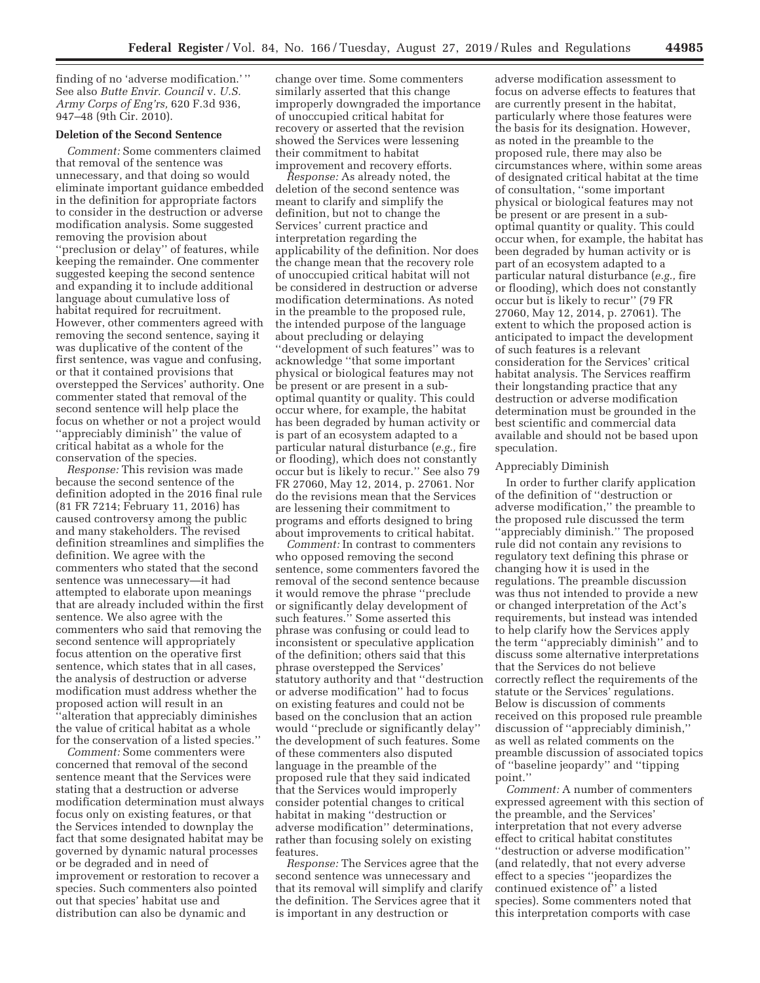finding of no 'adverse modification.' '' See also *Butte Envir. Council* v. *U.S. Army Corps of Eng'rs,* 620 F.3d 936, 947–48 (9th Cir. 2010).

## **Deletion of the Second Sentence**

*Comment:* Some commenters claimed that removal of the sentence was unnecessary, and that doing so would eliminate important guidance embedded in the definition for appropriate factors to consider in the destruction or adverse modification analysis. Some suggested removing the provision about ''preclusion or delay'' of features, while keeping the remainder. One commenter suggested keeping the second sentence and expanding it to include additional language about cumulative loss of habitat required for recruitment. However, other commenters agreed with removing the second sentence, saying it was duplicative of the content of the first sentence, was vague and confusing, or that it contained provisions that overstepped the Services' authority. One commenter stated that removal of the second sentence will help place the focus on whether or not a project would ''appreciably diminish'' the value of critical habitat as a whole for the conservation of the species.

*Response:* This revision was made because the second sentence of the definition adopted in the 2016 final rule (81 FR 7214; February 11, 2016) has caused controversy among the public and many stakeholders. The revised definition streamlines and simplifies the definition. We agree with the commenters who stated that the second sentence was unnecessary—it had attempted to elaborate upon meanings that are already included within the first sentence. We also agree with the commenters who said that removing the second sentence will appropriately focus attention on the operative first sentence, which states that in all cases, the analysis of destruction or adverse modification must address whether the proposed action will result in an ''alteration that appreciably diminishes the value of critical habitat as a whole for the conservation of a listed species.''

*Comment:* Some commenters were concerned that removal of the second sentence meant that the Services were stating that a destruction or adverse modification determination must always focus only on existing features, or that the Services intended to downplay the fact that some designated habitat may be governed by dynamic natural processes or be degraded and in need of improvement or restoration to recover a species. Such commenters also pointed out that species' habitat use and distribution can also be dynamic and

change over time. Some commenters similarly asserted that this change improperly downgraded the importance of unoccupied critical habitat for recovery or asserted that the revision showed the Services were lessening their commitment to habitat improvement and recovery efforts.

*Response:* As already noted, the deletion of the second sentence was meant to clarify and simplify the definition, but not to change the Services' current practice and interpretation regarding the applicability of the definition. Nor does the change mean that the recovery role of unoccupied critical habitat will not be considered in destruction or adverse modification determinations. As noted in the preamble to the proposed rule, the intended purpose of the language about precluding or delaying ''development of such features'' was to acknowledge ''that some important physical or biological features may not be present or are present in a suboptimal quantity or quality. This could occur where, for example, the habitat has been degraded by human activity or is part of an ecosystem adapted to a particular natural disturbance (*e.g.,* fire or flooding), which does not constantly occur but is likely to recur.'' See also 79 FR 27060, May 12, 2014, p. 27061. Nor do the revisions mean that the Services are lessening their commitment to programs and efforts designed to bring about improvements to critical habitat.

*Comment:* In contrast to commenters who opposed removing the second sentence, some commenters favored the removal of the second sentence because it would remove the phrase ''preclude or significantly delay development of such features.'' Some asserted this phrase was confusing or could lead to inconsistent or speculative application of the definition; others said that this phrase overstepped the Services' statutory authority and that ''destruction or adverse modification'' had to focus on existing features and could not be based on the conclusion that an action would ''preclude or significantly delay'' the development of such features. Some of these commenters also disputed language in the preamble of the proposed rule that they said indicated that the Services would improperly consider potential changes to critical habitat in making ''destruction or adverse modification'' determinations, rather than focusing solely on existing features.

*Response:* The Services agree that the second sentence was unnecessary and that its removal will simplify and clarify the definition. The Services agree that it is important in any destruction or

adverse modification assessment to focus on adverse effects to features that are currently present in the habitat, particularly where those features were the basis for its designation. However, as noted in the preamble to the proposed rule, there may also be circumstances where, within some areas of designated critical habitat at the time of consultation, ''some important physical or biological features may not be present or are present in a suboptimal quantity or quality. This could occur when, for example, the habitat has been degraded by human activity or is part of an ecosystem adapted to a particular natural disturbance (*e.g.,* fire or flooding), which does not constantly occur but is likely to recur'' (79 FR 27060, May 12, 2014, p. 27061). The extent to which the proposed action is anticipated to impact the development of such features is a relevant consideration for the Services' critical habitat analysis. The Services reaffirm their longstanding practice that any destruction or adverse modification determination must be grounded in the best scientific and commercial data available and should not be based upon speculation.

# Appreciably Diminish

In order to further clarify application of the definition of ''destruction or adverse modification,'' the preamble to the proposed rule discussed the term ''appreciably diminish.'' The proposed rule did not contain any revisions to regulatory text defining this phrase or changing how it is used in the regulations. The preamble discussion was thus not intended to provide a new or changed interpretation of the Act's requirements, but instead was intended to help clarify how the Services apply the term ''appreciably diminish'' and to discuss some alternative interpretations that the Services do not believe correctly reflect the requirements of the statute or the Services' regulations. Below is discussion of comments received on this proposed rule preamble discussion of ''appreciably diminish,'' as well as related comments on the preamble discussion of associated topics of ''baseline jeopardy'' and ''tipping point.''

*Comment:* A number of commenters expressed agreement with this section of the preamble, and the Services' interpretation that not every adverse effect to critical habitat constitutes ''destruction or adverse modification'' (and relatedly, that not every adverse effect to a species ''jeopardizes the continued existence of'' a listed species). Some commenters noted that this interpretation comports with case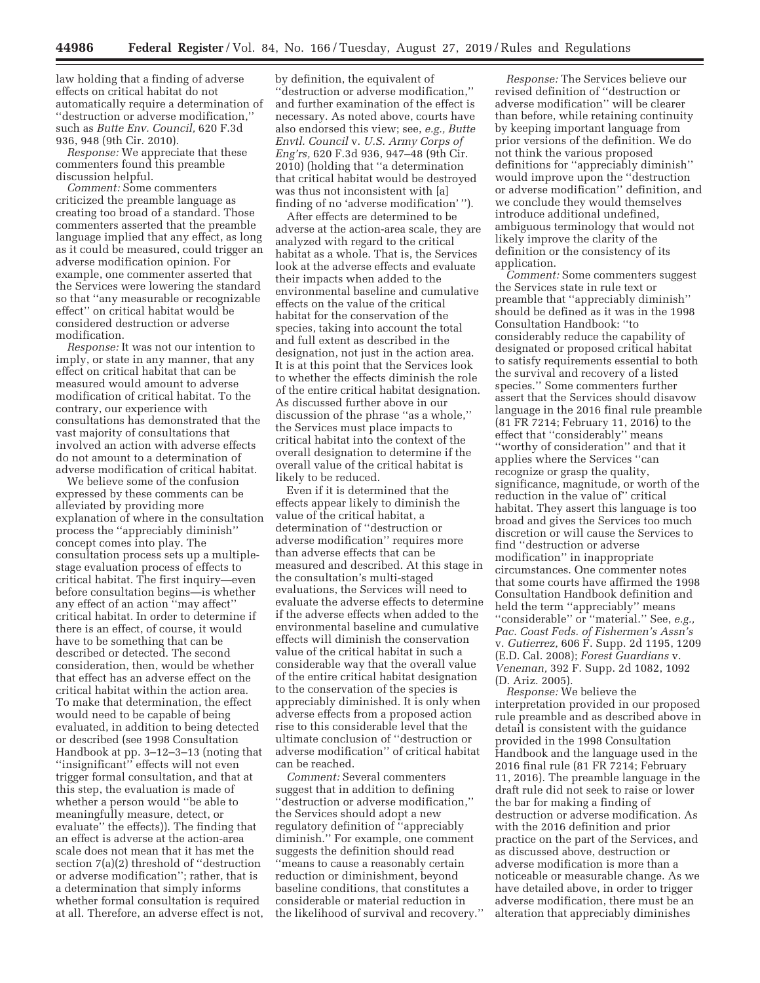law holding that a finding of adverse effects on critical habitat do not automatically require a determination of ''destruction or adverse modification,'' such as *Butte Env. Council,* 620 F.3d 936, 948 (9th Cir. 2010).

*Response:* We appreciate that these commenters found this preamble discussion helpful.

*Comment:* Some commenters criticized the preamble language as creating too broad of a standard. Those commenters asserted that the preamble language implied that any effect, as long as it could be measured, could trigger an adverse modification opinion. For example, one commenter asserted that the Services were lowering the standard so that ''any measurable or recognizable effect'' on critical habitat would be considered destruction or adverse modification.

*Response:* It was not our intention to imply, or state in any manner, that any effect on critical habitat that can be measured would amount to adverse modification of critical habitat. To the contrary, our experience with consultations has demonstrated that the vast majority of consultations that involved an action with adverse effects do not amount to a determination of adverse modification of critical habitat.

We believe some of the confusion expressed by these comments can be alleviated by providing more explanation of where in the consultation process the ''appreciably diminish'' concept comes into play. The consultation process sets up a multiplestage evaluation process of effects to critical habitat. The first inquiry—even before consultation begins—is whether any effect of an action ''may affect'' critical habitat. In order to determine if there is an effect, of course, it would have to be something that can be described or detected. The second consideration, then, would be whether that effect has an adverse effect on the critical habitat within the action area. To make that determination, the effect would need to be capable of being evaluated, in addition to being detected or described (see 1998 Consultation Handbook at pp. 3–12–3–13 (noting that "insignificant" effects will not even trigger formal consultation, and that at this step, the evaluation is made of whether a person would ''be able to meaningfully measure, detect, or evaluate'' the effects)). The finding that an effect is adverse at the action-area scale does not mean that it has met the section 7(a)(2) threshold of ''destruction or adverse modification''; rather, that is a determination that simply informs whether formal consultation is required at all. Therefore, an adverse effect is not,

by definition, the equivalent of ''destruction or adverse modification,'' and further examination of the effect is necessary. As noted above, courts have also endorsed this view; see, *e.g., Butte Envtl. Council* v. *U.S. Army Corps of Eng'rs,* 620 F.3d 936, 947–48 (9th Cir. 2010) (holding that ''a determination that critical habitat would be destroyed was thus not inconsistent with [a] finding of no 'adverse modification' '').

After effects are determined to be adverse at the action-area scale, they are analyzed with regard to the critical habitat as a whole. That is, the Services look at the adverse effects and evaluate their impacts when added to the environmental baseline and cumulative effects on the value of the critical habitat for the conservation of the species, taking into account the total and full extent as described in the designation, not just in the action area. It is at this point that the Services look to whether the effects diminish the role of the entire critical habitat designation. As discussed further above in our discussion of the phrase ''as a whole,'' the Services must place impacts to critical habitat into the context of the overall designation to determine if the overall value of the critical habitat is likely to be reduced.

Even if it is determined that the effects appear likely to diminish the value of the critical habitat, a determination of ''destruction or adverse modification'' requires more than adverse effects that can be measured and described. At this stage in the consultation's multi-staged evaluations, the Services will need to evaluate the adverse effects to determine if the adverse effects when added to the environmental baseline and cumulative effects will diminish the conservation value of the critical habitat in such a considerable way that the overall value of the entire critical habitat designation to the conservation of the species is appreciably diminished. It is only when adverse effects from a proposed action rise to this considerable level that the ultimate conclusion of ''destruction or adverse modification'' of critical habitat can be reached.

*Comment:* Several commenters suggest that in addition to defining ''destruction or adverse modification,'' the Services should adopt a new regulatory definition of ''appreciably diminish.'' For example, one comment suggests the definition should read ''means to cause a reasonably certain reduction or diminishment, beyond baseline conditions, that constitutes a considerable or material reduction in the likelihood of survival and recovery.''

*Response:* The Services believe our revised definition of ''destruction or adverse modification'' will be clearer than before, while retaining continuity by keeping important language from prior versions of the definition. We do not think the various proposed definitions for ''appreciably diminish'' would improve upon the ''destruction or adverse modification'' definition, and we conclude they would themselves introduce additional undefined, ambiguous terminology that would not likely improve the clarity of the definition or the consistency of its application.

*Comment:* Some commenters suggest the Services state in rule text or preamble that ''appreciably diminish'' should be defined as it was in the 1998 Consultation Handbook: ''to considerably reduce the capability of designated or proposed critical habitat to satisfy requirements essential to both the survival and recovery of a listed species.'' Some commenters further assert that the Services should disavow language in the 2016 final rule preamble (81 FR 7214; February 11, 2016) to the effect that ''considerably'' means ''worthy of consideration'' and that it applies where the Services ''can recognize or grasp the quality, significance, magnitude, or worth of the reduction in the value of'' critical habitat. They assert this language is too broad and gives the Services too much discretion or will cause the Services to find ''destruction or adverse modification'' in inappropriate circumstances. One commenter notes that some courts have affirmed the 1998 Consultation Handbook definition and held the term ''appreciably'' means ''considerable'' or ''material.'' See, *e.g., Pac. Coast Feds. of Fishermen's Assn's*  v. *Gutierrez,* 606 F. Supp. 2d 1195, 1209 (E.D. Cal. 2008); *Forest Guardians* v. *Veneman,* 392 F. Supp. 2d 1082, 1092 (D. Ariz. 2005).

*Response:* We believe the interpretation provided in our proposed rule preamble and as described above in detail is consistent with the guidance provided in the 1998 Consultation Handbook and the language used in the 2016 final rule (81 FR 7214; February 11, 2016). The preamble language in the draft rule did not seek to raise or lower the bar for making a finding of destruction or adverse modification. As with the 2016 definition and prior practice on the part of the Services, and as discussed above, destruction or adverse modification is more than a noticeable or measurable change. As we have detailed above, in order to trigger adverse modification, there must be an alteration that appreciably diminishes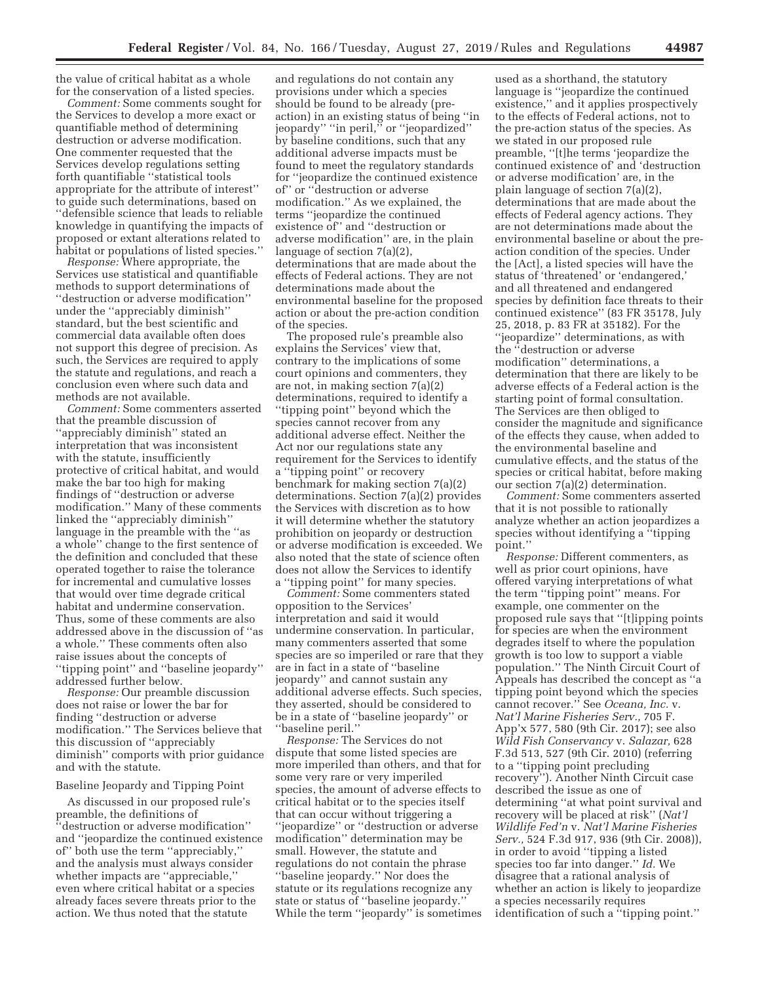the value of critical habitat as a whole for the conservation of a listed species.

*Comment:* Some comments sought for the Services to develop a more exact or quantifiable method of determining destruction or adverse modification. One commenter requested that the Services develop regulations setting forth quantifiable ''statistical tools appropriate for the attribute of interest'' to guide such determinations, based on ''defensible science that leads to reliable knowledge in quantifying the impacts of proposed or extant alterations related to habitat or populations of listed species.''

*Response:* Where appropriate, the Services use statistical and quantifiable methods to support determinations of ''destruction or adverse modification'' under the ''appreciably diminish'' standard, but the best scientific and commercial data available often does not support this degree of precision. As such, the Services are required to apply the statute and regulations, and reach a conclusion even where such data and methods are not available.

*Comment:* Some commenters asserted that the preamble discussion of ''appreciably diminish'' stated an interpretation that was inconsistent with the statute, insufficiently protective of critical habitat, and would make the bar too high for making findings of ''destruction or adverse modification.'' Many of these comments linked the ''appreciably diminish'' language in the preamble with the ''as a whole'' change to the first sentence of the definition and concluded that these operated together to raise the tolerance for incremental and cumulative losses that would over time degrade critical habitat and undermine conservation. Thus, some of these comments are also addressed above in the discussion of ''as a whole.'' These comments often also raise issues about the concepts of ''tipping point'' and ''baseline jeopardy'' addressed further below.

*Response:* Our preamble discussion does not raise or lower the bar for finding ''destruction or adverse modification.'' The Services believe that this discussion of ''appreciably diminish'' comports with prior guidance and with the statute.

#### Baseline Jeopardy and Tipping Point

As discussed in our proposed rule's preamble, the definitions of 'destruction or adverse modification'' and ''jeopardize the continued existence of'' both use the term ''appreciably,'' and the analysis must always consider whether impacts are ''appreciable,'' even where critical habitat or a species already faces severe threats prior to the action. We thus noted that the statute

and regulations do not contain any provisions under which a species should be found to be already (preaction) in an existing status of being ''in jeopardy'' ''in peril,'' or ''jeopardized'' by baseline conditions, such that any additional adverse impacts must be found to meet the regulatory standards for ''jeopardize the continued existence of'' or ''destruction or adverse modification.'' As we explained, the terms ''jeopardize the continued existence of'' and ''destruction or adverse modification'' are, in the plain language of section 7(a)(2), determinations that are made about the effects of Federal actions. They are not determinations made about the environmental baseline for the proposed action or about the pre-action condition of the species.

The proposed rule's preamble also explains the Services' view that, contrary to the implications of some court opinions and commenters, they are not, in making section 7(a)(2) determinations, required to identify a ''tipping point'' beyond which the species cannot recover from any additional adverse effect. Neither the Act nor our regulations state any requirement for the Services to identify a ''tipping point'' or recovery benchmark for making section 7(a)(2) determinations. Section 7(a)(2) provides the Services with discretion as to how it will determine whether the statutory prohibition on jeopardy or destruction or adverse modification is exceeded. We also noted that the state of science often does not allow the Services to identify a ''tipping point'' for many species.

*Comment:* Some commenters stated opposition to the Services' interpretation and said it would undermine conservation. In particular, many commenters asserted that some species are so imperiled or rare that they are in fact in a state of ''baseline jeopardy'' and cannot sustain any additional adverse effects. Such species, they asserted, should be considered to be in a state of ''baseline jeopardy'' or ''baseline peril.''

*Response:* The Services do not dispute that some listed species are more imperiled than others, and that for some very rare or very imperiled species, the amount of adverse effects to critical habitat or to the species itself that can occur without triggering a ''jeopardize'' or ''destruction or adverse modification'' determination may be small. However, the statute and regulations do not contain the phrase ''baseline jeopardy.'' Nor does the statute or its regulations recognize any state or status of ''baseline jeopardy.'' While the term ''jeopardy'' is sometimes

used as a shorthand, the statutory language is ''jeopardize the continued existence,'' and it applies prospectively to the effects of Federal actions, not to the pre-action status of the species. As we stated in our proposed rule preamble, ''[t]he terms 'jeopardize the continued existence of' and 'destruction or adverse modification' are, in the plain language of section 7(a)(2), determinations that are made about the effects of Federal agency actions. They are not determinations made about the environmental baseline or about the preaction condition of the species. Under the [Act], a listed species will have the status of 'threatened' or 'endangered,' and all threatened and endangered species by definition face threats to their continued existence'' (83 FR 35178, July 25, 2018, p. 83 FR at 35182). For the ''jeopardize'' determinations, as with the ''destruction or adverse modification'' determinations, a determination that there are likely to be adverse effects of a Federal action is the starting point of formal consultation. The Services are then obliged to consider the magnitude and significance of the effects they cause, when added to the environmental baseline and cumulative effects, and the status of the species or critical habitat, before making our section 7(a)(2) determination.

*Comment:* Some commenters asserted that it is not possible to rationally analyze whether an action jeopardizes a species without identifying a ''tipping point.''

*Response:* Different commenters, as well as prior court opinions, have offered varying interpretations of what the term ''tipping point'' means. For example, one commenter on the proposed rule says that ''[t]ipping points for species are when the environment degrades itself to where the population growth is too low to support a viable population.'' The Ninth Circuit Court of Appeals has described the concept as ''a tipping point beyond which the species cannot recover.'' See *Oceana, Inc.* v. *Nat'l Marine Fisheries Serv.,* 705 F. App'x 577, 580 (9th Cir. 2017); see also *Wild Fish Conservancy* v. *Salazar,* 628 F.3d 513, 527 (9th Cir. 2010) (referring to a ''tipping point precluding recovery''). Another Ninth Circuit case described the issue as one of determining ''at what point survival and recovery will be placed at risk'' (*Nat'l Wildlife Fed'n* v. *Nat'l Marine Fisheries Serv.,* 524 F.3d 917, 936 (9th Cir. 2008)), in order to avoid ''tipping a listed species too far into danger.'' *Id.* We disagree that a rational analysis of whether an action is likely to jeopardize a species necessarily requires identification of such a ''tipping point.''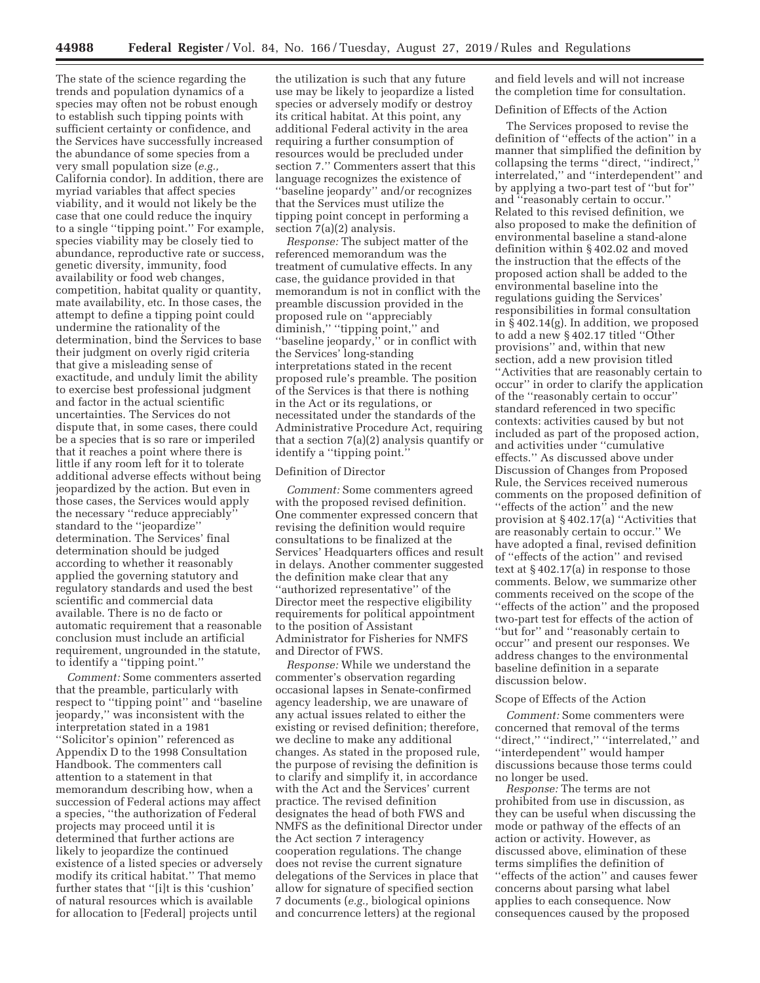The state of the science regarding the trends and population dynamics of a species may often not be robust enough to establish such tipping points with sufficient certainty or confidence, and the Services have successfully increased the abundance of some species from a very small population size (*e.g.,*  California condor). In addition, there are myriad variables that affect species viability, and it would not likely be the case that one could reduce the inquiry to a single ''tipping point.'' For example, species viability may be closely tied to abundance, reproductive rate or success, genetic diversity, immunity, food availability or food web changes, competition, habitat quality or quantity, mate availability, etc. In those cases, the attempt to define a tipping point could undermine the rationality of the determination, bind the Services to base their judgment on overly rigid criteria that give a misleading sense of exactitude, and unduly limit the ability to exercise best professional judgment and factor in the actual scientific uncertainties. The Services do not dispute that, in some cases, there could be a species that is so rare or imperiled that it reaches a point where there is little if any room left for it to tolerate additional adverse effects without being jeopardized by the action. But even in those cases, the Services would apply the necessary ''reduce appreciably'' standard to the ''jeopardize'' determination. The Services' final determination should be judged according to whether it reasonably applied the governing statutory and regulatory standards and used the best scientific and commercial data available. There is no de facto or automatic requirement that a reasonable conclusion must include an artificial requirement, ungrounded in the statute, to identify a ''tipping point.''

*Comment:* Some commenters asserted that the preamble, particularly with respect to ''tipping point'' and ''baseline jeopardy,'' was inconsistent with the interpretation stated in a 1981 ''Solicitor's opinion'' referenced as Appendix D to the 1998 Consultation Handbook. The commenters call attention to a statement in that memorandum describing how, when a succession of Federal actions may affect a species, ''the authorization of Federal projects may proceed until it is determined that further actions are likely to jeopardize the continued existence of a listed species or adversely modify its critical habitat.'' That memo further states that ''[i]t is this 'cushion' of natural resources which is available for allocation to [Federal] projects until

the utilization is such that any future use may be likely to jeopardize a listed species or adversely modify or destroy its critical habitat. At this point, any additional Federal activity in the area requiring a further consumption of resources would be precluded under section 7.'' Commenters assert that this language recognizes the existence of ''baseline jeopardy'' and/or recognizes that the Services must utilize the tipping point concept in performing a section 7(a)(2) analysis.

*Response:* The subject matter of the referenced memorandum was the treatment of cumulative effects. In any case, the guidance provided in that memorandum is not in conflict with the preamble discussion provided in the proposed rule on ''appreciably diminish,'' ''tipping point,'' and ''baseline jeopardy,'' or in conflict with the Services' long-standing interpretations stated in the recent proposed rule's preamble. The position of the Services is that there is nothing in the Act or its regulations, or necessitated under the standards of the Administrative Procedure Act, requiring that a section 7(a)(2) analysis quantify or identify a ''tipping point.''

### Definition of Director

*Comment:* Some commenters agreed with the proposed revised definition. One commenter expressed concern that revising the definition would require consultations to be finalized at the Services' Headquarters offices and result in delays. Another commenter suggested the definition make clear that any ''authorized representative'' of the Director meet the respective eligibility requirements for political appointment to the position of Assistant Administrator for Fisheries for NMFS and Director of FWS.

*Response:* While we understand the commenter's observation regarding occasional lapses in Senate-confirmed agency leadership, we are unaware of any actual issues related to either the existing or revised definition; therefore, we decline to make any additional changes. As stated in the proposed rule, the purpose of revising the definition is to clarify and simplify it, in accordance with the Act and the Services' current practice. The revised definition designates the head of both FWS and NMFS as the definitional Director under the Act section 7 interagency cooperation regulations. The change does not revise the current signature delegations of the Services in place that allow for signature of specified section 7 documents (*e.g.,* biological opinions and concurrence letters) at the regional

and field levels and will not increase the completion time for consultation.

#### Definition of Effects of the Action

The Services proposed to revise the definition of ''effects of the action'' in a manner that simplified the definition by collapsing the terms ''direct, ''indirect,'' interrelated,'' and ''interdependent'' and by applying a two-part test of ''but for'' and ''reasonably certain to occur.'' Related to this revised definition, we also proposed to make the definition of environmental baseline a stand-alone definition within § 402.02 and moved the instruction that the effects of the proposed action shall be added to the environmental baseline into the regulations guiding the Services' responsibilities in formal consultation in § 402.14(g). In addition, we proposed to add a new § 402.17 titled ''Other provisions'' and, within that new section, add a new provision titled ''Activities that are reasonably certain to occur'' in order to clarify the application of the ''reasonably certain to occur'' standard referenced in two specific contexts: activities caused by but not included as part of the proposed action, and activities under ''cumulative effects.'' As discussed above under Discussion of Changes from Proposed Rule, the Services received numerous comments on the proposed definition of ''effects of the action'' and the new provision at § 402.17(a) ''Activities that are reasonably certain to occur.'' We have adopted a final, revised definition of ''effects of the action'' and revised text at § 402.17(a) in response to those comments. Below, we summarize other comments received on the scope of the ''effects of the action'' and the proposed two-part test for effects of the action of ''but for'' and ''reasonably certain to occur'' and present our responses. We address changes to the environmental baseline definition in a separate discussion below.

#### Scope of Effects of the Action

*Comment:* Some commenters were concerned that removal of the terms "direct," "indirect," "interrelated," and ''interdependent'' would hamper discussions because those terms could no longer be used.

*Response:* The terms are not prohibited from use in discussion, as they can be useful when discussing the mode or pathway of the effects of an action or activity. However, as discussed above, elimination of these terms simplifies the definition of ''effects of the action'' and causes fewer concerns about parsing what label applies to each consequence. Now consequences caused by the proposed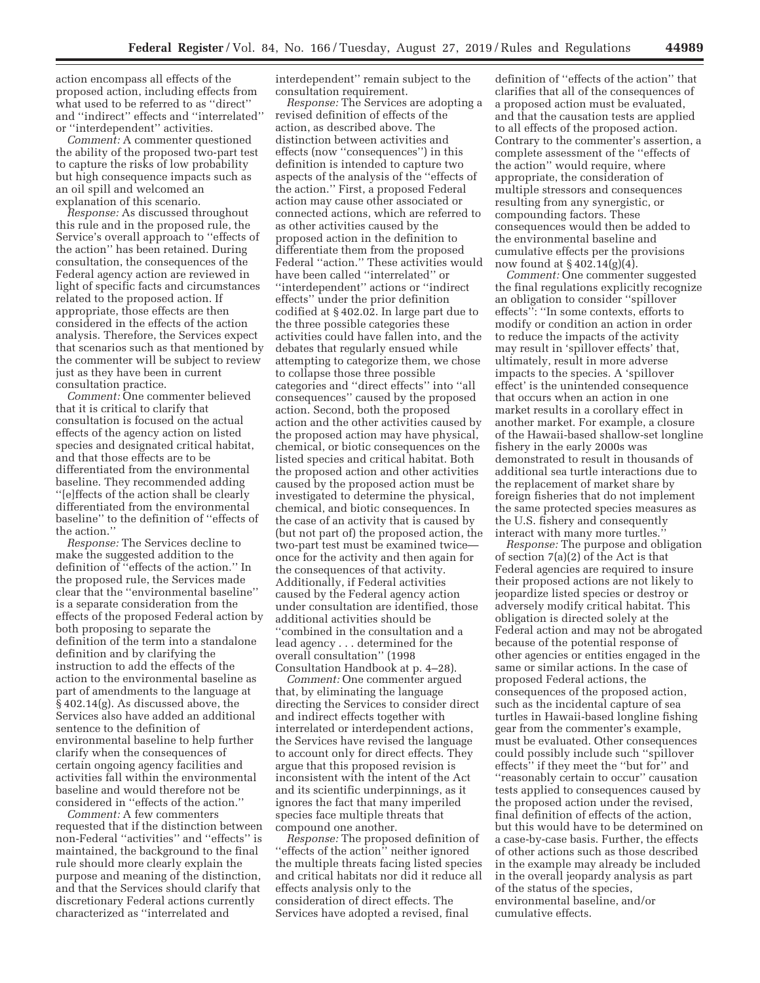action encompass all effects of the proposed action, including effects from what used to be referred to as ''direct'' and ''indirect'' effects and ''interrelated'' or ''interdependent'' activities.

*Comment:* A commenter questioned the ability of the proposed two-part test to capture the risks of low probability but high consequence impacts such as an oil spill and welcomed an explanation of this scenario.

*Response:* As discussed throughout this rule and in the proposed rule, the Service's overall approach to ''effects of the action'' has been retained. During consultation, the consequences of the Federal agency action are reviewed in light of specific facts and circumstances related to the proposed action. If appropriate, those effects are then considered in the effects of the action analysis. Therefore, the Services expect that scenarios such as that mentioned by the commenter will be subject to review just as they have been in current consultation practice.

*Comment:* One commenter believed that it is critical to clarify that consultation is focused on the actual effects of the agency action on listed species and designated critical habitat, and that those effects are to be differentiated from the environmental baseline. They recommended adding ''[e]ffects of the action shall be clearly differentiated from the environmental baseline'' to the definition of ''effects of the action.''

*Response:* The Services decline to make the suggested addition to the definition of ''effects of the action.'' In the proposed rule, the Services made clear that the ''environmental baseline'' is a separate consideration from the effects of the proposed Federal action by both proposing to separate the definition of the term into a standalone definition and by clarifying the instruction to add the effects of the action to the environmental baseline as part of amendments to the language at § 402.14(g). As discussed above, the Services also have added an additional sentence to the definition of environmental baseline to help further clarify when the consequences of certain ongoing agency facilities and activities fall within the environmental baseline and would therefore not be considered in ''effects of the action.''

*Comment:* A few commenters requested that if the distinction between non-Federal ''activities'' and ''effects'' is maintained, the background to the final rule should more clearly explain the purpose and meaning of the distinction, and that the Services should clarify that discretionary Federal actions currently characterized as ''interrelated and

interdependent'' remain subject to the consultation requirement.

*Response:* The Services are adopting a revised definition of effects of the action, as described above. The distinction between activities and effects (now ''consequences'') in this definition is intended to capture two aspects of the analysis of the ''effects of the action.'' First, a proposed Federal action may cause other associated or connected actions, which are referred to as other activities caused by the proposed action in the definition to differentiate them from the proposed Federal ''action.'' These activities would have been called ''interrelated'' or ''interdependent'' actions or ''indirect effects'' under the prior definition codified at § 402.02. In large part due to the three possible categories these activities could have fallen into, and the debates that regularly ensued while attempting to categorize them, we chose to collapse those three possible categories and ''direct effects'' into ''all consequences'' caused by the proposed action. Second, both the proposed action and the other activities caused by the proposed action may have physical, chemical, or biotic consequences on the listed species and critical habitat. Both the proposed action and other activities caused by the proposed action must be investigated to determine the physical, chemical, and biotic consequences. In the case of an activity that is caused by (but not part of) the proposed action, the two-part test must be examined twice once for the activity and then again for the consequences of that activity. Additionally, if Federal activities caused by the Federal agency action under consultation are identified, those additional activities should be ''combined in the consultation and a lead agency . . . determined for the overall consultation'' (1998 Consultation Handbook at p. 4–28).

*Comment:* One commenter argued that, by eliminating the language directing the Services to consider direct and indirect effects together with interrelated or interdependent actions, the Services have revised the language to account only for direct effects. They argue that this proposed revision is inconsistent with the intent of the Act and its scientific underpinnings, as it ignores the fact that many imperiled species face multiple threats that compound one another.

*Response:* The proposed definition of 'effects of the action" neither ignored the multiple threats facing listed species and critical habitats nor did it reduce all effects analysis only to the consideration of direct effects. The Services have adopted a revised, final

definition of ''effects of the action'' that clarifies that all of the consequences of a proposed action must be evaluated, and that the causation tests are applied to all effects of the proposed action. Contrary to the commenter's assertion, a complete assessment of the ''effects of the action'' would require, where appropriate, the consideration of multiple stressors and consequences resulting from any synergistic, or compounding factors. These consequences would then be added to the environmental baseline and cumulative effects per the provisions now found at § 402.14(g)(4).

*Comment:* One commenter suggested the final regulations explicitly recognize an obligation to consider ''spillover effects'': ''In some contexts, efforts to modify or condition an action in order to reduce the impacts of the activity may result in 'spillover effects' that, ultimately, result in more adverse impacts to the species. A 'spillover effect' is the unintended consequence that occurs when an action in one market results in a corollary effect in another market. For example, a closure of the Hawaii-based shallow-set longline fishery in the early 2000s was demonstrated to result in thousands of additional sea turtle interactions due to the replacement of market share by foreign fisheries that do not implement the same protected species measures as the U.S. fishery and consequently interact with many more turtles.''

*Response:* The purpose and obligation of section 7(a)(2) of the Act is that Federal agencies are required to insure their proposed actions are not likely to jeopardize listed species or destroy or adversely modify critical habitat. This obligation is directed solely at the Federal action and may not be abrogated because of the potential response of other agencies or entities engaged in the same or similar actions. In the case of proposed Federal actions, the consequences of the proposed action, such as the incidental capture of sea turtles in Hawaii-based longline fishing gear from the commenter's example, must be evaluated. Other consequences could possibly include such ''spillover effects'' if they meet the ''but for'' and ''reasonably certain to occur'' causation tests applied to consequences caused by the proposed action under the revised, final definition of effects of the action, but this would have to be determined on a case-by-case basis. Further, the effects of other actions such as those described in the example may already be included in the overall jeopardy analysis as part of the status of the species, environmental baseline, and/or cumulative effects.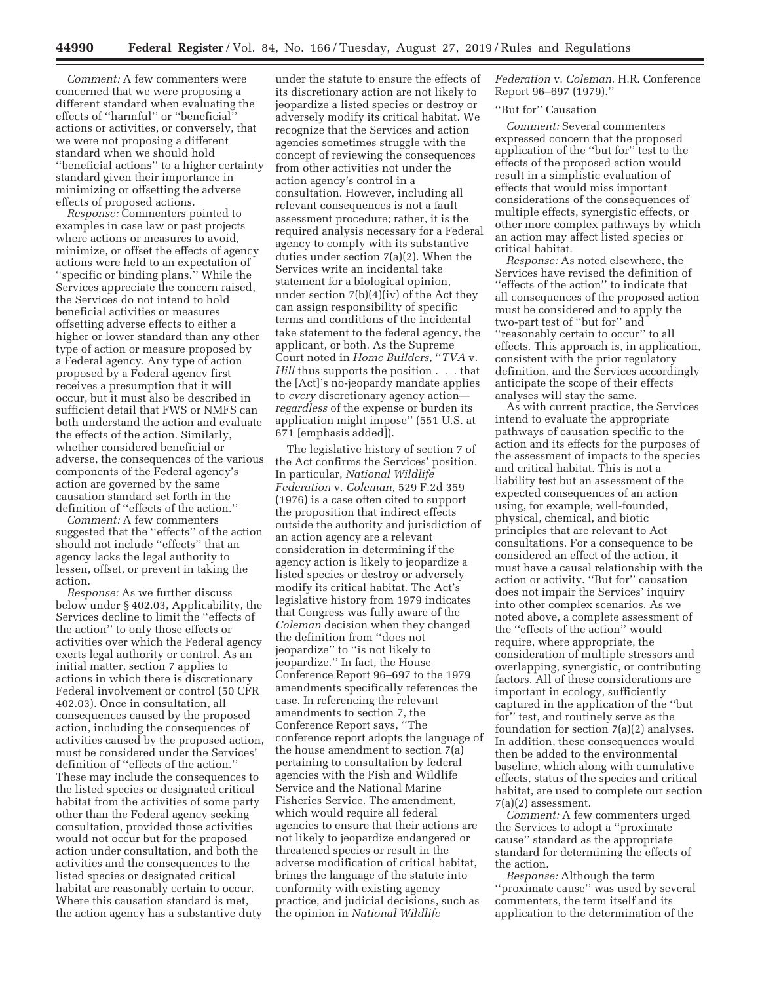*Comment:* A few commenters were concerned that we were proposing a different standard when evaluating the effects of ''harmful'' or ''beneficial'' actions or activities, or conversely, that we were not proposing a different standard when we should hold ''beneficial actions'' to a higher certainty standard given their importance in minimizing or offsetting the adverse effects of proposed actions.

*Response:* Commenters pointed to examples in case law or past projects where actions or measures to avoid, minimize, or offset the effects of agency actions were held to an expectation of ''specific or binding plans.'' While the Services appreciate the concern raised, the Services do not intend to hold beneficial activities or measures offsetting adverse effects to either a higher or lower standard than any other type of action or measure proposed by a Federal agency. Any type of action proposed by a Federal agency first receives a presumption that it will occur, but it must also be described in sufficient detail that FWS or NMFS can both understand the action and evaluate the effects of the action. Similarly, whether considered beneficial or adverse, the consequences of the various components of the Federal agency's action are governed by the same causation standard set forth in the definition of ''effects of the action.''

*Comment:* A few commenters suggested that the ''effects'' of the action should not include ''effects'' that an agency lacks the legal authority to lessen, offset, or prevent in taking the action.

*Response:* As we further discuss below under § 402.03, Applicability, the Services decline to limit the ''effects of the action'' to only those effects or activities over which the Federal agency exerts legal authority or control. As an initial matter, section 7 applies to actions in which there is discretionary Federal involvement or control (50 CFR 402.03). Once in consultation, all consequences caused by the proposed action, including the consequences of activities caused by the proposed action, must be considered under the Services' definition of ''effects of the action.'' These may include the consequences to the listed species or designated critical habitat from the activities of some party other than the Federal agency seeking consultation, provided those activities would not occur but for the proposed action under consultation, and both the activities and the consequences to the listed species or designated critical habitat are reasonably certain to occur. Where this causation standard is met, the action agency has a substantive duty

under the statute to ensure the effects of its discretionary action are not likely to jeopardize a listed species or destroy or adversely modify its critical habitat. We recognize that the Services and action agencies sometimes struggle with the concept of reviewing the consequences from other activities not under the action agency's control in a consultation. However, including all relevant consequences is not a fault assessment procedure; rather, it is the required analysis necessary for a Federal agency to comply with its substantive duties under section 7(a)(2). When the Services write an incidental take statement for a biological opinion, under section 7(b)(4)(iv) of the Act they can assign responsibility of specific terms and conditions of the incidental take statement to the federal agency, the applicant, or both. As the Supreme Court noted in *Home Builders,* ''*TVA* v*. Hill* thus supports the position . . . that the [Act]'s no-jeopardy mandate applies to *every* discretionary agency action *regardless* of the expense or burden its application might impose'' (551 U.S. at 671 [emphasis added]).

The legislative history of section 7 of the Act confirms the Services' position. In particular, *National Wildlife Federation* v. *Coleman,* 529 F.2d 359 (1976) is a case often cited to support the proposition that indirect effects outside the authority and jurisdiction of an action agency are a relevant consideration in determining if the agency action is likely to jeopardize a listed species or destroy or adversely modify its critical habitat. The Act's legislative history from 1979 indicates that Congress was fully aware of the *Coleman* decision when they changed the definition from ''does not jeopardize'' to ''is not likely to jeopardize.'' In fact, the House Conference Report 96–697 to the 1979 amendments specifically references the case. In referencing the relevant amendments to section 7, the Conference Report says, ''The conference report adopts the language of the house amendment to section 7(a) pertaining to consultation by federal agencies with the Fish and Wildlife Service and the National Marine Fisheries Service. The amendment, which would require all federal agencies to ensure that their actions are not likely to jeopardize endangered or threatened species or result in the adverse modification of critical habitat, brings the language of the statute into conformity with existing agency practice, and judicial decisions, such as the opinion in *National Wildlife* 

*Federation* v. *Coleman.* H.R. Conference Report 96–697 (1979).''

## "But for" Causation

*Comment:* Several commenters expressed concern that the proposed application of the ''but for'' test to the effects of the proposed action would result in a simplistic evaluation of effects that would miss important considerations of the consequences of multiple effects, synergistic effects, or other more complex pathways by which an action may affect listed species or critical habitat.

*Response:* As noted elsewhere, the Services have revised the definition of ''effects of the action'' to indicate that all consequences of the proposed action must be considered and to apply the two-part test of ''but for'' and ''reasonably certain to occur'' to all effects. This approach is, in application, consistent with the prior regulatory definition, and the Services accordingly anticipate the scope of their effects analyses will stay the same.

As with current practice, the Services intend to evaluate the appropriate pathways of causation specific to the action and its effects for the purposes of the assessment of impacts to the species and critical habitat. This is not a liability test but an assessment of the expected consequences of an action using, for example, well-founded, physical, chemical, and biotic principles that are relevant to Act consultations. For a consequence to be considered an effect of the action, it must have a causal relationship with the action or activity. ''But for'' causation does not impair the Services' inquiry into other complex scenarios. As we noted above, a complete assessment of the ''effects of the action'' would require, where appropriate, the consideration of multiple stressors and overlapping, synergistic, or contributing factors. All of these considerations are important in ecology, sufficiently captured in the application of the ''but for'' test, and routinely serve as the foundation for section 7(a)(2) analyses. In addition, these consequences would then be added to the environmental baseline, which along with cumulative effects, status of the species and critical habitat, are used to complete our section 7(a)(2) assessment.

*Comment:* A few commenters urged the Services to adopt a ''proximate cause'' standard as the appropriate standard for determining the effects of the action.

*Response:* Although the term ''proximate cause'' was used by several commenters, the term itself and its application to the determination of the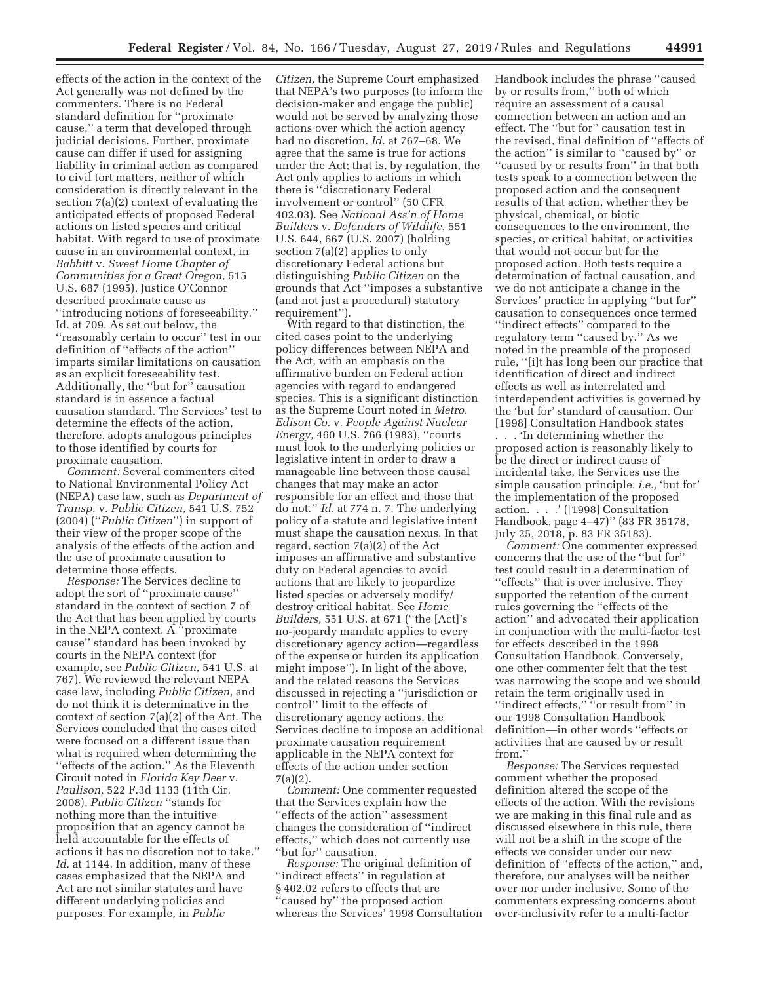effects of the action in the context of the Act generally was not defined by the commenters. There is no Federal standard definition for ''proximate cause,'' a term that developed through judicial decisions. Further, proximate cause can differ if used for assigning liability in criminal action as compared to civil tort matters, neither of which consideration is directly relevant in the section 7(a)(2) context of evaluating the anticipated effects of proposed Federal actions on listed species and critical habitat. With regard to use of proximate cause in an environmental context, in *Babbitt* v. *Sweet Home Chapter of Communities for a Great Oregon,* 515 U.S. 687 (1995), Justice O'Connor described proximate cause as ''introducing notions of foreseeability.'' Id. at 709. As set out below, the ''reasonably certain to occur'' test in our definition of ''effects of the action'' imparts similar limitations on causation as an explicit foreseeability test. Additionally, the ''but for'' causation standard is in essence a factual causation standard. The Services' test to determine the effects of the action, therefore, adopts analogous principles to those identified by courts for proximate causation.

*Comment:* Several commenters cited to National Environmental Policy Act (NEPA) case law, such as *Department of Transp.* v. *Public Citizen,* 541 U.S. 752 (2004) (''*Public Citizen*'') in support of their view of the proper scope of the analysis of the effects of the action and the use of proximate causation to determine those effects.

*Response:* The Services decline to adopt the sort of ''proximate cause'' standard in the context of section 7 of the Act that has been applied by courts in the NEPA context. A ''proximate cause'' standard has been invoked by courts in the NEPA context (for example, see *Public Citizen,* 541 U.S. at 767). We reviewed the relevant NEPA case law, including *Public Citizen,* and do not think it is determinative in the context of section 7(a)(2) of the Act. The Services concluded that the cases cited were focused on a different issue than what is required when determining the ''effects of the action.'' As the Eleventh Circuit noted in *Florida Key Deer* v. *Paulison,* 522 F.3d 1133 (11th Cir. 2008), *Public Citizen* ''stands for nothing more than the intuitive proposition that an agency cannot be held accountable for the effects of actions it has no discretion not to take.'' *Id.* at 1144. In addition, many of these cases emphasized that the NEPA and Act are not similar statutes and have different underlying policies and purposes. For example, in *Public* 

*Citizen,* the Supreme Court emphasized that NEPA's two purposes (to inform the decision-maker and engage the public) would not be served by analyzing those actions over which the action agency had no discretion. *Id.* at 767–68. We agree that the same is true for actions under the Act; that is, by regulation, the Act only applies to actions in which there is ''discretionary Federal involvement or control'' (50 CFR 402.03). See *National Ass'n of Home Builders* v. *Defenders of Wildlife,* 551 U.S. 644, 667 (U.S. 2007) (holding section 7(a)(2) applies to only discretionary Federal actions but distinguishing *Public Citizen* on the grounds that Act ''imposes a substantive (and not just a procedural) statutory requirement'').

With regard to that distinction, the cited cases point to the underlying policy differences between NEPA and the Act, with an emphasis on the affirmative burden on Federal action agencies with regard to endangered species. This is a significant distinction as the Supreme Court noted in *Metro. Edison Co.* v. *People Against Nuclear Energy,* 460 U.S. 766 (1983), ''courts must look to the underlying policies or legislative intent in order to draw a manageable line between those causal changes that may make an actor responsible for an effect and those that do not.'' *Id.* at 774 n. 7. The underlying policy of a statute and legislative intent must shape the causation nexus. In that regard, section 7(a)(2) of the Act imposes an affirmative and substantive duty on Federal agencies to avoid actions that are likely to jeopardize listed species or adversely modify/ destroy critical habitat. See *Home Builders,* 551 U.S. at 671 (''the [Act]'s no-jeopardy mandate applies to every discretionary agency action—regardless of the expense or burden its application might impose''). In light of the above, and the related reasons the Services discussed in rejecting a ''jurisdiction or control'' limit to the effects of discretionary agency actions, the Services decline to impose an additional proximate causation requirement applicable in the NEPA context for effects of the action under section 7(a)(2).

*Comment:* One commenter requested that the Services explain how the ''effects of the action'' assessment changes the consideration of ''indirect effects,'' which does not currently use "but for" causation.

*Response:* The original definition of ''indirect effects'' in regulation at § 402.02 refers to effects that are ''caused by'' the proposed action whereas the Services' 1998 Consultation

Handbook includes the phrase ''caused by or results from,'' both of which require an assessment of a causal connection between an action and an effect. The ''but for'' causation test in the revised, final definition of ''effects of the action'' is similar to ''caused by'' or ''caused by or results from'' in that both tests speak to a connection between the proposed action and the consequent results of that action, whether they be physical, chemical, or biotic consequences to the environment, the species, or critical habitat, or activities that would not occur but for the proposed action. Both tests require a determination of factual causation, and we do not anticipate a change in the Services' practice in applying ''but for'' causation to consequences once termed ''indirect effects'' compared to the regulatory term ''caused by.'' As we noted in the preamble of the proposed rule, ''[i]t has long been our practice that identification of direct and indirect effects as well as interrelated and interdependent activities is governed by the 'but for' standard of causation. Our [1998] Consultation Handbook states

. . . 'In determining whether the proposed action is reasonably likely to be the direct or indirect cause of incidental take, the Services use the simple causation principle: *i.e.,* 'but for' the implementation of the proposed action. . . .' ([1998] Consultation Handbook, page 4–47)'' (83 FR 35178, July 25, 2018, p. 83 FR 35183).

*Comment:* One commenter expressed concerns that the use of the ''but for'' test could result in a determination of ''effects'' that is over inclusive. They supported the retention of the current rules governing the ''effects of the action'' and advocated their application in conjunction with the multi-factor test for effects described in the 1998 Consultation Handbook. Conversely, one other commenter felt that the test was narrowing the scope and we should retain the term originally used in ''indirect effects,'' ''or result from'' in our 1998 Consultation Handbook definition—in other words ''effects or activities that are caused by or result from.''

*Response:* The Services requested comment whether the proposed definition altered the scope of the effects of the action. With the revisions we are making in this final rule and as discussed elsewhere in this rule, there will not be a shift in the scope of the effects we consider under our new definition of ''effects of the action,'' and, therefore, our analyses will be neither over nor under inclusive. Some of the commenters expressing concerns about over-inclusivity refer to a multi-factor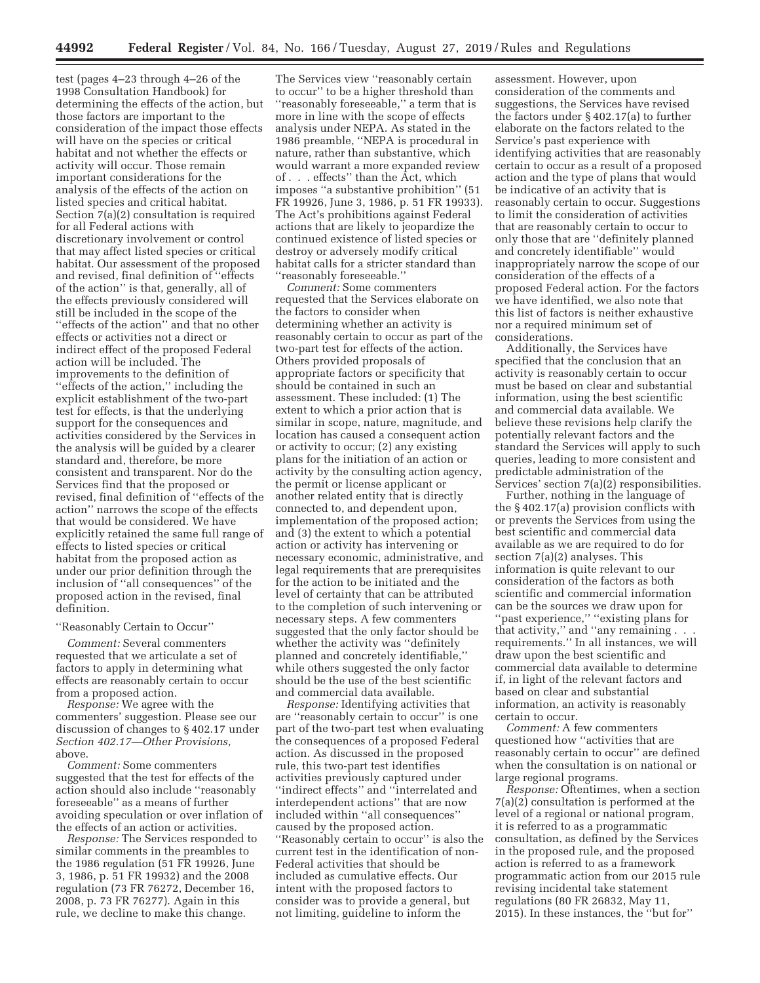test (pages 4–23 through 4–26 of the 1998 Consultation Handbook) for determining the effects of the action, but those factors are important to the consideration of the impact those effects will have on the species or critical habitat and not whether the effects or activity will occur. Those remain important considerations for the analysis of the effects of the action on listed species and critical habitat. Section 7(a)(2) consultation is required for all Federal actions with discretionary involvement or control that may affect listed species or critical habitat. Our assessment of the proposed and revised, final definition of ''effects of the action'' is that, generally, all of the effects previously considered will still be included in the scope of the ''effects of the action'' and that no other effects or activities not a direct or indirect effect of the proposed Federal action will be included. The improvements to the definition of ''effects of the action,'' including the explicit establishment of the two-part test for effects, is that the underlying support for the consequences and activities considered by the Services in the analysis will be guided by a clearer standard and, therefore, be more consistent and transparent. Nor do the Services find that the proposed or revised, final definition of ''effects of the action'' narrows the scope of the effects that would be considered. We have explicitly retained the same full range of effects to listed species or critical habitat from the proposed action as under our prior definition through the inclusion of ''all consequences'' of the proposed action in the revised, final definition.

#### ''Reasonably Certain to Occur''

*Comment:* Several commenters requested that we articulate a set of factors to apply in determining what effects are reasonably certain to occur from a proposed action.

*Response:* We agree with the commenters' suggestion. Please see our discussion of changes to § 402.17 under *Section 402.17—Other Provisions,*  above.

*Comment:* Some commenters suggested that the test for effects of the action should also include ''reasonably foreseeable'' as a means of further avoiding speculation or over inflation of the effects of an action or activities.

*Response:* The Services responded to similar comments in the preambles to the 1986 regulation (51 FR 19926, June 3, 1986, p. 51 FR 19932) and the 2008 regulation (73 FR 76272, December 16, 2008, p. 73 FR 76277). Again in this rule, we decline to make this change.

The Services view ''reasonably certain to occur'' to be a higher threshold than ''reasonably foreseeable,'' a term that is more in line with the scope of effects analysis under NEPA. As stated in the 1986 preamble, ''NEPA is procedural in nature, rather than substantive, which would warrant a more expanded review of . . . effects'' than the Act, which imposes ''a substantive prohibition'' (51 FR 19926, June 3, 1986, p. 51 FR 19933). The Act's prohibitions against Federal actions that are likely to jeopardize the continued existence of listed species or destroy or adversely modify critical habitat calls for a stricter standard than ''reasonably foreseeable.''

*Comment:* Some commenters requested that the Services elaborate on the factors to consider when determining whether an activity is reasonably certain to occur as part of the two-part test for effects of the action. Others provided proposals of appropriate factors or specificity that should be contained in such an assessment. These included: (1) The extent to which a prior action that is similar in scope, nature, magnitude, and location has caused a consequent action or activity to occur; (2) any existing plans for the initiation of an action or activity by the consulting action agency, the permit or license applicant or another related entity that is directly connected to, and dependent upon, implementation of the proposed action; and (3) the extent to which a potential action or activity has intervening or necessary economic, administrative, and legal requirements that are prerequisites for the action to be initiated and the level of certainty that can be attributed to the completion of such intervening or necessary steps. A few commenters suggested that the only factor should be whether the activity was ''definitely planned and concretely identifiable,'' while others suggested the only factor should be the use of the best scientific and commercial data available.

*Response:* Identifying activities that are ''reasonably certain to occur'' is one part of the two-part test when evaluating the consequences of a proposed Federal action. As discussed in the proposed rule, this two-part test identifies activities previously captured under ''indirect effects'' and ''interrelated and interdependent actions'' that are now included within ''all consequences'' caused by the proposed action. ''Reasonably certain to occur'' is also the current test in the identification of non-Federal activities that should be included as cumulative effects. Our intent with the proposed factors to consider was to provide a general, but not limiting, guideline to inform the

assessment. However, upon consideration of the comments and suggestions, the Services have revised the factors under § 402.17(a) to further elaborate on the factors related to the Service's past experience with identifying activities that are reasonably certain to occur as a result of a proposed action and the type of plans that would be indicative of an activity that is reasonably certain to occur. Suggestions to limit the consideration of activities that are reasonably certain to occur to only those that are ''definitely planned and concretely identifiable'' would inappropriately narrow the scope of our consideration of the effects of a proposed Federal action. For the factors we have identified, we also note that this list of factors is neither exhaustive nor a required minimum set of considerations.

Additionally, the Services have specified that the conclusion that an activity is reasonably certain to occur must be based on clear and substantial information, using the best scientific and commercial data available. We believe these revisions help clarify the potentially relevant factors and the standard the Services will apply to such queries, leading to more consistent and predictable administration of the Services' section 7(a)(2) responsibilities.

Further, nothing in the language of the § 402.17(a) provision conflicts with or prevents the Services from using the best scientific and commercial data available as we are required to do for section 7(a)(2) analyses. This information is quite relevant to our consideration of the factors as both scientific and commercial information can be the sources we draw upon for ''past experience,'' ''existing plans for that activity,'' and ''any remaining . . . requirements.'' In all instances, we will draw upon the best scientific and commercial data available to determine if, in light of the relevant factors and based on clear and substantial information, an activity is reasonably certain to occur.

*Comment:* A few commenters questioned how ''activities that are reasonably certain to occur'' are defined when the consultation is on national or large regional programs.

*Response:* Oftentimes, when a section 7(a)(2) consultation is performed at the level of a regional or national program, it is referred to as a programmatic consultation, as defined by the Services in the proposed rule, and the proposed action is referred to as a framework programmatic action from our 2015 rule revising incidental take statement regulations (80 FR 26832, May 11, 2015). In these instances, the ''but for''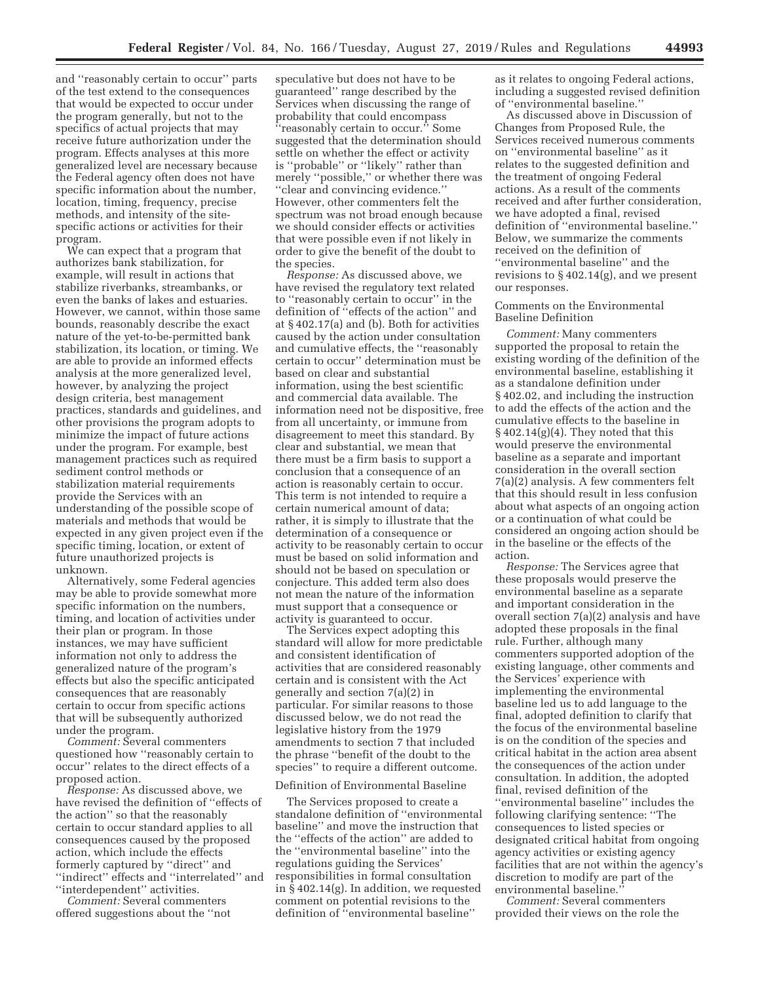and ''reasonably certain to occur'' parts of the test extend to the consequences that would be expected to occur under the program generally, but not to the specifics of actual projects that may receive future authorization under the program. Effects analyses at this more generalized level are necessary because the Federal agency often does not have specific information about the number, location, timing, frequency, precise methods, and intensity of the sitespecific actions or activities for their program.

We can expect that a program that authorizes bank stabilization, for example, will result in actions that stabilize riverbanks, streambanks, or even the banks of lakes and estuaries. However, we cannot, within those same bounds, reasonably describe the exact nature of the yet-to-be-permitted bank stabilization, its location, or timing. We are able to provide an informed effects analysis at the more generalized level, however, by analyzing the project design criteria, best management practices, standards and guidelines, and other provisions the program adopts to minimize the impact of future actions under the program. For example, best management practices such as required sediment control methods or stabilization material requirements provide the Services with an understanding of the possible scope of materials and methods that would be expected in any given project even if the specific timing, location, or extent of future unauthorized projects is unknown.

Alternatively, some Federal agencies may be able to provide somewhat more specific information on the numbers, timing, and location of activities under their plan or program. In those instances, we may have sufficient information not only to address the generalized nature of the program's effects but also the specific anticipated consequences that are reasonably certain to occur from specific actions that will be subsequently authorized under the program.

*Comment:* Several commenters questioned how ''reasonably certain to occur'' relates to the direct effects of a proposed action.

*Response:* As discussed above, we have revised the definition of ''effects of the action'' so that the reasonably certain to occur standard applies to all consequences caused by the proposed action, which include the effects formerly captured by ''direct'' and ''indirect'' effects and ''interrelated'' and ''interdependent'' activities.

*Comment:* Several commenters offered suggestions about the ''not speculative but does not have to be guaranteed'' range described by the Services when discussing the range of probability that could encompass ''reasonably certain to occur.'' Some suggested that the determination should settle on whether the effect or activity is ''probable'' or ''likely'' rather than merely ''possible,'' or whether there was ''clear and convincing evidence.'' However, other commenters felt the spectrum was not broad enough because we should consider effects or activities that were possible even if not likely in order to give the benefit of the doubt to the species.

*Response:* As discussed above, we have revised the regulatory text related to ''reasonably certain to occur'' in the definition of ''effects of the action'' and at § 402.17(a) and (b). Both for activities caused by the action under consultation and cumulative effects, the ''reasonably certain to occur'' determination must be based on clear and substantial information, using the best scientific and commercial data available. The information need not be dispositive, free from all uncertainty, or immune from disagreement to meet this standard. By clear and substantial, we mean that there must be a firm basis to support a conclusion that a consequence of an action is reasonably certain to occur. This term is not intended to require a certain numerical amount of data; rather, it is simply to illustrate that the determination of a consequence or activity to be reasonably certain to occur must be based on solid information and should not be based on speculation or conjecture. This added term also does not mean the nature of the information must support that a consequence or activity is guaranteed to occur.

The Services expect adopting this standard will allow for more predictable and consistent identification of activities that are considered reasonably certain and is consistent with the Act generally and section 7(a)(2) in particular. For similar reasons to those discussed below, we do not read the legislative history from the 1979 amendments to section 7 that included the phrase ''benefit of the doubt to the species'' to require a different outcome.

#### Definition of Environmental Baseline

The Services proposed to create a standalone definition of ''environmental baseline'' and move the instruction that the ''effects of the action'' are added to the ''environmental baseline'' into the regulations guiding the Services' responsibilities in formal consultation in § 402.14(g). In addition, we requested comment on potential revisions to the definition of ''environmental baseline''

as it relates to ongoing Federal actions, including a suggested revised definition of ''environmental baseline.''

As discussed above in Discussion of Changes from Proposed Rule, the Services received numerous comments on ''environmental baseline'' as it relates to the suggested definition and the treatment of ongoing Federal actions. As a result of the comments received and after further consideration, we have adopted a final, revised definition of ''environmental baseline.'' Below, we summarize the comments received on the definition of ''environmental baseline'' and the revisions to § 402.14(g), and we present our responses.

# Comments on the Environmental Baseline Definition

*Comment:* Many commenters supported the proposal to retain the existing wording of the definition of the environmental baseline, establishing it as a standalone definition under § 402.02, and including the instruction to add the effects of the action and the cumulative effects to the baseline in  $§402.14(g)(4)$ . They noted that this would preserve the environmental baseline as a separate and important consideration in the overall section 7(a)(2) analysis. A few commenters felt that this should result in less confusion about what aspects of an ongoing action or a continuation of what could be considered an ongoing action should be in the baseline or the effects of the action.

*Response:* The Services agree that these proposals would preserve the environmental baseline as a separate and important consideration in the overall section 7(a)(2) analysis and have adopted these proposals in the final rule. Further, although many commenters supported adoption of the existing language, other comments and the Services' experience with implementing the environmental baseline led us to add language to the final, adopted definition to clarify that the focus of the environmental baseline is on the condition of the species and critical habitat in the action area absent the consequences of the action under consultation. In addition, the adopted final, revised definition of the ''environmental baseline'' includes the following clarifying sentence: ''The consequences to listed species or designated critical habitat from ongoing agency activities or existing agency facilities that are not within the agency's discretion to modify are part of the environmental baseline.''

*Comment:* Several commenters provided their views on the role the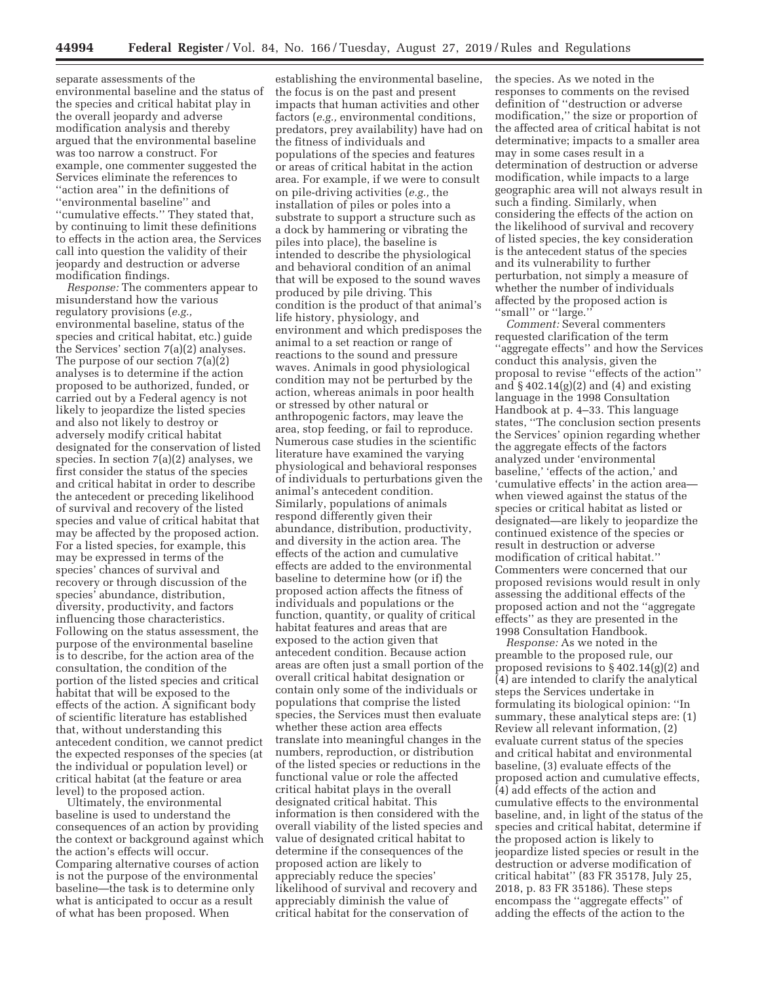separate assessments of the environmental baseline and the status of the species and critical habitat play in the overall jeopardy and adverse modification analysis and thereby argued that the environmental baseline was too narrow a construct. For example, one commenter suggested the Services eliminate the references to ''action area'' in the definitions of ''environmental baseline'' and ''cumulative effects.'' They stated that, by continuing to limit these definitions to effects in the action area, the Services call into question the validity of their jeopardy and destruction or adverse modification findings.

*Response:* The commenters appear to misunderstand how the various regulatory provisions (*e.g.,*  environmental baseline, status of the species and critical habitat, etc.) guide the Services' section 7(a)(2) analyses. The purpose of our section 7(a)(2) analyses is to determine if the action proposed to be authorized, funded, or carried out by a Federal agency is not likely to jeopardize the listed species and also not likely to destroy or adversely modify critical habitat designated for the conservation of listed species. In section 7(a)(2) analyses, we first consider the status of the species and critical habitat in order to describe the antecedent or preceding likelihood of survival and recovery of the listed species and value of critical habitat that may be affected by the proposed action. For a listed species, for example, this may be expressed in terms of the species' chances of survival and recovery or through discussion of the species' abundance, distribution, diversity, productivity, and factors influencing those characteristics. Following on the status assessment, the purpose of the environmental baseline is to describe, for the action area of the consultation, the condition of the portion of the listed species and critical habitat that will be exposed to the effects of the action. A significant body of scientific literature has established that, without understanding this antecedent condition, we cannot predict the expected responses of the species (at the individual or population level) or critical habitat (at the feature or area level) to the proposed action.

Ultimately, the environmental baseline is used to understand the consequences of an action by providing the context or background against which the action's effects will occur. Comparing alternative courses of action is not the purpose of the environmental baseline—the task is to determine only what is anticipated to occur as a result of what has been proposed. When

establishing the environmental baseline, the focus is on the past and present impacts that human activities and other factors (*e.g.,* environmental conditions, predators, prey availability) have had on the fitness of individuals and populations of the species and features or areas of critical habitat in the action area. For example, if we were to consult on pile-driving activities (*e.g.,* the installation of piles or poles into a substrate to support a structure such as a dock by hammering or vibrating the piles into place), the baseline is intended to describe the physiological and behavioral condition of an animal that will be exposed to the sound waves produced by pile driving. This condition is the product of that animal's life history, physiology, and environment and which predisposes the animal to a set reaction or range of reactions to the sound and pressure waves. Animals in good physiological condition may not be perturbed by the action, whereas animals in poor health or stressed by other natural or anthropogenic factors, may leave the area, stop feeding, or fail to reproduce. Numerous case studies in the scientific literature have examined the varying physiological and behavioral responses of individuals to perturbations given the animal's antecedent condition. Similarly, populations of animals respond differently given their abundance, distribution, productivity, and diversity in the action area. The effects of the action and cumulative effects are added to the environmental baseline to determine how (or if) the proposed action affects the fitness of individuals and populations or the function, quantity, or quality of critical habitat features and areas that are exposed to the action given that antecedent condition. Because action areas are often just a small portion of the overall critical habitat designation or contain only some of the individuals or populations that comprise the listed species, the Services must then evaluate whether these action area effects translate into meaningful changes in the numbers, reproduction, or distribution of the listed species or reductions in the functional value or role the affected critical habitat plays in the overall designated critical habitat. This information is then considered with the overall viability of the listed species and value of designated critical habitat to determine if the consequences of the proposed action are likely to appreciably reduce the species' likelihood of survival and recovery and appreciably diminish the value of critical habitat for the conservation of

the species. As we noted in the responses to comments on the revised definition of ''destruction or adverse modification,'' the size or proportion of the affected area of critical habitat is not determinative; impacts to a smaller area may in some cases result in a determination of destruction or adverse modification, while impacts to a large geographic area will not always result in such a finding. Similarly, when considering the effects of the action on the likelihood of survival and recovery of listed species, the key consideration is the antecedent status of the species and its vulnerability to further perturbation, not simply a measure of whether the number of individuals affected by the proposed action is "small" or "large."

*Comment:* Several commenters requested clarification of the term ''aggregate effects'' and how the Services conduct this analysis, given the proposal to revise ''effects of the action'' and  $\S 402.14(g)(2)$  and  $(4)$  and existing language in the 1998 Consultation Handbook at p. 4–33. This language states, ''The conclusion section presents the Services' opinion regarding whether the aggregate effects of the factors analyzed under 'environmental baseline,' 'effects of the action,' and 'cumulative effects' in the action area when viewed against the status of the species or critical habitat as listed or designated—are likely to jeopardize the continued existence of the species or result in destruction or adverse modification of critical habitat.'' Commenters were concerned that our proposed revisions would result in only assessing the additional effects of the proposed action and not the ''aggregate effects'' as they are presented in the 1998 Consultation Handbook.

*Response:* As we noted in the preamble to the proposed rule, our proposed revisions to § 402.14(g)(2) and (4) are intended to clarify the analytical steps the Services undertake in formulating its biological opinion: ''In summary, these analytical steps are: (1) Review all relevant information, (2) evaluate current status of the species and critical habitat and environmental baseline, (3) evaluate effects of the proposed action and cumulative effects, (4) add effects of the action and cumulative effects to the environmental baseline, and, in light of the status of the species and critical habitat, determine if the proposed action is likely to jeopardize listed species or result in the destruction or adverse modification of critical habitat'' (83 FR 35178, July 25, 2018, p. 83 FR 35186). These steps encompass the ''aggregate effects'' of adding the effects of the action to the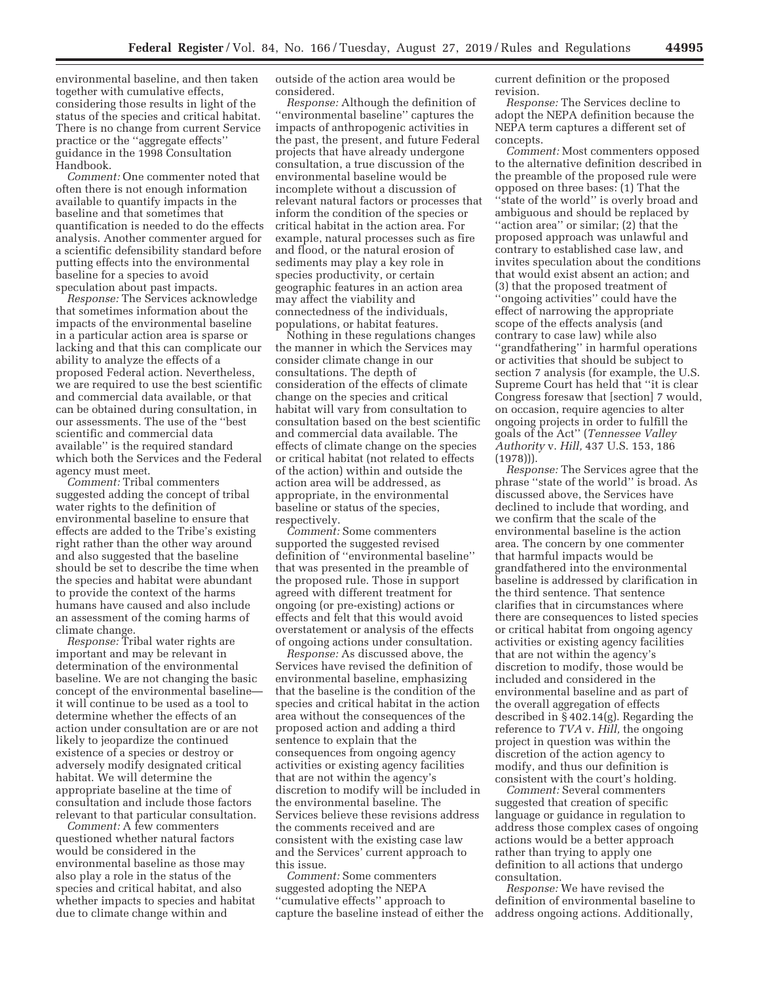environmental baseline, and then taken together with cumulative effects, considering those results in light of the status of the species and critical habitat. There is no change from current Service practice or the ''aggregate effects'' guidance in the 1998 Consultation Handbook.

*Comment:* One commenter noted that often there is not enough information available to quantify impacts in the baseline and that sometimes that quantification is needed to do the effects analysis. Another commenter argued for a scientific defensibility standard before putting effects into the environmental baseline for a species to avoid speculation about past impacts.

*Response:* The Services acknowledge that sometimes information about the impacts of the environmental baseline in a particular action area is sparse or lacking and that this can complicate our ability to analyze the effects of a proposed Federal action. Nevertheless, we are required to use the best scientific and commercial data available, or that can be obtained during consultation, in our assessments. The use of the ''best scientific and commercial data available'' is the required standard which both the Services and the Federal agency must meet.

*Comment:* Tribal commenters suggested adding the concept of tribal water rights to the definition of environmental baseline to ensure that effects are added to the Tribe's existing right rather than the other way around and also suggested that the baseline should be set to describe the time when the species and habitat were abundant to provide the context of the harms humans have caused and also include an assessment of the coming harms of climate change.

*Response:* Tribal water rights are important and may be relevant in determination of the environmental baseline. We are not changing the basic concept of the environmental baseline it will continue to be used as a tool to determine whether the effects of an action under consultation are or are not likely to jeopardize the continued existence of a species or destroy or adversely modify designated critical habitat. We will determine the appropriate baseline at the time of consultation and include those factors relevant to that particular consultation.

*Comment:* A few commenters questioned whether natural factors would be considered in the environmental baseline as those may also play a role in the status of the species and critical habitat, and also whether impacts to species and habitat due to climate change within and

outside of the action area would be considered.

*Response:* Although the definition of ''environmental baseline'' captures the impacts of anthropogenic activities in the past, the present, and future Federal projects that have already undergone consultation, a true discussion of the environmental baseline would be incomplete without a discussion of relevant natural factors or processes that inform the condition of the species or critical habitat in the action area. For example, natural processes such as fire and flood, or the natural erosion of sediments may play a key role in species productivity, or certain geographic features in an action area may affect the viability and connectedness of the individuals, populations, or habitat features.

Nothing in these regulations changes the manner in which the Services may consider climate change in our consultations. The depth of consideration of the effects of climate change on the species and critical habitat will vary from consultation to consultation based on the best scientific and commercial data available. The effects of climate change on the species or critical habitat (not related to effects of the action) within and outside the action area will be addressed, as appropriate, in the environmental baseline or status of the species, respectively.

*Comment:* Some commenters supported the suggested revised definition of ''environmental baseline'' that was presented in the preamble of the proposed rule. Those in support agreed with different treatment for ongoing (or pre-existing) actions or effects and felt that this would avoid overstatement or analysis of the effects of ongoing actions under consultation.

*Response:* As discussed above, the Services have revised the definition of environmental baseline, emphasizing that the baseline is the condition of the species and critical habitat in the action area without the consequences of the proposed action and adding a third sentence to explain that the consequences from ongoing agency activities or existing agency facilities that are not within the agency's discretion to modify will be included in the environmental baseline. The Services believe these revisions address the comments received and are consistent with the existing case law and the Services' current approach to this issue.

*Comment:* Some commenters suggested adopting the NEPA ''cumulative effects'' approach to capture the baseline instead of either the current definition or the proposed revision.

*Response:* The Services decline to adopt the NEPA definition because the NEPA term captures a different set of concepts.

*Comment:* Most commenters opposed to the alternative definition described in the preamble of the proposed rule were opposed on three bases: (1) That the ''state of the world'' is overly broad and ambiguous and should be replaced by ''action area'' or similar; (2) that the proposed approach was unlawful and contrary to established case law, and invites speculation about the conditions that would exist absent an action; and (3) that the proposed treatment of ''ongoing activities'' could have the effect of narrowing the appropriate scope of the effects analysis (and contrary to case law) while also ''grandfathering'' in harmful operations or activities that should be subject to section 7 analysis (for example, the U.S. Supreme Court has held that ''it is clear Congress foresaw that [section] 7 would, on occasion, require agencies to alter ongoing projects in order to fulfill the goals of the Act'' (*Tennessee Valley Authority* v. *Hill,* 437 U.S. 153, 186 (1978))).

*Response:* The Services agree that the phrase ''state of the world'' is broad. As discussed above, the Services have declined to include that wording, and we confirm that the scale of the environmental baseline is the action area. The concern by one commenter that harmful impacts would be grandfathered into the environmental baseline is addressed by clarification in the third sentence. That sentence clarifies that in circumstances where there are consequences to listed species or critical habitat from ongoing agency activities or existing agency facilities that are not within the agency's discretion to modify, those would be included and considered in the environmental baseline and as part of the overall aggregation of effects described in § 402.14(g). Regarding the reference to *TVA* v. *Hill,* the ongoing project in question was within the discretion of the action agency to modify, and thus our definition is consistent with the court's holding.

*Comment:* Several commenters suggested that creation of specific language or guidance in regulation to address those complex cases of ongoing actions would be a better approach rather than trying to apply one definition to all actions that undergo consultation.

*Response:* We have revised the definition of environmental baseline to address ongoing actions. Additionally,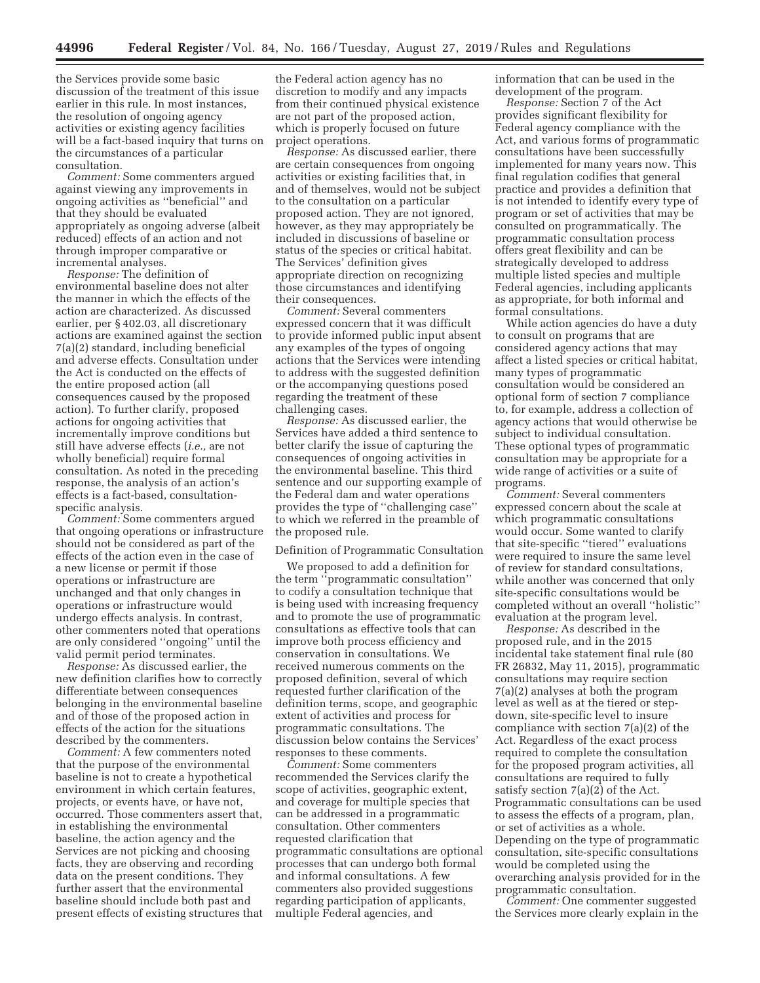the Services provide some basic discussion of the treatment of this issue earlier in this rule. In most instances, the resolution of ongoing agency activities or existing agency facilities will be a fact-based inquiry that turns on the circumstances of a particular consultation.

*Comment:* Some commenters argued against viewing any improvements in ongoing activities as ''beneficial'' and that they should be evaluated appropriately as ongoing adverse (albeit reduced) effects of an action and not through improper comparative or incremental analyses.

*Response:* The definition of environmental baseline does not alter the manner in which the effects of the action are characterized. As discussed earlier, per § 402.03, all discretionary actions are examined against the section 7(a)(2) standard, including beneficial and adverse effects. Consultation under the Act is conducted on the effects of the entire proposed action (all consequences caused by the proposed action). To further clarify, proposed actions for ongoing activities that incrementally improve conditions but still have adverse effects (*i.e.,* are not wholly beneficial) require formal consultation. As noted in the preceding response, the analysis of an action's effects is a fact-based, consultationspecific analysis.

*Comment:* Some commenters argued that ongoing operations or infrastructure should not be considered as part of the effects of the action even in the case of a new license or permit if those operations or infrastructure are unchanged and that only changes in operations or infrastructure would undergo effects analysis. In contrast, other commenters noted that operations are only considered ''ongoing'' until the valid permit period terminates.

*Response:* As discussed earlier, the new definition clarifies how to correctly differentiate between consequences belonging in the environmental baseline and of those of the proposed action in effects of the action for the situations described by the commenters.

*Comment:* A few commenters noted that the purpose of the environmental baseline is not to create a hypothetical environment in which certain features, projects, or events have, or have not, occurred. Those commenters assert that, in establishing the environmental baseline, the action agency and the Services are not picking and choosing facts, they are observing and recording data on the present conditions. They further assert that the environmental baseline should include both past and present effects of existing structures that

the Federal action agency has no discretion to modify and any impacts from their continued physical existence are not part of the proposed action, which is properly focused on future project operations.

*Response:* As discussed earlier, there are certain consequences from ongoing activities or existing facilities that, in and of themselves, would not be subject to the consultation on a particular proposed action. They are not ignored, however, as they may appropriately be included in discussions of baseline or status of the species or critical habitat. The Services' definition gives appropriate direction on recognizing those circumstances and identifying their consequences.

*Comment:* Several commenters expressed concern that it was difficult to provide informed public input absent any examples of the types of ongoing actions that the Services were intending to address with the suggested definition or the accompanying questions posed regarding the treatment of these challenging cases.

*Response:* As discussed earlier, the Services have added a third sentence to better clarify the issue of capturing the consequences of ongoing activities in the environmental baseline. This third sentence and our supporting example of the Federal dam and water operations provides the type of ''challenging case'' to which we referred in the preamble of the proposed rule.

#### Definition of Programmatic Consultation

We proposed to add a definition for the term ''programmatic consultation'' to codify a consultation technique that is being used with increasing frequency and to promote the use of programmatic consultations as effective tools that can improve both process efficiency and conservation in consultations. We received numerous comments on the proposed definition, several of which requested further clarification of the definition terms, scope, and geographic extent of activities and process for programmatic consultations. The discussion below contains the Services' responses to these comments.

*Comment:* Some commenters recommended the Services clarify the scope of activities, geographic extent, and coverage for multiple species that can be addressed in a programmatic consultation. Other commenters requested clarification that programmatic consultations are optional processes that can undergo both formal and informal consultations. A few commenters also provided suggestions regarding participation of applicants, multiple Federal agencies, and

information that can be used in the development of the program.

*Response:* Section 7 of the Act provides significant flexibility for Federal agency compliance with the Act, and various forms of programmatic consultations have been successfully implemented for many years now. This final regulation codifies that general practice and provides a definition that is not intended to identify every type of program or set of activities that may be consulted on programmatically. The programmatic consultation process offers great flexibility and can be strategically developed to address multiple listed species and multiple Federal agencies, including applicants as appropriate, for both informal and formal consultations.

While action agencies do have a duty to consult on programs that are considered agency actions that may affect a listed species or critical habitat, many types of programmatic consultation would be considered an optional form of section 7 compliance to, for example, address a collection of agency actions that would otherwise be subject to individual consultation. These optional types of programmatic consultation may be appropriate for a wide range of activities or a suite of programs.

*Comment:* Several commenters expressed concern about the scale at which programmatic consultations would occur. Some wanted to clarify that site-specific ''tiered'' evaluations were required to insure the same level of review for standard consultations, while another was concerned that only site-specific consultations would be completed without an overall ''holistic'' evaluation at the program level.

*Response:* As described in the proposed rule, and in the 2015 incidental take statement final rule (80 FR 26832, May 11, 2015), programmatic consultations may require section 7(a)(2) analyses at both the program level as well as at the tiered or stepdown, site-specific level to insure compliance with section 7(a)(2) of the Act. Regardless of the exact process required to complete the consultation for the proposed program activities, all consultations are required to fully satisfy section  $7(a)(2)$  of the Act. Programmatic consultations can be used to assess the effects of a program, plan, or set of activities as a whole. Depending on the type of programmatic consultation, site-specific consultations would be completed using the overarching analysis provided for in the programmatic consultation.

*Comment:* One commenter suggested the Services more clearly explain in the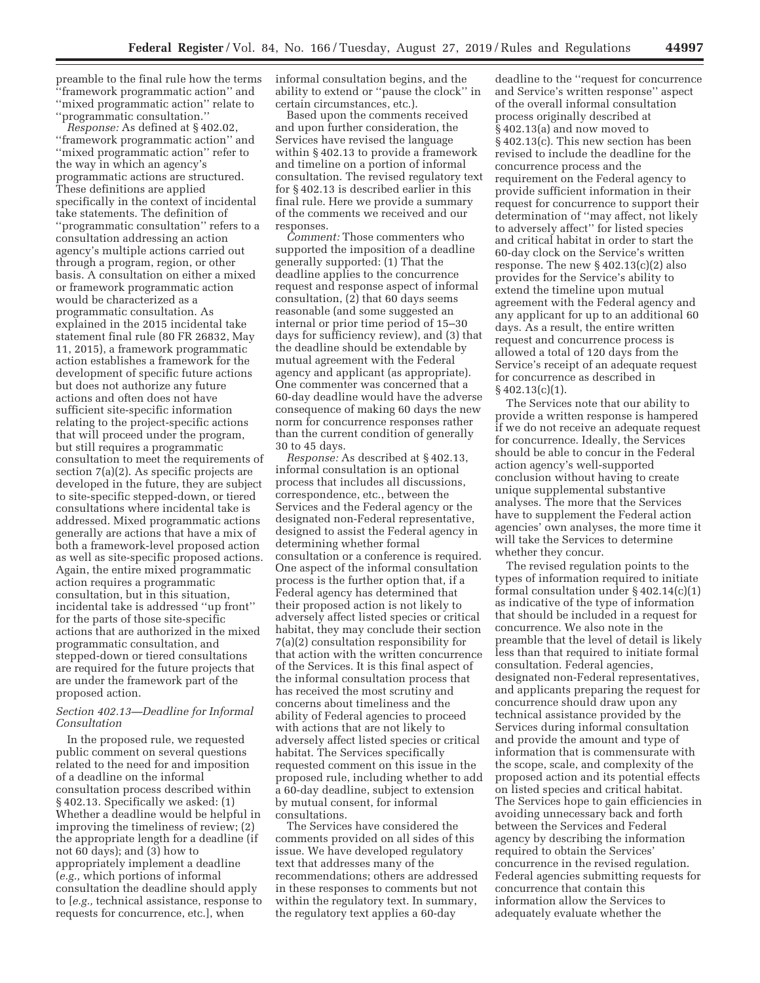preamble to the final rule how the terms ''framework programmatic action'' and ''mixed programmatic action'' relate to ''programmatic consultation.''

*Response:* As defined at § 402.02, ''framework programmatic action'' and ''mixed programmatic action'' refer to the way in which an agency's programmatic actions are structured. These definitions are applied specifically in the context of incidental take statements. The definition of ''programmatic consultation'' refers to a consultation addressing an action agency's multiple actions carried out through a program, region, or other basis. A consultation on either a mixed or framework programmatic action would be characterized as a programmatic consultation. As explained in the 2015 incidental take statement final rule (80 FR 26832, May 11, 2015), a framework programmatic action establishes a framework for the development of specific future actions but does not authorize any future actions and often does not have sufficient site-specific information relating to the project-specific actions that will proceed under the program, but still requires a programmatic consultation to meet the requirements of section 7(a)(2). As specific projects are developed in the future, they are subject to site-specific stepped-down, or tiered consultations where incidental take is addressed. Mixed programmatic actions generally are actions that have a mix of both a framework-level proposed action as well as site-specific proposed actions. Again, the entire mixed programmatic action requires a programmatic consultation, but in this situation, incidental take is addressed ''up front'' for the parts of those site-specific actions that are authorized in the mixed programmatic consultation, and stepped-down or tiered consultations are required for the future projects that are under the framework part of the proposed action.

### *Section 402.13—Deadline for Informal Consultation*

In the proposed rule, we requested public comment on several questions related to the need for and imposition of a deadline on the informal consultation process described within § 402.13. Specifically we asked: (1) Whether a deadline would be helpful in improving the timeliness of review; (2) the appropriate length for a deadline (if not 60 days); and (3) how to appropriately implement a deadline (*e.g.,* which portions of informal consultation the deadline should apply to [*e.g.,* technical assistance, response to requests for concurrence, etc.], when

informal consultation begins, and the ability to extend or ''pause the clock'' in certain circumstances, etc.).

Based upon the comments received and upon further consideration, the Services have revised the language within § 402.13 to provide a framework and timeline on a portion of informal consultation. The revised regulatory text for § 402.13 is described earlier in this final rule. Here we provide a summary of the comments we received and our responses.

*Comment:* Those commenters who supported the imposition of a deadline generally supported: (1) That the deadline applies to the concurrence request and response aspect of informal consultation, (2) that 60 days seems reasonable (and some suggested an internal or prior time period of 15–30 days for sufficiency review), and (3) that the deadline should be extendable by mutual agreement with the Federal agency and applicant (as appropriate). One commenter was concerned that a 60-day deadline would have the adverse consequence of making 60 days the new norm for concurrence responses rather than the current condition of generally 30 to 45 days.

*Response:* As described at § 402.13, informal consultation is an optional process that includes all discussions, correspondence, etc., between the Services and the Federal agency or the designated non-Federal representative, designed to assist the Federal agency in determining whether formal consultation or a conference is required. One aspect of the informal consultation process is the further option that, if a Federal agency has determined that their proposed action is not likely to adversely affect listed species or critical habitat, they may conclude their section 7(a)(2) consultation responsibility for that action with the written concurrence of the Services. It is this final aspect of the informal consultation process that has received the most scrutiny and concerns about timeliness and the ability of Federal agencies to proceed with actions that are not likely to adversely affect listed species or critical habitat. The Services specifically requested comment on this issue in the proposed rule, including whether to add a 60-day deadline, subject to extension by mutual consent, for informal consultations.

The Services have considered the comments provided on all sides of this issue. We have developed regulatory text that addresses many of the recommendations; others are addressed in these responses to comments but not within the regulatory text. In summary, the regulatory text applies a 60-day

deadline to the ''request for concurrence and Service's written response'' aspect of the overall informal consultation process originally described at § 402.13(a) and now moved to § 402.13(c). This new section has been revised to include the deadline for the concurrence process and the requirement on the Federal agency to provide sufficient information in their request for concurrence to support their determination of ''may affect, not likely to adversely affect'' for listed species and critical habitat in order to start the 60-day clock on the Service's written response. The new § 402.13(c)(2) also provides for the Service's ability to extend the timeline upon mutual agreement with the Federal agency and any applicant for up to an additional 60 days. As a result, the entire written request and concurrence process is allowed a total of 120 days from the Service's receipt of an adequate request for concurrence as described in § 402.13(c)(1).

The Services note that our ability to provide a written response is hampered if we do not receive an adequate request for concurrence. Ideally, the Services should be able to concur in the Federal action agency's well-supported conclusion without having to create unique supplemental substantive analyses. The more that the Services have to supplement the Federal action agencies' own analyses, the more time it will take the Services to determine whether they concur.

The revised regulation points to the types of information required to initiate formal consultation under § 402.14(c)(1) as indicative of the type of information that should be included in a request for concurrence. We also note in the preamble that the level of detail is likely less than that required to initiate formal consultation. Federal agencies, designated non-Federal representatives, and applicants preparing the request for concurrence should draw upon any technical assistance provided by the Services during informal consultation and provide the amount and type of information that is commensurate with the scope, scale, and complexity of the proposed action and its potential effects on listed species and critical habitat. The Services hope to gain efficiencies in avoiding unnecessary back and forth between the Services and Federal agency by describing the information required to obtain the Services' concurrence in the revised regulation. Federal agencies submitting requests for concurrence that contain this information allow the Services to adequately evaluate whether the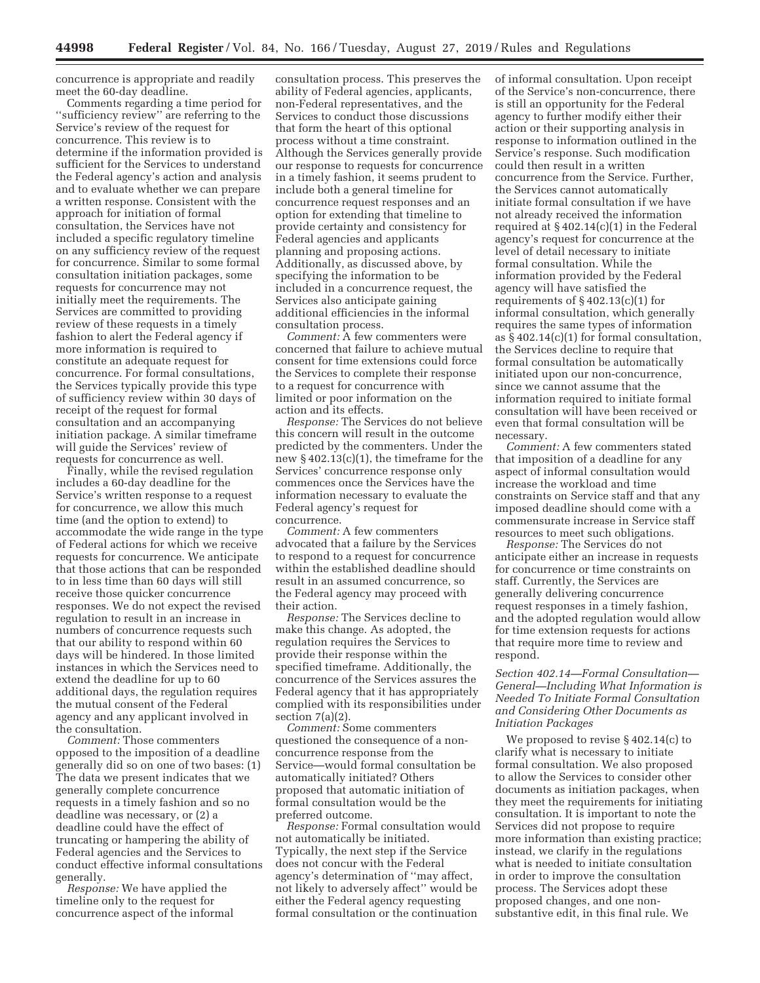concurrence is appropriate and readily meet the 60-day deadline.

Comments regarding a time period for ''sufficiency review'' are referring to the Service's review of the request for concurrence. This review is to determine if the information provided is sufficient for the Services to understand the Federal agency's action and analysis and to evaluate whether we can prepare a written response. Consistent with the approach for initiation of formal consultation, the Services have not included a specific regulatory timeline on any sufficiency review of the request for concurrence. Similar to some formal consultation initiation packages, some requests for concurrence may not initially meet the requirements. The Services are committed to providing review of these requests in a timely fashion to alert the Federal agency if more information is required to constitute an adequate request for concurrence. For formal consultations, the Services typically provide this type of sufficiency review within 30 days of receipt of the request for formal consultation and an accompanying initiation package. A similar timeframe will guide the Services' review of requests for concurrence as well.

Finally, while the revised regulation includes a 60-day deadline for the Service's written response to a request for concurrence, we allow this much time (and the option to extend) to accommodate the wide range in the type of Federal actions for which we receive requests for concurrence. We anticipate that those actions that can be responded to in less time than 60 days will still receive those quicker concurrence responses. We do not expect the revised regulation to result in an increase in numbers of concurrence requests such that our ability to respond within 60 days will be hindered. In those limited instances in which the Services need to extend the deadline for up to 60 additional days, the regulation requires the mutual consent of the Federal agency and any applicant involved in the consultation.

*Comment:* Those commenters opposed to the imposition of a deadline generally did so on one of two bases: (1) The data we present indicates that we generally complete concurrence requests in a timely fashion and so no deadline was necessary, or (2) a deadline could have the effect of truncating or hampering the ability of Federal agencies and the Services to conduct effective informal consultations generally.

*Response:* We have applied the timeline only to the request for concurrence aspect of the informal

consultation process. This preserves the ability of Federal agencies, applicants, non-Federal representatives, and the Services to conduct those discussions that form the heart of this optional process without a time constraint. Although the Services generally provide our response to requests for concurrence in a timely fashion, it seems prudent to include both a general timeline for concurrence request responses and an option for extending that timeline to provide certainty and consistency for Federal agencies and applicants planning and proposing actions. Additionally, as discussed above, by specifying the information to be included in a concurrence request, the Services also anticipate gaining additional efficiencies in the informal consultation process.

*Comment:* A few commenters were concerned that failure to achieve mutual consent for time extensions could force the Services to complete their response to a request for concurrence with limited or poor information on the action and its effects.

*Response:* The Services do not believe this concern will result in the outcome predicted by the commenters. Under the new § 402.13(c)(1), the timeframe for the Services' concurrence response only commences once the Services have the information necessary to evaluate the Federal agency's request for concurrence.

*Comment:* A few commenters advocated that a failure by the Services to respond to a request for concurrence within the established deadline should result in an assumed concurrence, so the Federal agency may proceed with their action.

*Response:* The Services decline to make this change. As adopted, the regulation requires the Services to provide their response within the specified timeframe. Additionally, the concurrence of the Services assures the Federal agency that it has appropriately complied with its responsibilities under section  $7(a)(2)$ .

*Comment:* Some commenters questioned the consequence of a nonconcurrence response from the Service—would formal consultation be automatically initiated? Others proposed that automatic initiation of formal consultation would be the preferred outcome.

*Response:* Formal consultation would not automatically be initiated. Typically, the next step if the Service does not concur with the Federal agency's determination of ''may affect, not likely to adversely affect'' would be either the Federal agency requesting formal consultation or the continuation

of informal consultation. Upon receipt of the Service's non-concurrence, there is still an opportunity for the Federal agency to further modify either their action or their supporting analysis in response to information outlined in the Service's response. Such modification could then result in a written concurrence from the Service. Further, the Services cannot automatically initiate formal consultation if we have not already received the information required at  $\S 402.14(c)(1)$  in the Federal agency's request for concurrence at the level of detail necessary to initiate formal consultation. While the information provided by the Federal agency will have satisfied the requirements of  $\S 402.13(c)(1)$  for informal consultation, which generally requires the same types of information as § 402.14(c)(1) for formal consultation, the Services decline to require that formal consultation be automatically initiated upon our non-concurrence, since we cannot assume that the information required to initiate formal consultation will have been received or even that formal consultation will be necessary.

*Comment:* A few commenters stated that imposition of a deadline for any aspect of informal consultation would increase the workload and time constraints on Service staff and that any imposed deadline should come with a commensurate increase in Service staff resources to meet such obligations.

*Response:* The Services do not anticipate either an increase in requests for concurrence or time constraints on staff. Currently, the Services are generally delivering concurrence request responses in a timely fashion, and the adopted regulation would allow for time extension requests for actions that require more time to review and respond.

## *Section 402.14—Formal Consultation— General—Including What Information is Needed To Initiate Formal Consultation and Considering Other Documents as Initiation Packages*

We proposed to revise § 402.14(c) to clarify what is necessary to initiate formal consultation. We also proposed to allow the Services to consider other documents as initiation packages, when they meet the requirements for initiating consultation. It is important to note the Services did not propose to require more information than existing practice; instead, we clarify in the regulations what is needed to initiate consultation in order to improve the consultation process. The Services adopt these proposed changes, and one nonsubstantive edit, in this final rule. We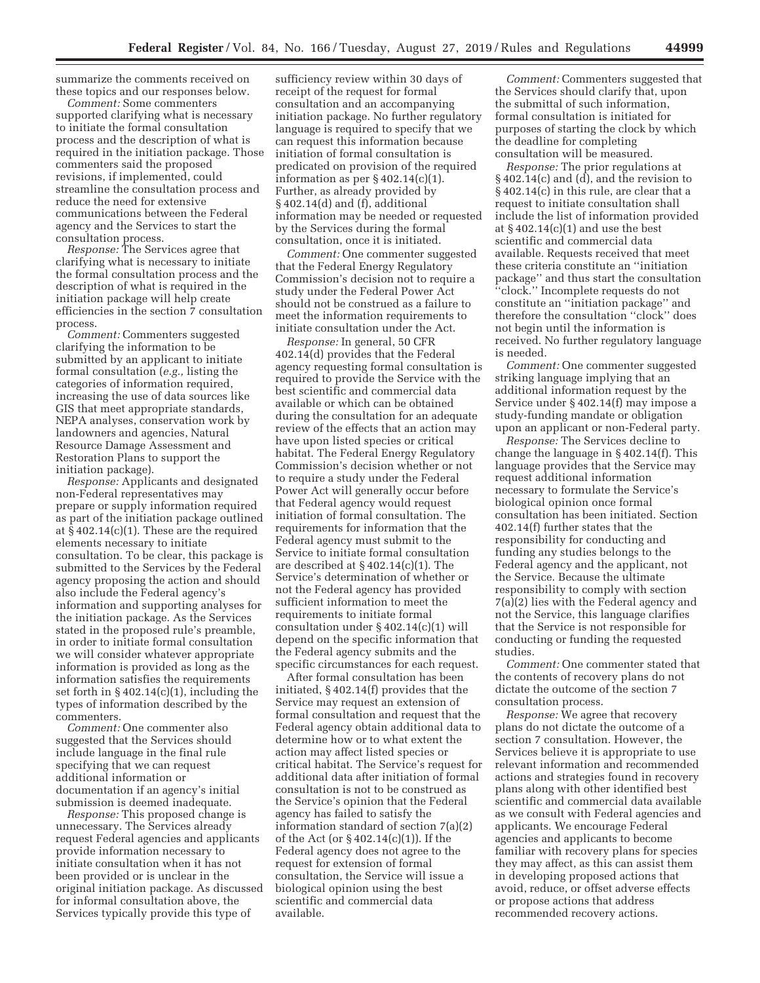summarize the comments received on these topics and our responses below.

*Comment:* Some commenters supported clarifying what is necessary to initiate the formal consultation process and the description of what is required in the initiation package. Those commenters said the proposed revisions, if implemented, could streamline the consultation process and reduce the need for extensive communications between the Federal agency and the Services to start the consultation process.

*Response:* The Services agree that clarifying what is necessary to initiate the formal consultation process and the description of what is required in the initiation package will help create efficiencies in the section 7 consultation process.

*Comment:* Commenters suggested clarifying the information to be submitted by an applicant to initiate formal consultation (*e.g.,* listing the categories of information required, increasing the use of data sources like GIS that meet appropriate standards, NEPA analyses, conservation work by landowners and agencies, Natural Resource Damage Assessment and Restoration Plans to support the initiation package).

*Response:* Applicants and designated non-Federal representatives may prepare or supply information required as part of the initiation package outlined at § 402.14(c)(1). These are the required elements necessary to initiate consultation. To be clear, this package is submitted to the Services by the Federal agency proposing the action and should also include the Federal agency's information and supporting analyses for the initiation package. As the Services stated in the proposed rule's preamble, in order to initiate formal consultation we will consider whatever appropriate information is provided as long as the information satisfies the requirements set forth in  $\S 402.14(c)(1)$ , including the types of information described by the commenters.

*Comment:* One commenter also suggested that the Services should include language in the final rule specifying that we can request additional information or documentation if an agency's initial submission is deemed inadequate.

*Response:* This proposed change is unnecessary. The Services already request Federal agencies and applicants provide information necessary to initiate consultation when it has not been provided or is unclear in the original initiation package. As discussed for informal consultation above, the Services typically provide this type of

sufficiency review within 30 days of receipt of the request for formal consultation and an accompanying initiation package. No further regulatory language is required to specify that we can request this information because initiation of formal consultation is predicated on provision of the required information as per  $\S 402.14(c)(1)$ . Further, as already provided by § 402.14(d) and (f), additional information may be needed or requested by the Services during the formal consultation, once it is initiated.

*Comment:* One commenter suggested that the Federal Energy Regulatory Commission's decision not to require a study under the Federal Power Act should not be construed as a failure to meet the information requirements to initiate consultation under the Act.

*Response:* In general, 50 CFR 402.14(d) provides that the Federal agency requesting formal consultation is required to provide the Service with the best scientific and commercial data available or which can be obtained during the consultation for an adequate review of the effects that an action may have upon listed species or critical habitat. The Federal Energy Regulatory Commission's decision whether or not to require a study under the Federal Power Act will generally occur before that Federal agency would request initiation of formal consultation. The requirements for information that the Federal agency must submit to the Service to initiate formal consultation are described at § 402.14(c)(1). The Service's determination of whether or not the Federal agency has provided sufficient information to meet the requirements to initiate formal consultation under § 402.14(c)(1) will depend on the specific information that the Federal agency submits and the specific circumstances for each request.

After formal consultation has been initiated, § 402.14(f) provides that the Service may request an extension of formal consultation and request that the Federal agency obtain additional data to determine how or to what extent the action may affect listed species or critical habitat. The Service's request for additional data after initiation of formal consultation is not to be construed as the Service's opinion that the Federal agency has failed to satisfy the information standard of section 7(a)(2) of the Act (or § 402.14(c)(1)). If the Federal agency does not agree to the request for extension of formal consultation, the Service will issue a biological opinion using the best scientific and commercial data available.

*Comment:* Commenters suggested that the Services should clarify that, upon the submittal of such information, formal consultation is initiated for purposes of starting the clock by which the deadline for completing consultation will be measured.

*Response:* The prior regulations at § 402.14(c) and (d), and the revision to § 402.14(c) in this rule, are clear that a request to initiate consultation shall include the list of information provided at  $\S$  402.14(c)(1) and use the best scientific and commercial data available. Requests received that meet these criteria constitute an ''initiation package'' and thus start the consultation ''clock.'' Incomplete requests do not constitute an ''initiation package'' and therefore the consultation ''clock'' does not begin until the information is received. No further regulatory language is needed.

*Comment:* One commenter suggested striking language implying that an additional information request by the Service under § 402.14(f) may impose a study-funding mandate or obligation upon an applicant or non-Federal party.

*Response:* The Services decline to change the language in § 402.14(f). This language provides that the Service may request additional information necessary to formulate the Service's biological opinion once formal consultation has been initiated. Section 402.14(f) further states that the responsibility for conducting and funding any studies belongs to the Federal agency and the applicant, not the Service. Because the ultimate responsibility to comply with section 7(a)(2) lies with the Federal agency and not the Service, this language clarifies that the Service is not responsible for conducting or funding the requested studies.

*Comment:* One commenter stated that the contents of recovery plans do not dictate the outcome of the section 7 consultation process.

*Response:* We agree that recovery plans do not dictate the outcome of a section 7 consultation. However, the Services believe it is appropriate to use relevant information and recommended actions and strategies found in recovery plans along with other identified best scientific and commercial data available as we consult with Federal agencies and applicants. We encourage Federal agencies and applicants to become familiar with recovery plans for species they may affect, as this can assist them in developing proposed actions that avoid, reduce, or offset adverse effects or propose actions that address recommended recovery actions.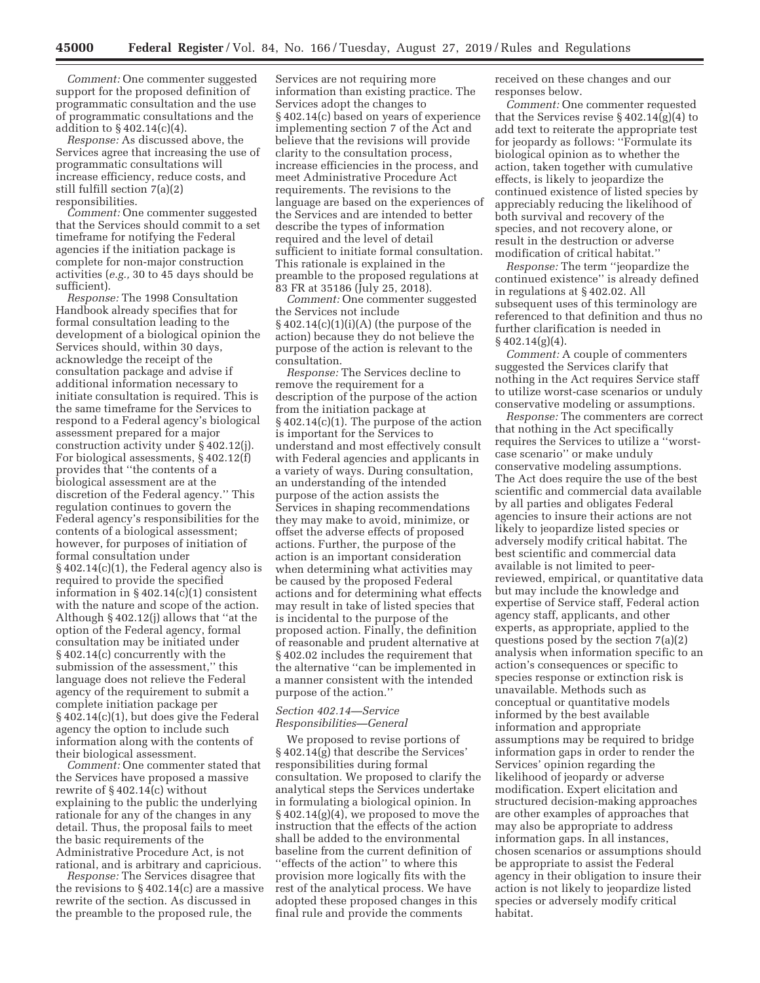*Comment:* One commenter suggested support for the proposed definition of programmatic consultation and the use of programmatic consultations and the addition to § 402.14(c)(4).

*Response:* As discussed above, the Services agree that increasing the use of programmatic consultations will increase efficiency, reduce costs, and still fulfill section 7(a)(2) responsibilities.

*Comment:* One commenter suggested that the Services should commit to a set timeframe for notifying the Federal agencies if the initiation package is complete for non-major construction activities (*e.g.,* 30 to 45 days should be sufficient).

*Response:* The 1998 Consultation Handbook already specifies that for formal consultation leading to the development of a biological opinion the Services should, within 30 days, acknowledge the receipt of the consultation package and advise if additional information necessary to initiate consultation is required. This is the same timeframe for the Services to respond to a Federal agency's biological assessment prepared for a major construction activity under § 402.12(j). For biological assessments, § 402.12(f) provides that ''the contents of a biological assessment are at the discretion of the Federal agency.'' This regulation continues to govern the Federal agency's responsibilities for the contents of a biological assessment; however, for purposes of initiation of formal consultation under § 402.14(c)(1), the Federal agency also is required to provide the specified information in  $\S 402.14(c)(1)$  consistent with the nature and scope of the action. Although § 402.12(j) allows that ''at the option of the Federal agency, formal consultation may be initiated under § 402.14(c) concurrently with the submission of the assessment,'' this language does not relieve the Federal agency of the requirement to submit a complete initiation package per § 402.14(c)(1), but does give the Federal agency the option to include such information along with the contents of their biological assessment.

*Comment:* One commenter stated that the Services have proposed a massive rewrite of  $§$  402.14(c) without explaining to the public the underlying rationale for any of the changes in any detail. Thus, the proposal fails to meet the basic requirements of the Administrative Procedure Act, is not rational, and is arbitrary and capricious.

*Response:* The Services disagree that the revisions to  $\S 402.14(c)$  are a massive rewrite of the section. As discussed in the preamble to the proposed rule, the

Services are not requiring more information than existing practice. The Services adopt the changes to § 402.14(c) based on years of experience implementing section 7 of the Act and believe that the revisions will provide clarity to the consultation process, increase efficiencies in the process, and meet Administrative Procedure Act requirements. The revisions to the language are based on the experiences of the Services and are intended to better describe the types of information required and the level of detail sufficient to initiate formal consultation. This rationale is explained in the preamble to the proposed regulations at 83 FR at 35186 (July 25, 2018).

*Comment:* One commenter suggested the Services not include  $§402.14(c)(1)(i)(A)$  (the purpose of the action) because they do not believe the purpose of the action is relevant to the consultation.

*Response:* The Services decline to remove the requirement for a description of the purpose of the action from the initiation package at § 402.14(c)(1). The purpose of the action is important for the Services to understand and most effectively consult with Federal agencies and applicants in a variety of ways. During consultation, an understanding of the intended purpose of the action assists the Services in shaping recommendations they may make to avoid, minimize, or offset the adverse effects of proposed actions. Further, the purpose of the action is an important consideration when determining what activities may be caused by the proposed Federal actions and for determining what effects may result in take of listed species that is incidental to the purpose of the proposed action. Finally, the definition of reasonable and prudent alternative at § 402.02 includes the requirement that the alternative ''can be implemented in a manner consistent with the intended purpose of the action.''

### *Section 402.14—Service Responsibilities—General*

We proposed to revise portions of § 402.14(g) that describe the Services' responsibilities during formal consultation. We proposed to clarify the analytical steps the Services undertake in formulating a biological opinion. In  $\S 402.14(g)(4)$ , we proposed to move the instruction that the effects of the action shall be added to the environmental baseline from the current definition of ''effects of the action'' to where this provision more logically fits with the rest of the analytical process. We have adopted these proposed changes in this final rule and provide the comments

received on these changes and our responses below.

*Comment:* One commenter requested that the Services revise  $\S 402.14(g)(4)$  to add text to reiterate the appropriate test for jeopardy as follows: ''Formulate its biological opinion as to whether the action, taken together with cumulative effects, is likely to jeopardize the continued existence of listed species by appreciably reducing the likelihood of both survival and recovery of the species, and not recovery alone, or result in the destruction or adverse modification of critical habitat.''

*Response:* The term ''jeopardize the continued existence'' is already defined in regulations at § 402.02. All subsequent uses of this terminology are referenced to that definition and thus no further clarification is needed in § 402.14(g)(4).

*Comment:* A couple of commenters suggested the Services clarify that nothing in the Act requires Service staff to utilize worst-case scenarios or unduly conservative modeling or assumptions.

*Response:* The commenters are correct that nothing in the Act specifically requires the Services to utilize a ''worstcase scenario'' or make unduly conservative modeling assumptions. The Act does require the use of the best scientific and commercial data available by all parties and obligates Federal agencies to insure their actions are not likely to jeopardize listed species or adversely modify critical habitat. The best scientific and commercial data available is not limited to peerreviewed, empirical, or quantitative data but may include the knowledge and expertise of Service staff, Federal action agency staff, applicants, and other experts, as appropriate, applied to the questions posed by the section 7(a)(2) analysis when information specific to an action's consequences or specific to species response or extinction risk is unavailable. Methods such as conceptual or quantitative models informed by the best available information and appropriate assumptions may be required to bridge information gaps in order to render the Services' opinion regarding the likelihood of jeopardy or adverse modification. Expert elicitation and structured decision-making approaches are other examples of approaches that may also be appropriate to address information gaps. In all instances, chosen scenarios or assumptions should be appropriate to assist the Federal agency in their obligation to insure their action is not likely to jeopardize listed species or adversely modify critical habitat.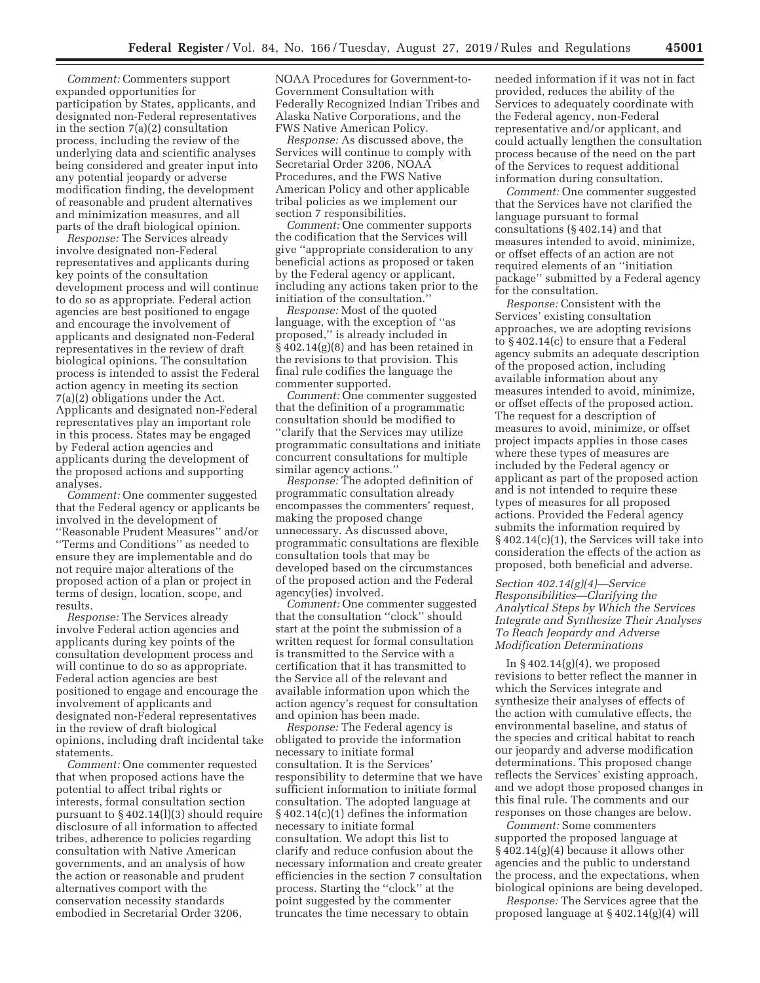*Comment:* Commenters support expanded opportunities for participation by States, applicants, and designated non-Federal representatives in the section 7(a)(2) consultation process, including the review of the underlying data and scientific analyses being considered and greater input into any potential jeopardy or adverse modification finding, the development of reasonable and prudent alternatives and minimization measures, and all parts of the draft biological opinion.

*Response:* The Services already involve designated non-Federal representatives and applicants during key points of the consultation development process and will continue to do so as appropriate. Federal action agencies are best positioned to engage and encourage the involvement of applicants and designated non-Federal representatives in the review of draft biological opinions. The consultation process is intended to assist the Federal action agency in meeting its section 7(a)(2) obligations under the Act. Applicants and designated non-Federal representatives play an important role in this process. States may be engaged by Federal action agencies and applicants during the development of the proposed actions and supporting analyses.

*Comment:* One commenter suggested that the Federal agency or applicants be involved in the development of ''Reasonable Prudent Measures'' and/or ''Terms and Conditions'' as needed to ensure they are implementable and do not require major alterations of the proposed action of a plan or project in terms of design, location, scope, and results.

*Response:* The Services already involve Federal action agencies and applicants during key points of the consultation development process and will continue to do so as appropriate. Federal action agencies are best positioned to engage and encourage the involvement of applicants and designated non-Federal representatives in the review of draft biological opinions, including draft incidental take statements.

*Comment:* One commenter requested that when proposed actions have the potential to affect tribal rights or interests, formal consultation section pursuant to § 402.14(l)(3) should require disclosure of all information to affected tribes, adherence to policies regarding consultation with Native American governments, and an analysis of how the action or reasonable and prudent alternatives comport with the conservation necessity standards embodied in Secretarial Order 3206,

NOAA Procedures for Government-to-Government Consultation with Federally Recognized Indian Tribes and Alaska Native Corporations, and the FWS Native American Policy.

*Response:* As discussed above, the Services will continue to comply with Secretarial Order 3206, NOAA Procedures, and the FWS Native American Policy and other applicable tribal policies as we implement our section 7 responsibilities.

*Comment:* One commenter supports the codification that the Services will give ''appropriate consideration to any beneficial actions as proposed or taken by the Federal agency or applicant, including any actions taken prior to the initiation of the consultation.''

*Response:* Most of the quoted language, with the exception of ''as proposed,'' is already included in § 402.14(g)(8) and has been retained in the revisions to that provision. This final rule codifies the language the commenter supported.

*Comment:* One commenter suggested that the definition of a programmatic consultation should be modified to ''clarify that the Services may utilize programmatic consultations and initiate concurrent consultations for multiple similar agency actions.''

*Response:* The adopted definition of programmatic consultation already encompasses the commenters' request, making the proposed change unnecessary. As discussed above, programmatic consultations are flexible consultation tools that may be developed based on the circumstances of the proposed action and the Federal agency(ies) involved.

*Comment:* One commenter suggested that the consultation ''clock'' should start at the point the submission of a written request for formal consultation is transmitted to the Service with a certification that it has transmitted to the Service all of the relevant and available information upon which the action agency's request for consultation and opinion has been made.

*Response:* The Federal agency is obligated to provide the information necessary to initiate formal consultation. It is the Services' responsibility to determine that we have sufficient information to initiate formal consultation. The adopted language at § 402.14(c)(1) defines the information necessary to initiate formal consultation. We adopt this list to clarify and reduce confusion about the necessary information and create greater efficiencies in the section 7 consultation process. Starting the ''clock'' at the point suggested by the commenter truncates the time necessary to obtain

needed information if it was not in fact provided, reduces the ability of the Services to adequately coordinate with the Federal agency, non-Federal representative and/or applicant, and could actually lengthen the consultation process because of the need on the part of the Services to request additional information during consultation.

*Comment:* One commenter suggested that the Services have not clarified the language pursuant to formal consultations (§ 402.14) and that measures intended to avoid, minimize, or offset effects of an action are not required elements of an ''initiation package'' submitted by a Federal agency for the consultation.

*Response:* Consistent with the Services' existing consultation approaches, we are adopting revisions to § 402.14(c) to ensure that a Federal agency submits an adequate description of the proposed action, including available information about any measures intended to avoid, minimize, or offset effects of the proposed action. The request for a description of measures to avoid, minimize, or offset project impacts applies in those cases where these types of measures are included by the Federal agency or applicant as part of the proposed action and is not intended to require these types of measures for all proposed actions. Provided the Federal agency submits the information required by § 402.14(c)(1), the Services will take into consideration the effects of the action as proposed, both beneficial and adverse.

*Section 402.14(g)(4)—Service Responsibilities—Clarifying the Analytical Steps by Which the Services Integrate and Synthesize Their Analyses To Reach Jeopardy and Adverse Modification Determinations* 

In  $\S 402.14(g)(4)$ , we proposed revisions to better reflect the manner in which the Services integrate and synthesize their analyses of effects of the action with cumulative effects, the environmental baseline, and status of the species and critical habitat to reach our jeopardy and adverse modification determinations. This proposed change reflects the Services' existing approach, and we adopt those proposed changes in this final rule. The comments and our responses on those changes are below.

*Comment:* Some commenters supported the proposed language at § 402.14(g)(4) because it allows other agencies and the public to understand the process, and the expectations, when biological opinions are being developed.

*Response:* The Services agree that the proposed language at § 402.14(g)(4) will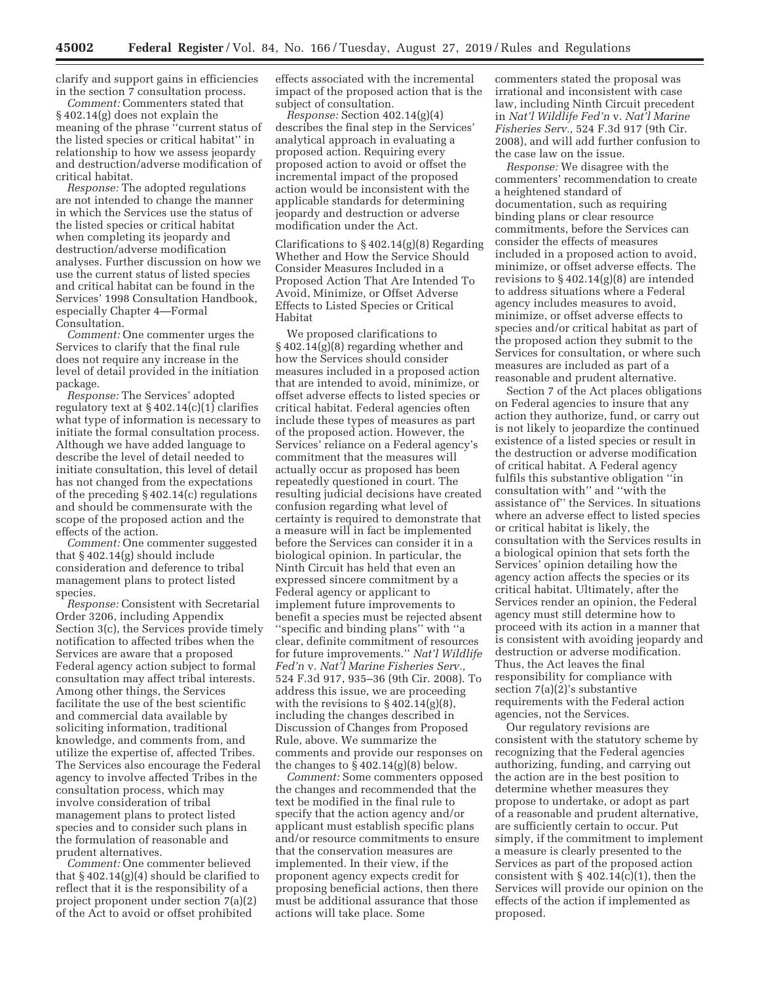clarify and support gains in efficiencies in the section 7 consultation process.

*Comment:* Commenters stated that § 402.14(g) does not explain the meaning of the phrase "current status of the listed species or critical habitat'' in relationship to how we assess jeopardy and destruction/adverse modification of critical habitat.

*Response:* The adopted regulations are not intended to change the manner in which the Services use the status of the listed species or critical habitat when completing its jeopardy and destruction/adverse modification analyses. Further discussion on how we use the current status of listed species and critical habitat can be found in the Services' 1998 Consultation Handbook, especially Chapter 4—Formal Consultation.

*Comment:* One commenter urges the Services to clarify that the final rule does not require any increase in the level of detail provided in the initiation package.

*Response:* The Services' adopted regulatory text at § 402.14(c)(1) clarifies what type of information is necessary to initiate the formal consultation process. Although we have added language to describe the level of detail needed to initiate consultation, this level of detail has not changed from the expectations of the preceding § 402.14(c) regulations and should be commensurate with the scope of the proposed action and the effects of the action.

*Comment:* One commenter suggested that § 402.14(g) should include consideration and deference to tribal management plans to protect listed species.

*Response:* Consistent with Secretarial Order 3206, including Appendix Section 3(c), the Services provide timely notification to affected tribes when the Services are aware that a proposed Federal agency action subject to formal consultation may affect tribal interests. Among other things, the Services facilitate the use of the best scientific and commercial data available by soliciting information, traditional knowledge, and comments from, and utilize the expertise of, affected Tribes. The Services also encourage the Federal agency to involve affected Tribes in the consultation process, which may involve consideration of tribal management plans to protect listed species and to consider such plans in the formulation of reasonable and prudent alternatives.

*Comment:* One commenter believed that  $\S 402.14(g)(4)$  should be clarified to reflect that it is the responsibility of a project proponent under section 7(a)(2) of the Act to avoid or offset prohibited

effects associated with the incremental impact of the proposed action that is the subject of consultation.

*Response:* Section 402.14(g)(4) describes the final step in the Services' analytical approach in evaluating a proposed action. Requiring every proposed action to avoid or offset the incremental impact of the proposed action would be inconsistent with the applicable standards for determining jeopardy and destruction or adverse modification under the Act.

Clarifications to  $\S 402.14(g)(8)$  Regarding Whether and How the Service Should Consider Measures Included in a Proposed Action That Are Intended To Avoid, Minimize, or Offset Adverse Effects to Listed Species or Critical Habitat

We proposed clarifications to § 402.14(g)(8) regarding whether and how the Services should consider measures included in a proposed action that are intended to avoid, minimize, or offset adverse effects to listed species or critical habitat. Federal agencies often include these types of measures as part of the proposed action. However, the Services' reliance on a Federal agency's commitment that the measures will actually occur as proposed has been repeatedly questioned in court. The resulting judicial decisions have created confusion regarding what level of certainty is required to demonstrate that a measure will in fact be implemented before the Services can consider it in a biological opinion. In particular, the Ninth Circuit has held that even an expressed sincere commitment by a Federal agency or applicant to implement future improvements to benefit a species must be rejected absent ''specific and binding plans'' with ''a clear, definite commitment of resources for future improvements.'' *Nat'l Wildlife Fed'n* v. *Nat'l Marine Fisheries Serv.,*  524 F.3d 917, 935–36 (9th Cir. 2008). To address this issue, we are proceeding with the revisions to  $\S 402.14(g)(8)$ , including the changes described in Discussion of Changes from Proposed Rule, above. We summarize the comments and provide our responses on the changes to  $\S 402.14(g)(8)$  below.

*Comment:* Some commenters opposed the changes and recommended that the text be modified in the final rule to specify that the action agency and/or applicant must establish specific plans and/or resource commitments to ensure that the conservation measures are implemented. In their view, if the proponent agency expects credit for proposing beneficial actions, then there must be additional assurance that those actions will take place. Some

commenters stated the proposal was irrational and inconsistent with case law, including Ninth Circuit precedent in *Nat'l Wildlife Fed'n* v. *Nat'l Marine Fisheries Serv.,* 524 F.3d 917 (9th Cir. 2008), and will add further confusion to the case law on the issue.

*Response:* We disagree with the commenters' recommendation to create a heightened standard of documentation, such as requiring binding plans or clear resource commitments, before the Services can consider the effects of measures included in a proposed action to avoid, minimize, or offset adverse effects. The revisions to § 402.14(g)(8) are intended to address situations where a Federal agency includes measures to avoid, minimize, or offset adverse effects to species and/or critical habitat as part of the proposed action they submit to the Services for consultation, or where such measures are included as part of a reasonable and prudent alternative.

Section 7 of the Act places obligations on Federal agencies to insure that any action they authorize, fund, or carry out is not likely to jeopardize the continued existence of a listed species or result in the destruction or adverse modification of critical habitat. A Federal agency fulfils this substantive obligation ''in consultation with'' and ''with the assistance of'' the Services. In situations where an adverse effect to listed species or critical habitat is likely, the consultation with the Services results in a biological opinion that sets forth the Services' opinion detailing how the agency action affects the species or its critical habitat. Ultimately, after the Services render an opinion, the Federal agency must still determine how to proceed with its action in a manner that is consistent with avoiding jeopardy and destruction or adverse modification. Thus, the Act leaves the final responsibility for compliance with section 7(a)(2)'s substantive requirements with the Federal action agencies, not the Services.

Our regulatory revisions are consistent with the statutory scheme by recognizing that the Federal agencies authorizing, funding, and carrying out the action are in the best position to determine whether measures they propose to undertake, or adopt as part of a reasonable and prudent alternative, are sufficiently certain to occur. Put simply, if the commitment to implement a measure is clearly presented to the Services as part of the proposed action consistent with  $\S$  402.14(c)(1), then the Services will provide our opinion on the effects of the action if implemented as proposed.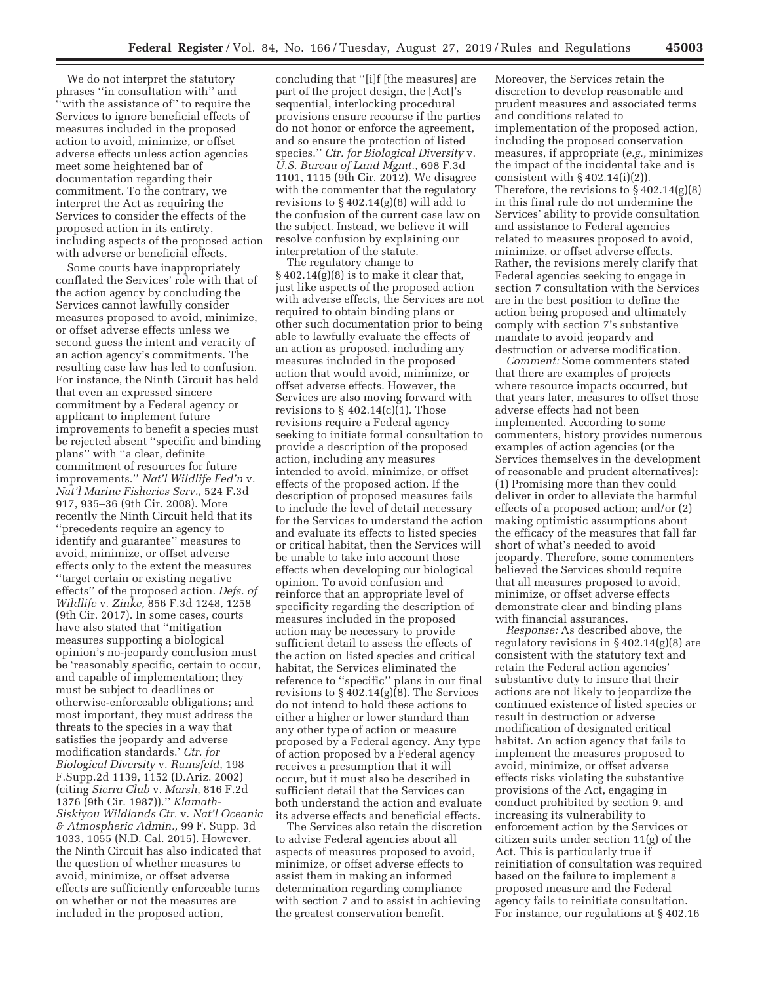We do not interpret the statutory phrases ''in consultation with'' and 'with the assistance of" to require the Services to ignore beneficial effects of measures included in the proposed action to avoid, minimize, or offset adverse effects unless action agencies meet some heightened bar of documentation regarding their commitment. To the contrary, we interpret the Act as requiring the Services to consider the effects of the proposed action in its entirety, including aspects of the proposed action with adverse or beneficial effects.

Some courts have inappropriately conflated the Services' role with that of the action agency by concluding the Services cannot lawfully consider measures proposed to avoid, minimize, or offset adverse effects unless we second guess the intent and veracity of an action agency's commitments. The resulting case law has led to confusion. For instance, the Ninth Circuit has held that even an expressed sincere commitment by a Federal agency or applicant to implement future improvements to benefit a species must be rejected absent ''specific and binding plans'' with ''a clear, definite commitment of resources for future improvements.'' *Nat'l Wildlife Fed'n* v. *Nat'l Marine Fisheries Serv.,* 524 F.3d 917, 935–36 (9th Cir. 2008). More recently the Ninth Circuit held that its ''precedents require an agency to identify and guarantee'' measures to avoid, minimize, or offset adverse effects only to the extent the measures ''target certain or existing negative effects'' of the proposed action. *Defs. of Wildlife* v. *Zinke,* 856 F.3d 1248, 1258 (9th Cir. 2017). In some cases, courts have also stated that ''mitigation measures supporting a biological opinion's no-jeopardy conclusion must be 'reasonably specific, certain to occur, and capable of implementation; they must be subject to deadlines or otherwise-enforceable obligations; and most important, they must address the threats to the species in a way that satisfies the jeopardy and adverse modification standards.' *Ctr. for Biological Diversity* v. *Rumsfeld,* 198 F.Supp.2d 1139, 1152 (D.Ariz. 2002) (citing *Sierra Club* v. *Marsh,* 816 F.2d 1376 (9th Cir. 1987)).'' *Klamath-Siskiyou Wildlands Ctr.* v. *Nat'l Oceanic & Atmospheric Admin.,* 99 F. Supp. 3d 1033, 1055 (N.D. Cal. 2015). However, the Ninth Circuit has also indicated that the question of whether measures to avoid, minimize, or offset adverse effects are sufficiently enforceable turns on whether or not the measures are included in the proposed action,

concluding that ''[i]f [the measures] are part of the project design, the [Act]'s sequential, interlocking procedural provisions ensure recourse if the parties do not honor or enforce the agreement, and so ensure the protection of listed species.'' *Ctr. for Biological Diversity* v. *U.S. Bureau of Land Mgmt.,* 698 F.3d 1101, 1115 (9th Cir. 2012). We disagree with the commenter that the regulatory revisions to  $\S 402.14(g)(8)$  will add to the confusion of the current case law on the subject. Instead, we believe it will resolve confusion by explaining our interpretation of the statute.

The regulatory change to  $§402.14(g)(8)$  is to make it clear that, just like aspects of the proposed action with adverse effects, the Services are not required to obtain binding plans or other such documentation prior to being able to lawfully evaluate the effects of an action as proposed, including any measures included in the proposed action that would avoid, minimize, or offset adverse effects. However, the Services are also moving forward with revisions to  $\S$  402.14(c)(1). Those revisions require a Federal agency seeking to initiate formal consultation to provide a description of the proposed action, including any measures intended to avoid, minimize, or offset effects of the proposed action. If the description of proposed measures fails to include the level of detail necessary for the Services to understand the action and evaluate its effects to listed species or critical habitat, then the Services will be unable to take into account those effects when developing our biological opinion. To avoid confusion and reinforce that an appropriate level of specificity regarding the description of measures included in the proposed action may be necessary to provide sufficient detail to assess the effects of the action on listed species and critical habitat, the Services eliminated the reference to ''specific'' plans in our final revisions to § 402.14(g)(8). The Services do not intend to hold these actions to either a higher or lower standard than any other type of action or measure proposed by a Federal agency. Any type of action proposed by a Federal agency receives a presumption that it will occur, but it must also be described in sufficient detail that the Services can both understand the action and evaluate its adverse effects and beneficial effects.

The Services also retain the discretion to advise Federal agencies about all aspects of measures proposed to avoid, minimize, or offset adverse effects to assist them in making an informed determination regarding compliance with section 7 and to assist in achieving the greatest conservation benefit.

Moreover, the Services retain the discretion to develop reasonable and prudent measures and associated terms and conditions related to implementation of the proposed action, including the proposed conservation measures, if appropriate (*e.g.,* minimizes the impact of the incidental take and is consistent with  $\S 402.14(i)(2)$ . Therefore, the revisions to § 402.14(g)(8) in this final rule do not undermine the Services' ability to provide consultation and assistance to Federal agencies related to measures proposed to avoid, minimize, or offset adverse effects. Rather, the revisions merely clarify that Federal agencies seeking to engage in section 7 consultation with the Services are in the best position to define the action being proposed and ultimately comply with section 7's substantive mandate to avoid jeopardy and destruction or adverse modification.

*Comment:* Some commenters stated that there are examples of projects where resource impacts occurred, but that years later, measures to offset those adverse effects had not been implemented. According to some commenters, history provides numerous examples of action agencies (or the Services themselves in the development of reasonable and prudent alternatives): (1) Promising more than they could deliver in order to alleviate the harmful effects of a proposed action; and/or (2) making optimistic assumptions about the efficacy of the measures that fall far short of what's needed to avoid jeopardy. Therefore, some commenters believed the Services should require that all measures proposed to avoid, minimize, or offset adverse effects demonstrate clear and binding plans with financial assurances.

*Response:* As described above, the regulatory revisions in § 402.14(g)(8) are consistent with the statutory text and retain the Federal action agencies' substantive duty to insure that their actions are not likely to jeopardize the continued existence of listed species or result in destruction or adverse modification of designated critical habitat. An action agency that fails to implement the measures proposed to avoid, minimize, or offset adverse effects risks violating the substantive provisions of the Act, engaging in conduct prohibited by section 9, and increasing its vulnerability to enforcement action by the Services or citizen suits under section 11(g) of the Act. This is particularly true if reinitiation of consultation was required based on the failure to implement a proposed measure and the Federal agency fails to reinitiate consultation. For instance, our regulations at § 402.16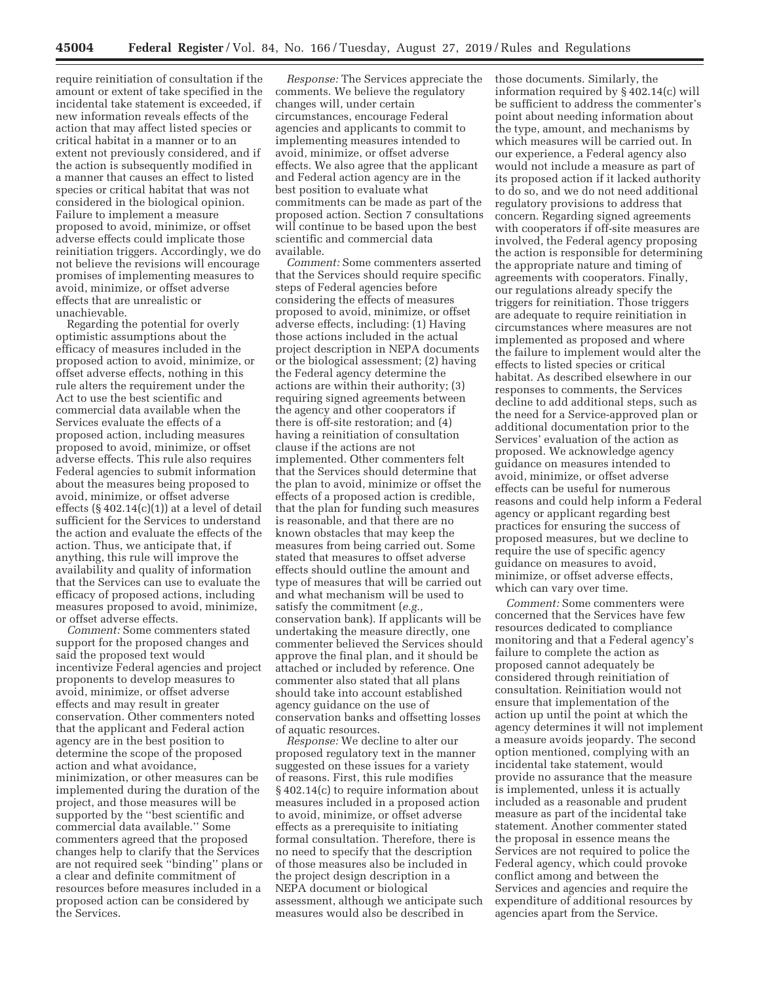require reinitiation of consultation if the amount or extent of take specified in the incidental take statement is exceeded, if new information reveals effects of the action that may affect listed species or critical habitat in a manner or to an extent not previously considered, and if the action is subsequently modified in a manner that causes an effect to listed species or critical habitat that was not considered in the biological opinion. Failure to implement a measure proposed to avoid, minimize, or offset adverse effects could implicate those reinitiation triggers. Accordingly, we do not believe the revisions will encourage promises of implementing measures to avoid, minimize, or offset adverse effects that are unrealistic or unachievable.

Regarding the potential for overly optimistic assumptions about the efficacy of measures included in the proposed action to avoid, minimize, or offset adverse effects, nothing in this rule alters the requirement under the Act to use the best scientific and commercial data available when the Services evaluate the effects of a proposed action, including measures proposed to avoid, minimize, or offset adverse effects. This rule also requires Federal agencies to submit information about the measures being proposed to avoid, minimize, or offset adverse effects  $(S402.14(c)(1))$  at a level of detail sufficient for the Services to understand the action and evaluate the effects of the action. Thus, we anticipate that, if anything, this rule will improve the availability and quality of information that the Services can use to evaluate the efficacy of proposed actions, including measures proposed to avoid, minimize, or offset adverse effects.

*Comment:* Some commenters stated support for the proposed changes and said the proposed text would incentivize Federal agencies and project proponents to develop measures to avoid, minimize, or offset adverse effects and may result in greater conservation. Other commenters noted that the applicant and Federal action agency are in the best position to determine the scope of the proposed action and what avoidance, minimization, or other measures can be implemented during the duration of the project, and those measures will be supported by the ''best scientific and commercial data available.'' Some commenters agreed that the proposed changes help to clarify that the Services are not required seek ''binding'' plans or a clear and definite commitment of resources before measures included in a proposed action can be considered by the Services.

*Response:* The Services appreciate the comments. We believe the regulatory changes will, under certain circumstances, encourage Federal agencies and applicants to commit to implementing measures intended to avoid, minimize, or offset adverse effects. We also agree that the applicant and Federal action agency are in the best position to evaluate what commitments can be made as part of the proposed action. Section 7 consultations will continue to be based upon the best scientific and commercial data available.

*Comment:* Some commenters asserted that the Services should require specific steps of Federal agencies before considering the effects of measures proposed to avoid, minimize, or offset adverse effects, including: (1) Having those actions included in the actual project description in NEPA documents or the biological assessment; (2) having the Federal agency determine the actions are within their authority; (3) requiring signed agreements between the agency and other cooperators if there is off-site restoration; and (4) having a reinitiation of consultation clause if the actions are not implemented. Other commenters felt that the Services should determine that the plan to avoid, minimize or offset the effects of a proposed action is credible, that the plan for funding such measures is reasonable, and that there are no known obstacles that may keep the measures from being carried out. Some stated that measures to offset adverse effects should outline the amount and type of measures that will be carried out and what mechanism will be used to satisfy the commitment (*e.g.,*  conservation bank). If applicants will be undertaking the measure directly, one commenter believed the Services should approve the final plan, and it should be attached or included by reference. One commenter also stated that all plans should take into account established agency guidance on the use of conservation banks and offsetting losses of aquatic resources.

*Response:* We decline to alter our proposed regulatory text in the manner suggested on these issues for a variety of reasons. First, this rule modifies § 402.14(c) to require information about measures included in a proposed action to avoid, minimize, or offset adverse effects as a prerequisite to initiating formal consultation. Therefore, there is no need to specify that the description of those measures also be included in the project design description in a NEPA document or biological assessment, although we anticipate such measures would also be described in

those documents. Similarly, the information required by § 402.14(c) will be sufficient to address the commenter's point about needing information about the type, amount, and mechanisms by which measures will be carried out. In our experience, a Federal agency also would not include a measure as part of its proposed action if it lacked authority to do so, and we do not need additional regulatory provisions to address that concern. Regarding signed agreements with cooperators if off-site measures are involved, the Federal agency proposing the action is responsible for determining the appropriate nature and timing of agreements with cooperators. Finally, our regulations already specify the triggers for reinitiation. Those triggers are adequate to require reinitiation in circumstances where measures are not implemented as proposed and where the failure to implement would alter the effects to listed species or critical habitat. As described elsewhere in our responses to comments, the Services decline to add additional steps, such as the need for a Service-approved plan or additional documentation prior to the Services' evaluation of the action as proposed. We acknowledge agency guidance on measures intended to avoid, minimize, or offset adverse effects can be useful for numerous reasons and could help inform a Federal agency or applicant regarding best practices for ensuring the success of proposed measures, but we decline to require the use of specific agency guidance on measures to avoid, minimize, or offset adverse effects, which can vary over time.

*Comment:* Some commenters were concerned that the Services have few resources dedicated to compliance monitoring and that a Federal agency's failure to complete the action as proposed cannot adequately be considered through reinitiation of consultation. Reinitiation would not ensure that implementation of the action up until the point at which the agency determines it will not implement a measure avoids jeopardy. The second option mentioned, complying with an incidental take statement, would provide no assurance that the measure is implemented, unless it is actually included as a reasonable and prudent measure as part of the incidental take statement. Another commenter stated the proposal in essence means the Services are not required to police the Federal agency, which could provoke conflict among and between the Services and agencies and require the expenditure of additional resources by agencies apart from the Service.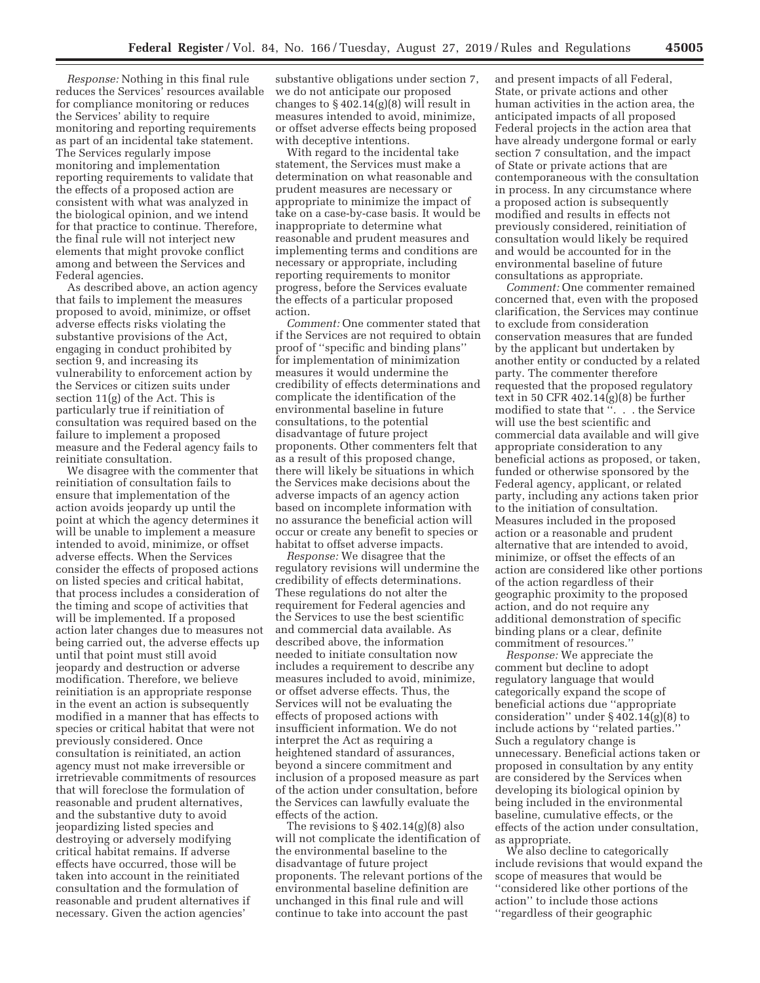*Response:* Nothing in this final rule reduces the Services' resources available for compliance monitoring or reduces the Services' ability to require monitoring and reporting requirements as part of an incidental take statement. The Services regularly impose monitoring and implementation reporting requirements to validate that the effects of a proposed action are consistent with what was analyzed in the biological opinion, and we intend for that practice to continue. Therefore, the final rule will not interject new elements that might provoke conflict among and between the Services and Federal agencies.

As described above, an action agency that fails to implement the measures proposed to avoid, minimize, or offset adverse effects risks violating the substantive provisions of the Act, engaging in conduct prohibited by section 9, and increasing its vulnerability to enforcement action by the Services or citizen suits under section 11(g) of the Act. This is particularly true if reinitiation of consultation was required based on the failure to implement a proposed measure and the Federal agency fails to reinitiate consultation.

We disagree with the commenter that reinitiation of consultation fails to ensure that implementation of the action avoids jeopardy up until the point at which the agency determines it will be unable to implement a measure intended to avoid, minimize, or offset adverse effects. When the Services consider the effects of proposed actions on listed species and critical habitat, that process includes a consideration of the timing and scope of activities that will be implemented. If a proposed action later changes due to measures not being carried out, the adverse effects up until that point must still avoid jeopardy and destruction or adverse modification. Therefore, we believe reinitiation is an appropriate response in the event an action is subsequently modified in a manner that has effects to species or critical habitat that were not previously considered. Once consultation is reinitiated, an action agency must not make irreversible or irretrievable commitments of resources that will foreclose the formulation of reasonable and prudent alternatives, and the substantive duty to avoid jeopardizing listed species and destroying or adversely modifying critical habitat remains. If adverse effects have occurred, those will be taken into account in the reinitiated consultation and the formulation of reasonable and prudent alternatives if necessary. Given the action agencies'

substantive obligations under section 7, we do not anticipate our proposed changes to  $\S 402.14(g)(8)$  will result in measures intended to avoid, minimize, or offset adverse effects being proposed with deceptive intentions.

With regard to the incidental take statement, the Services must make a determination on what reasonable and prudent measures are necessary or appropriate to minimize the impact of take on a case-by-case basis. It would be inappropriate to determine what reasonable and prudent measures and implementing terms and conditions are necessary or appropriate, including reporting requirements to monitor progress, before the Services evaluate the effects of a particular proposed action.

*Comment:* One commenter stated that if the Services are not required to obtain proof of ''specific and binding plans'' for implementation of minimization measures it would undermine the credibility of effects determinations and complicate the identification of the environmental baseline in future consultations, to the potential disadvantage of future project proponents. Other commenters felt that as a result of this proposed change, there will likely be situations in which the Services make decisions about the adverse impacts of an agency action based on incomplete information with no assurance the beneficial action will occur or create any benefit to species or habitat to offset adverse impacts.

*Response:* We disagree that the regulatory revisions will undermine the credibility of effects determinations. These regulations do not alter the requirement for Federal agencies and the Services to use the best scientific and commercial data available. As described above, the information needed to initiate consultation now includes a requirement to describe any measures included to avoid, minimize, or offset adverse effects. Thus, the Services will not be evaluating the effects of proposed actions with insufficient information. We do not interpret the Act as requiring a heightened standard of assurances, beyond a sincere commitment and inclusion of a proposed measure as part of the action under consultation, before the Services can lawfully evaluate the effects of the action.

The revisions to  $§ 402.14(g)(8)$  also will not complicate the identification of the environmental baseline to the disadvantage of future project proponents. The relevant portions of the environmental baseline definition are unchanged in this final rule and will continue to take into account the past

and present impacts of all Federal, State, or private actions and other human activities in the action area, the anticipated impacts of all proposed Federal projects in the action area that have already undergone formal or early section 7 consultation, and the impact of State or private actions that are contemporaneous with the consultation in process. In any circumstance where a proposed action is subsequently modified and results in effects not previously considered, reinitiation of consultation would likely be required and would be accounted for in the environmental baseline of future consultations as appropriate.

*Comment:* One commenter remained concerned that, even with the proposed clarification, the Services may continue to exclude from consideration conservation measures that are funded by the applicant but undertaken by another entity or conducted by a related party. The commenter therefore requested that the proposed regulatory text in 50 CFR 402.14(g)(8) be further modified to state that ". . . the Service will use the best scientific and commercial data available and will give appropriate consideration to any beneficial actions as proposed, or taken, funded or otherwise sponsored by the Federal agency, applicant, or related party, including any actions taken prior to the initiation of consultation. Measures included in the proposed action or a reasonable and prudent alternative that are intended to avoid, minimize, or offset the effects of an action are considered like other portions of the action regardless of their geographic proximity to the proposed action, and do not require any additional demonstration of specific binding plans or a clear, definite commitment of resources.''

*Response:* We appreciate the comment but decline to adopt regulatory language that would categorically expand the scope of beneficial actions due ''appropriate consideration'' under § 402.14(g)(8) to include actions by ''related parties.'' Such a regulatory change is unnecessary. Beneficial actions taken or proposed in consultation by any entity are considered by the Services when developing its biological opinion by being included in the environmental baseline, cumulative effects, or the effects of the action under consultation, as appropriate.

We also decline to categorically include revisions that would expand the scope of measures that would be ''considered like other portions of the action'' to include those actions ''regardless of their geographic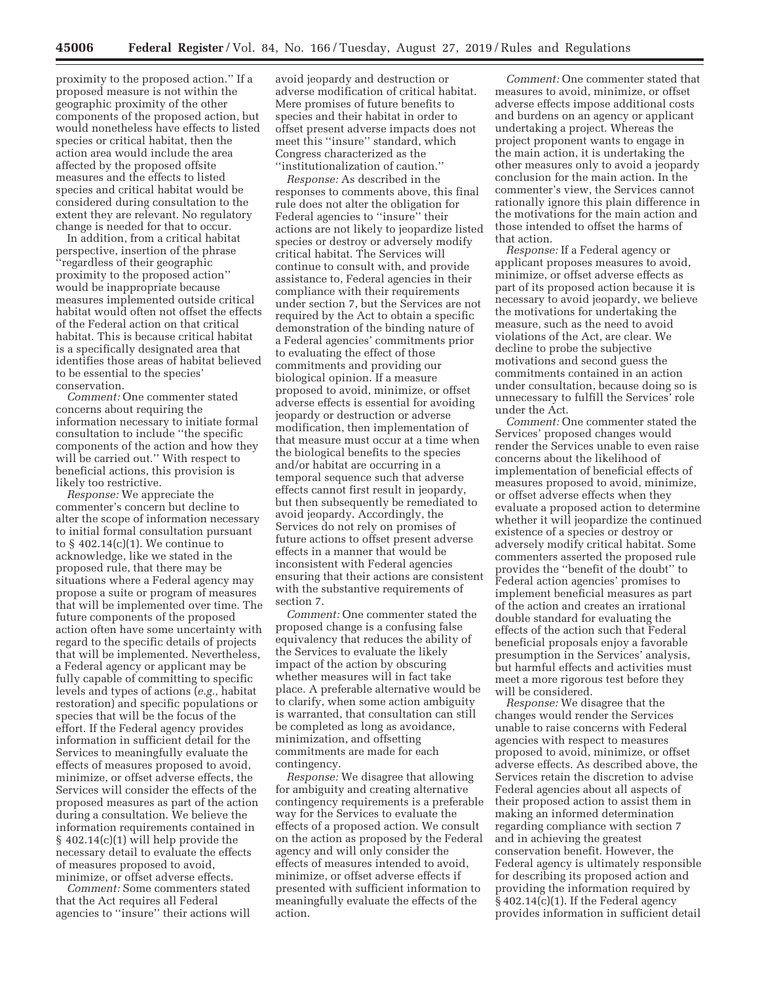proximity to the proposed action.'' If a proposed measure is not within the geographic proximity of the other components of the proposed action, but would nonetheless have effects to listed species or critical habitat, then the action area would include the area affected by the proposed offsite measures and the effects to listed species and critical habitat would be considered during consultation to the extent they are relevant. No regulatory change is needed for that to occur.

In addition, from a critical habitat perspective, insertion of the phrase ''regardless of their geographic proximity to the proposed action'' would be inappropriate because measures implemented outside critical habitat would often not offset the effects of the Federal action on that critical habitat. This is because critical habitat is a specifically designated area that identifies those areas of habitat believed to be essential to the species' conservation.

*Comment:* One commenter stated concerns about requiring the information necessary to initiate formal consultation to include ''the specific components of the action and how they will be carried out.'' With respect to beneficial actions, this provision is likely too restrictive.

*Response:* We appreciate the commenter's concern but decline to alter the scope of information necessary to initial formal consultation pursuant to  $\S$  402.14(c)(1). We continue to acknowledge, like we stated in the proposed rule, that there may be situations where a Federal agency may propose a suite or program of measures that will be implemented over time. The future components of the proposed action often have some uncertainty with regard to the specific details of projects that will be implemented. Nevertheless, a Federal agency or applicant may be fully capable of committing to specific levels and types of actions (*e.g.,* habitat restoration) and specific populations or species that will be the focus of the effort. If the Federal agency provides information in sufficient detail for the Services to meaningfully evaluate the effects of measures proposed to avoid, minimize, or offset adverse effects, the Services will consider the effects of the proposed measures as part of the action during a consultation. We believe the information requirements contained in § 402.14(c)(1) will help provide the necessary detail to evaluate the effects of measures proposed to avoid, minimize, or offset adverse effects.

*Comment:* Some commenters stated that the Act requires all Federal agencies to ''insure'' their actions will

avoid jeopardy and destruction or adverse modification of critical habitat. Mere promises of future benefits to species and their habitat in order to offset present adverse impacts does not meet this ''insure'' standard, which Congress characterized as the ''institutionalization of caution.''

*Response:* As described in the responses to comments above, this final rule does not alter the obligation for Federal agencies to ''insure'' their actions are not likely to jeopardize listed species or destroy or adversely modify critical habitat. The Services will continue to consult with, and provide assistance to, Federal agencies in their compliance with their requirements under section 7, but the Services are not required by the Act to obtain a specific demonstration of the binding nature of a Federal agencies' commitments prior to evaluating the effect of those commitments and providing our biological opinion. If a measure proposed to avoid, minimize, or offset adverse effects is essential for avoiding jeopardy or destruction or adverse modification, then implementation of that measure must occur at a time when the biological benefits to the species and/or habitat are occurring in a temporal sequence such that adverse effects cannot first result in jeopardy, but then subsequently be remediated to avoid jeopardy. Accordingly, the Services do not rely on promises of future actions to offset present adverse effects in a manner that would be inconsistent with Federal agencies ensuring that their actions are consistent with the substantive requirements of section 7.

*Comment:* One commenter stated the proposed change is a confusing false equivalency that reduces the ability of the Services to evaluate the likely impact of the action by obscuring whether measures will in fact take place. A preferable alternative would be to clarify, when some action ambiguity is warranted, that consultation can still be completed as long as avoidance, minimization, and offsetting commitments are made for each contingency.

*Response:* We disagree that allowing for ambiguity and creating alternative contingency requirements is a preferable way for the Services to evaluate the effects of a proposed action. We consult on the action as proposed by the Federal agency and will only consider the effects of measures intended to avoid, minimize, or offset adverse effects if presented with sufficient information to meaningfully evaluate the effects of the action.

*Comment:* One commenter stated that measures to avoid, minimize, or offset adverse effects impose additional costs and burdens on an agency or applicant undertaking a project. Whereas the project proponent wants to engage in the main action, it is undertaking the other measures only to avoid a jeopardy conclusion for the main action. In the commenter's view, the Services cannot rationally ignore this plain difference in the motivations for the main action and those intended to offset the harms of that action.

*Response:* If a Federal agency or applicant proposes measures to avoid, minimize, or offset adverse effects as part of its proposed action because it is necessary to avoid jeopardy, we believe the motivations for undertaking the measure, such as the need to avoid violations of the Act, are clear. We decline to probe the subjective motivations and second guess the commitments contained in an action under consultation, because doing so is unnecessary to fulfill the Services' role under the Act.

*Comment:* One commenter stated the Services' proposed changes would render the Services unable to even raise concerns about the likelihood of implementation of beneficial effects of measures proposed to avoid, minimize, or offset adverse effects when they evaluate a proposed action to determine whether it will jeopardize the continued existence of a species or destroy or adversely modify critical habitat. Some commenters asserted the proposed rule provides the ''benefit of the doubt'' to Federal action agencies' promises to implement beneficial measures as part of the action and creates an irrational double standard for evaluating the effects of the action such that Federal beneficial proposals enjoy a favorable presumption in the Services' analysis, but harmful effects and activities must meet a more rigorous test before they will be considered.

*Response:* We disagree that the changes would render the Services unable to raise concerns with Federal agencies with respect to measures proposed to avoid, minimize, or offset adverse effects. As described above, the Services retain the discretion to advise Federal agencies about all aspects of their proposed action to assist them in making an informed determination regarding compliance with section 7 and in achieving the greatest conservation benefit. However, the Federal agency is ultimately responsible for describing its proposed action and providing the information required by  $§$  402.14(c)(1). If the Federal agency provides information in sufficient detail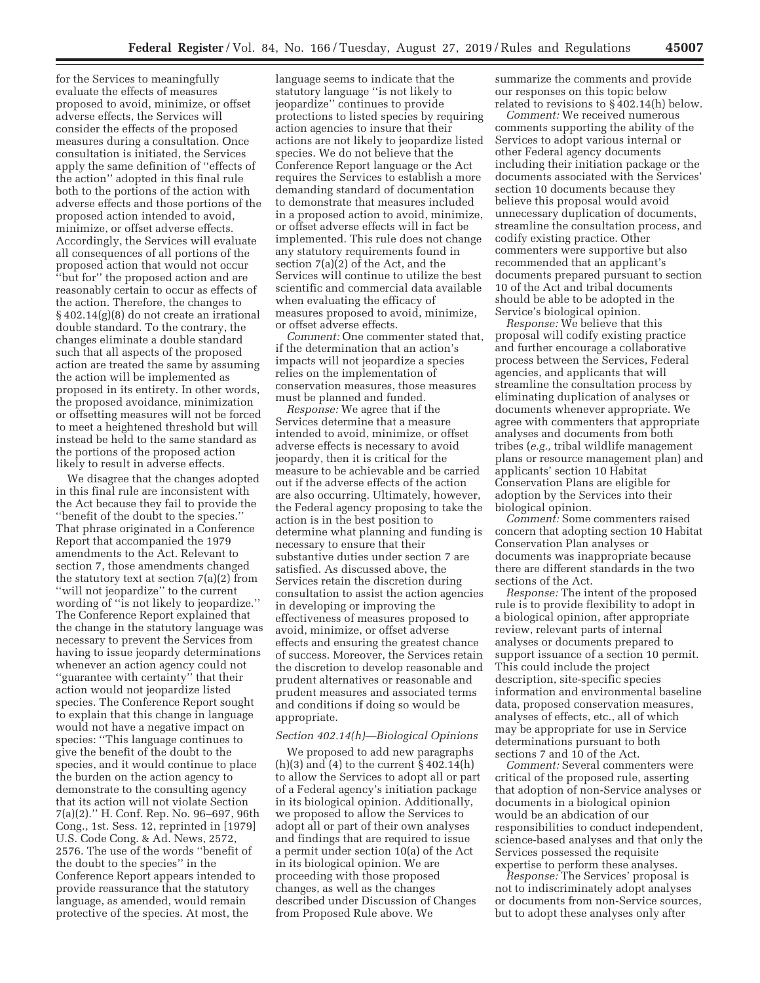for the Services to meaningfully evaluate the effects of measures proposed to avoid, minimize, or offset adverse effects, the Services will consider the effects of the proposed measures during a consultation. Once consultation is initiated, the Services apply the same definition of ''effects of the action'' adopted in this final rule both to the portions of the action with adverse effects and those portions of the proposed action intended to avoid, minimize, or offset adverse effects. Accordingly, the Services will evaluate all consequences of all portions of the proposed action that would not occur ''but for'' the proposed action and are reasonably certain to occur as effects of the action. Therefore, the changes to § 402.14(g)(8) do not create an irrational double standard. To the contrary, the changes eliminate a double standard such that all aspects of the proposed action are treated the same by assuming the action will be implemented as proposed in its entirety. In other words, the proposed avoidance, minimization or offsetting measures will not be forced to meet a heightened threshold but will instead be held to the same standard as the portions of the proposed action likely to result in adverse effects.

We disagree that the changes adopted in this final rule are inconsistent with the Act because they fail to provide the ''benefit of the doubt to the species.'' That phrase originated in a Conference Report that accompanied the 1979 amendments to the Act. Relevant to section 7, those amendments changed the statutory text at section 7(a)(2) from ''will not jeopardize'' to the current wording of ''is not likely to jeopardize.'' The Conference Report explained that the change in the statutory language was necessary to prevent the Services from having to issue jeopardy determinations whenever an action agency could not ''guarantee with certainty'' that their action would not jeopardize listed species. The Conference Report sought to explain that this change in language would not have a negative impact on species: ''This language continues to give the benefit of the doubt to the species, and it would continue to place the burden on the action agency to demonstrate to the consulting agency that its action will not violate Section 7(a)(2).'' H. Conf. Rep. No. 96–697, 96th Cong., 1st. Sess. 12, reprinted in [1979] U.S. Code Cong. & Ad. News, 2572, 2576. The use of the words ''benefit of the doubt to the species'' in the Conference Report appears intended to provide reassurance that the statutory language, as amended, would remain protective of the species. At most, the

language seems to indicate that the statutory language ''is not likely to jeopardize'' continues to provide protections to listed species by requiring action agencies to insure that their actions are not likely to jeopardize listed species. We do not believe that the Conference Report language or the Act requires the Services to establish a more demanding standard of documentation to demonstrate that measures included in a proposed action to avoid, minimize, or offset adverse effects will in fact be implemented. This rule does not change any statutory requirements found in section 7(a)(2) of the Act, and the Services will continue to utilize the best scientific and commercial data available when evaluating the efficacy of measures proposed to avoid, minimize, or offset adverse effects.

*Comment:* One commenter stated that, if the determination that an action's impacts will not jeopardize a species relies on the implementation of conservation measures, those measures must be planned and funded.

*Response:* We agree that if the Services determine that a measure intended to avoid, minimize, or offset adverse effects is necessary to avoid jeopardy, then it is critical for the measure to be achievable and be carried out if the adverse effects of the action are also occurring. Ultimately, however, the Federal agency proposing to take the action is in the best position to determine what planning and funding is necessary to ensure that their substantive duties under section 7 are satisfied. As discussed above, the Services retain the discretion during consultation to assist the action agencies in developing or improving the effectiveness of measures proposed to avoid, minimize, or offset adverse effects and ensuring the greatest chance of success. Moreover, the Services retain the discretion to develop reasonable and prudent alternatives or reasonable and prudent measures and associated terms and conditions if doing so would be appropriate.

#### *Section 402.14(h)—Biological Opinions*

We proposed to add new paragraphs  $(h)(3)$  and  $(4)$  to the current  $\S 402.14(h)$ to allow the Services to adopt all or part of a Federal agency's initiation package in its biological opinion. Additionally, we proposed to allow the Services to adopt all or part of their own analyses and findings that are required to issue a permit under section 10(a) of the Act in its biological opinion. We are proceeding with those proposed changes, as well as the changes described under Discussion of Changes from Proposed Rule above. We

summarize the comments and provide our responses on this topic below related to revisions to § 402.14(h) below.

*Comment:* We received numerous comments supporting the ability of the Services to adopt various internal or other Federal agency documents including their initiation package or the documents associated with the Services' section 10 documents because they believe this proposal would avoid unnecessary duplication of documents, streamline the consultation process, and codify existing practice. Other commenters were supportive but also recommended that an applicant's documents prepared pursuant to section 10 of the Act and tribal documents should be able to be adopted in the Service's biological opinion.

*Response:* We believe that this proposal will codify existing practice and further encourage a collaborative process between the Services, Federal agencies, and applicants that will streamline the consultation process by eliminating duplication of analyses or documents whenever appropriate. We agree with commenters that appropriate analyses and documents from both tribes (*e.g.,* tribal wildlife management plans or resource management plan) and applicants' section 10 Habitat Conservation Plans are eligible for adoption by the Services into their biological opinion.

*Comment:* Some commenters raised concern that adopting section 10 Habitat Conservation Plan analyses or documents was inappropriate because there are different standards in the two sections of the Act.

*Response:* The intent of the proposed rule is to provide flexibility to adopt in a biological opinion, after appropriate review, relevant parts of internal analyses or documents prepared to support issuance of a section 10 permit. This could include the project description, site-specific species information and environmental baseline data, proposed conservation measures, analyses of effects, etc., all of which may be appropriate for use in Service determinations pursuant to both sections 7 and 10 of the Act.

*Comment:* Several commenters were critical of the proposed rule, asserting that adoption of non-Service analyses or documents in a biological opinion would be an abdication of our responsibilities to conduct independent, science-based analyses and that only the Services possessed the requisite expertise to perform these analyses.

*Response:* The Services' proposal is not to indiscriminately adopt analyses or documents from non-Service sources, but to adopt these analyses only after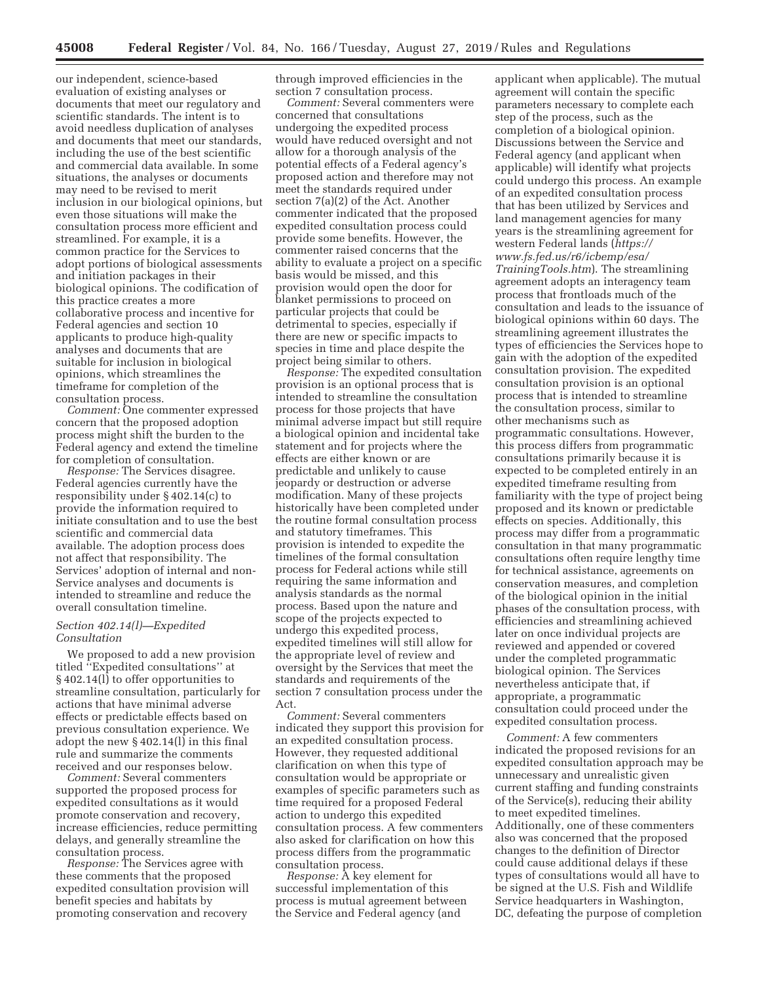our independent, science-based evaluation of existing analyses or documents that meet our regulatory and scientific standards. The intent is to avoid needless duplication of analyses and documents that meet our standards, including the use of the best scientific and commercial data available. In some situations, the analyses or documents may need to be revised to merit inclusion in our biological opinions, but even those situations will make the consultation process more efficient and streamlined. For example, it is a common practice for the Services to adopt portions of biological assessments and initiation packages in their biological opinions. The codification of this practice creates a more collaborative process and incentive for Federal agencies and section 10 applicants to produce high-quality analyses and documents that are suitable for inclusion in biological opinions, which streamlines the timeframe for completion of the consultation process.

*Comment:* One commenter expressed concern that the proposed adoption process might shift the burden to the Federal agency and extend the timeline for completion of consultation.

*Response:* The Services disagree. Federal agencies currently have the responsibility under § 402.14(c) to provide the information required to initiate consultation and to use the best scientific and commercial data available. The adoption process does not affect that responsibility. The Services' adoption of internal and non-Service analyses and documents is intended to streamline and reduce the overall consultation timeline.

## *Section 402.14(l)—Expedited Consultation*

We proposed to add a new provision titled ''Expedited consultations'' at § 402.14(l) to offer opportunities to streamline consultation, particularly for actions that have minimal adverse effects or predictable effects based on previous consultation experience. We adopt the new § 402.14(l) in this final rule and summarize the comments received and our responses below.

*Comment:* Several commenters supported the proposed process for expedited consultations as it would promote conservation and recovery, increase efficiencies, reduce permitting delays, and generally streamline the consultation process.

*Response:* The Services agree with these comments that the proposed expedited consultation provision will benefit species and habitats by promoting conservation and recovery

through improved efficiencies in the section 7 consultation process.

*Comment:* Several commenters were concerned that consultations undergoing the expedited process would have reduced oversight and not allow for a thorough analysis of the potential effects of a Federal agency's proposed action and therefore may not meet the standards required under section 7(a)(2) of the Act. Another commenter indicated that the proposed expedited consultation process could provide some benefits. However, the commenter raised concerns that the ability to evaluate a project on a specific basis would be missed, and this provision would open the door for blanket permissions to proceed on particular projects that could be detrimental to species, especially if there are new or specific impacts to species in time and place despite the project being similar to others.

*Response:* The expedited consultation provision is an optional process that is intended to streamline the consultation process for those projects that have minimal adverse impact but still require a biological opinion and incidental take statement and for projects where the effects are either known or are predictable and unlikely to cause jeopardy or destruction or adverse modification. Many of these projects historically have been completed under the routine formal consultation process and statutory timeframes. This provision is intended to expedite the timelines of the formal consultation process for Federal actions while still requiring the same information and analysis standards as the normal process. Based upon the nature and scope of the projects expected to undergo this expedited process, expedited timelines will still allow for the appropriate level of review and oversight by the Services that meet the standards and requirements of the section 7 consultation process under the Act.

*Comment:* Several commenters indicated they support this provision for an expedited consultation process. However, they requested additional clarification on when this type of consultation would be appropriate or examples of specific parameters such as time required for a proposed Federal action to undergo this expedited consultation process. A few commenters also asked for clarification on how this process differs from the programmatic consultation process.

*Response:* A key element for successful implementation of this process is mutual agreement between the Service and Federal agency (and

applicant when applicable). The mutual agreement will contain the specific parameters necessary to complete each step of the process, such as the completion of a biological opinion. Discussions between the Service and Federal agency (and applicant when applicable) will identify what projects could undergo this process. An example of an expedited consultation process that has been utilized by Services and land management agencies for many years is the streamlining agreement for western Federal lands (*https:// www.fs.fed.us/r6/icbemp/esa/ TrainingTools.htm*). The streamlining agreement adopts an interagency team process that frontloads much of the consultation and leads to the issuance of biological opinions within 60 days. The streamlining agreement illustrates the types of efficiencies the Services hope to gain with the adoption of the expedited consultation provision. The expedited consultation provision is an optional process that is intended to streamline the consultation process, similar to other mechanisms such as programmatic consultations. However, this process differs from programmatic consultations primarily because it is expected to be completed entirely in an expedited timeframe resulting from familiarity with the type of project being proposed and its known or predictable effects on species. Additionally, this process may differ from a programmatic consultation in that many programmatic consultations often require lengthy time for technical assistance, agreements on conservation measures, and completion of the biological opinion in the initial phases of the consultation process, with efficiencies and streamlining achieved later on once individual projects are reviewed and appended or covered under the completed programmatic biological opinion. The Services nevertheless anticipate that, if appropriate, a programmatic consultation could proceed under the expedited consultation process.

*Comment:* A few commenters indicated the proposed revisions for an expedited consultation approach may be unnecessary and unrealistic given current staffing and funding constraints of the Service(s), reducing their ability to meet expedited timelines. Additionally, one of these commenters also was concerned that the proposed changes to the definition of Director could cause additional delays if these types of consultations would all have to be signed at the U.S. Fish and Wildlife Service headquarters in Washington, DC, defeating the purpose of completion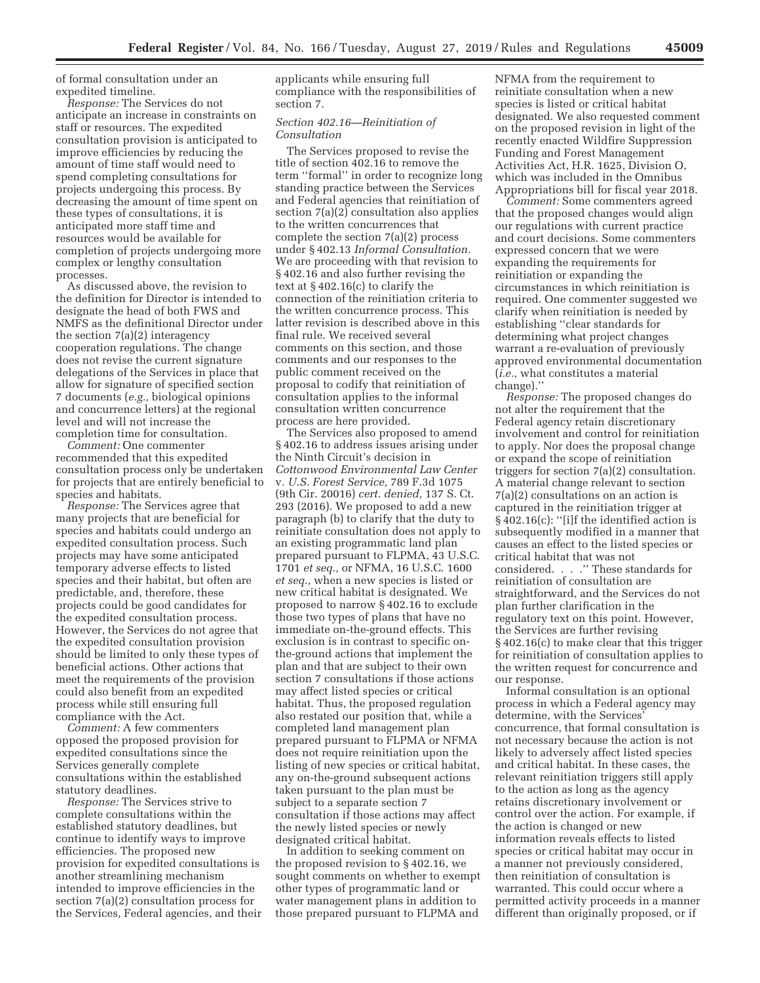of formal consultation under an expedited timeline.

*Response:* The Services do not anticipate an increase in constraints on staff or resources. The expedited consultation provision is anticipated to improve efficiencies by reducing the amount of time staff would need to spend completing consultations for projects undergoing this process. By decreasing the amount of time spent on these types of consultations, it is anticipated more staff time and resources would be available for completion of projects undergoing more complex or lengthy consultation processes.

As discussed above, the revision to the definition for Director is intended to designate the head of both FWS and NMFS as the definitional Director under the section 7(a)(2) interagency cooperation regulations. The change does not revise the current signature delegations of the Services in place that allow for signature of specified section 7 documents (*e.g.,* biological opinions and concurrence letters) at the regional level and will not increase the completion time for consultation.

*Comment:* One commenter recommended that this expedited consultation process only be undertaken for projects that are entirely beneficial to species and habitats.

*Response:* The Services agree that many projects that are beneficial for species and habitats could undergo an expedited consultation process. Such projects may have some anticipated temporary adverse effects to listed species and their habitat, but often are predictable, and, therefore, these projects could be good candidates for the expedited consultation process. However, the Services do not agree that the expedited consultation provision should be limited to only these types of beneficial actions. Other actions that meet the requirements of the provision could also benefit from an expedited process while still ensuring full compliance with the Act.

*Comment:* A few commenters opposed the proposed provision for expedited consultations since the Services generally complete consultations within the established statutory deadlines.

*Response:* The Services strive to complete consultations within the established statutory deadlines, but continue to identify ways to improve efficiencies. The proposed new provision for expedited consultations is another streamlining mechanism intended to improve efficiencies in the section 7(a)(2) consultation process for the Services, Federal agencies, and their applicants while ensuring full compliance with the responsibilities of section 7.

## *Section 402.16—Reinitiation of Consultation*

The Services proposed to revise the title of section 402.16 to remove the term ''formal'' in order to recognize long standing practice between the Services and Federal agencies that reinitiation of section 7(a)(2) consultation also applies to the written concurrences that complete the section 7(a)(2) process under § 402.13 *Informal Consultation.*  We are proceeding with that revision to § 402.16 and also further revising the text at § 402.16(c) to clarify the connection of the reinitiation criteria to the written concurrence process. This latter revision is described above in this final rule. We received several comments on this section, and those comments and our responses to the public comment received on the proposal to codify that reinitiation of consultation applies to the informal consultation written concurrence process are here provided.

The Services also proposed to amend § 402.16 to address issues arising under the Ninth Circuit's decision in *Cottonwood Environmental Law Center*  v*. U.S. Forest Service,* 789 F.3d 1075 (9th Cir. 20016) *cert. denied,* 137 S. Ct. 293 (2016). We proposed to add a new paragraph (b) to clarify that the duty to reinitiate consultation does not apply to an existing programmatic land plan prepared pursuant to FLPMA, 43 U.S.C. 1701 *et seq.,* or NFMA, 16 U.S.C. 1600 *et seq.,* when a new species is listed or new critical habitat is designated. We proposed to narrow § 402.16 to exclude those two types of plans that have no immediate on-the-ground effects. This exclusion is in contrast to specific onthe-ground actions that implement the plan and that are subject to their own section 7 consultations if those actions may affect listed species or critical habitat. Thus, the proposed regulation also restated our position that, while a completed land management plan prepared pursuant to FLPMA or NFMA does not require reinitiation upon the listing of new species or critical habitat, any on-the-ground subsequent actions taken pursuant to the plan must be subject to a separate section 7 consultation if those actions may affect the newly listed species or newly designated critical habitat.

In addition to seeking comment on the proposed revision to § 402.16, we sought comments on whether to exempt other types of programmatic land or water management plans in addition to those prepared pursuant to FLPMA and

NFMA from the requirement to reinitiate consultation when a new species is listed or critical habitat designated. We also requested comment on the proposed revision in light of the recently enacted Wildfire Suppression Funding and Forest Management Activities Act, H.R. 1625, Division O, which was included in the Omnibus Appropriations bill for fiscal year 2018.

*Comment:* Some commenters agreed that the proposed changes would align our regulations with current practice and court decisions. Some commenters expressed concern that we were expanding the requirements for reinitiation or expanding the circumstances in which reinitiation is required. One commenter suggested we clarify when reinitiation is needed by establishing ''clear standards for determining what project changes warrant a re-evaluation of previously approved environmental documentation (*i.e.,* what constitutes a material change).''

*Response:* The proposed changes do not alter the requirement that the Federal agency retain discretionary involvement and control for reinitiation to apply. Nor does the proposal change or expand the scope of reinitiation triggers for section 7(a)(2) consultation. A material change relevant to section 7(a)(2) consultations on an action is captured in the reinitiation trigger at § 402.16(c): ''[i]f the identified action is subsequently modified in a manner that causes an effect to the listed species or critical habitat that was not considered. . . .'' These standards for reinitiation of consultation are straightforward, and the Services do not plan further clarification in the regulatory text on this point. However, the Services are further revising § 402.16(c) to make clear that this trigger for reinitiation of consultation applies to the written request for concurrence and our response.

Informal consultation is an optional process in which a Federal agency may determine, with the Services' concurrence, that formal consultation is not necessary because the action is not likely to adversely affect listed species and critical habitat. In these cases, the relevant reinitiation triggers still apply to the action as long as the agency retains discretionary involvement or control over the action. For example, if the action is changed or new information reveals effects to listed species or critical habitat may occur in a manner not previously considered, then reinitiation of consultation is warranted. This could occur where a permitted activity proceeds in a manner different than originally proposed, or if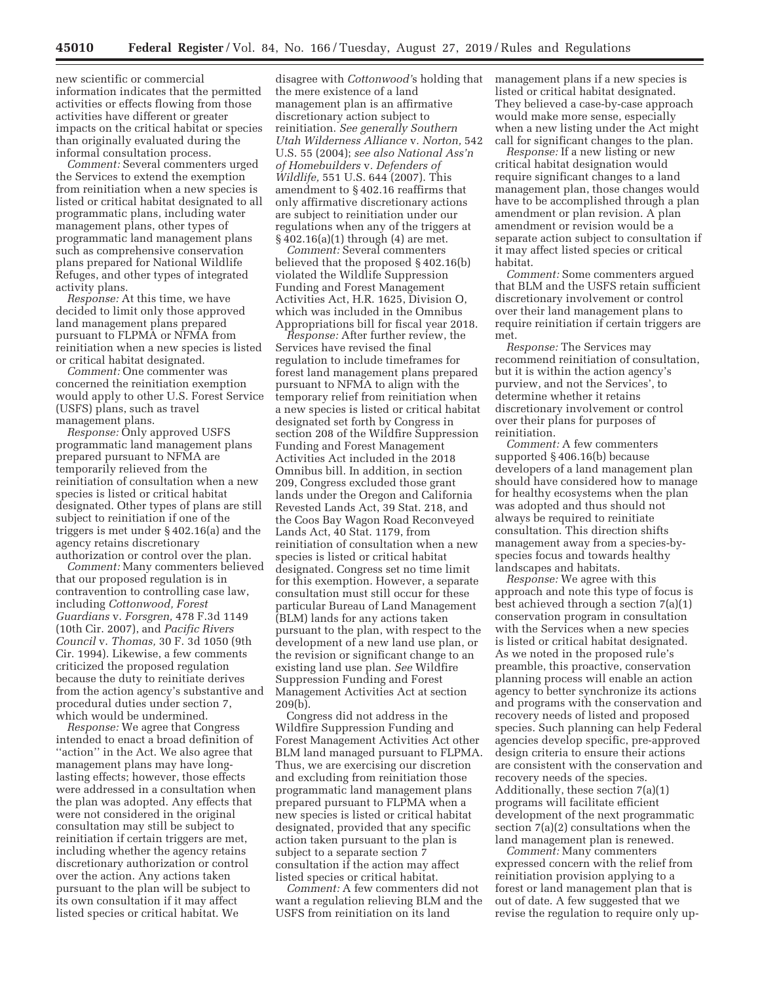new scientific or commercial information indicates that the permitted activities or effects flowing from those activities have different or greater impacts on the critical habitat or species than originally evaluated during the informal consultation process.

*Comment:* Several commenters urged the Services to extend the exemption from reinitiation when a new species is listed or critical habitat designated to all programmatic plans, including water management plans, other types of programmatic land management plans such as comprehensive conservation plans prepared for National Wildlife Refuges, and other types of integrated activity plans.

*Response:* At this time, we have decided to limit only those approved land management plans prepared pursuant to FLPMA or NFMA from reinitiation when a new species is listed or critical habitat designated.

*Comment:* One commenter was concerned the reinitiation exemption would apply to other U.S. Forest Service (USFS) plans, such as travel management plans.

*Response:* Only approved USFS programmatic land management plans prepared pursuant to NFMA are temporarily relieved from the reinitiation of consultation when a new species is listed or critical habitat designated. Other types of plans are still subject to reinitiation if one of the triggers is met under § 402.16(a) and the agency retains discretionary authorization or control over the plan.

*Comment:* Many commenters believed that our proposed regulation is in contravention to controlling case law, including *Cottonwood, Forest Guardians* v. *Forsgren,* 478 F.3d 1149 (10th Cir. 2007), and *Pacific Rivers Council* v. *Thomas,* 30 F. 3d 1050 (9th Cir. 1994). Likewise, a few comments criticized the proposed regulation because the duty to reinitiate derives from the action agency's substantive and procedural duties under section 7, which would be undermined.

*Response:* We agree that Congress intended to enact a broad definition of "action" in the Act. We also agree that management plans may have longlasting effects; however, those effects were addressed in a consultation when the plan was adopted. Any effects that were not considered in the original consultation may still be subject to reinitiation if certain triggers are met, including whether the agency retains discretionary authorization or control over the action. Any actions taken pursuant to the plan will be subject to its own consultation if it may affect listed species or critical habitat. We

disagree with *Cottonwood'*s holding that the mere existence of a land management plan is an affirmative discretionary action subject to reinitiation. *See generally Southern Utah Wilderness Alliance* v*. Norton,* 542 U.S. 55 (2004); *see also National Ass'n of Homebuilders* v*. Defenders of Wildlife,* 551 U.S. 644 (2007). This amendment to § 402.16 reaffirms that only affirmative discretionary actions are subject to reinitiation under our regulations when any of the triggers at § 402.16(a)(1) through (4) are met.

*Comment:* Several commenters believed that the proposed § 402.16(b) violated the Wildlife Suppression Funding and Forest Management Activities Act, H.R. 1625, Division O, which was included in the Omnibus Appropriations bill for fiscal year 2018.

*Response:* After further review, the Services have revised the final regulation to include timeframes for forest land management plans prepared pursuant to NFMA to align with the temporary relief from reinitiation when a new species is listed or critical habitat designated set forth by Congress in section 208 of the Wildfire Suppression Funding and Forest Management Activities Act included in the 2018 Omnibus bill. In addition, in section 209, Congress excluded those grant lands under the Oregon and California Revested Lands Act, 39 Stat. 218, and the Coos Bay Wagon Road Reconveyed Lands Act, 40 Stat. 1179, from reinitiation of consultation when a new species is listed or critical habitat designated. Congress set no time limit for this exemption. However, a separate consultation must still occur for these particular Bureau of Land Management (BLM) lands for any actions taken pursuant to the plan, with respect to the development of a new land use plan, or the revision or significant change to an existing land use plan. *See* Wildfire Suppression Funding and Forest Management Activities Act at section 209(b).

Congress did not address in the Wildfire Suppression Funding and Forest Management Activities Act other BLM land managed pursuant to FLPMA. Thus, we are exercising our discretion and excluding from reinitiation those programmatic land management plans prepared pursuant to FLPMA when a new species is listed or critical habitat designated, provided that any specific action taken pursuant to the plan is subject to a separate section 7 consultation if the action may affect listed species or critical habitat.

*Comment:* A few commenters did not want a regulation relieving BLM and the USFS from reinitiation on its land

management plans if a new species is listed or critical habitat designated. They believed a case-by-case approach would make more sense, especially when a new listing under the Act might call for significant changes to the plan.

*Response:* If a new listing or new critical habitat designation would require significant changes to a land management plan, those changes would have to be accomplished through a plan amendment or plan revision. A plan amendment or revision would be a separate action subject to consultation if it may affect listed species or critical habitat.

*Comment:* Some commenters argued that BLM and the USFS retain sufficient discretionary involvement or control over their land management plans to require reinitiation if certain triggers are met.

*Response:* The Services may recommend reinitiation of consultation, but it is within the action agency's purview, and not the Services', to determine whether it retains discretionary involvement or control over their plans for purposes of reinitiation.

*Comment:* A few commenters supported § 406.16(b) because developers of a land management plan should have considered how to manage for healthy ecosystems when the plan was adopted and thus should not always be required to reinitiate consultation. This direction shifts management away from a species-byspecies focus and towards healthy landscapes and habitats.

*Response:* We agree with this approach and note this type of focus is best achieved through a section 7(a)(1) conservation program in consultation with the Services when a new species is listed or critical habitat designated. As we noted in the proposed rule's preamble, this proactive, conservation planning process will enable an action agency to better synchronize its actions and programs with the conservation and recovery needs of listed and proposed species. Such planning can help Federal agencies develop specific, pre-approved design criteria to ensure their actions are consistent with the conservation and recovery needs of the species. Additionally, these section 7(a)(1) programs will facilitate efficient development of the next programmatic section 7(a)(2) consultations when the land management plan is renewed.

*Comment:* Many commenters expressed concern with the relief from reinitiation provision applying to a forest or land management plan that is out of date. A few suggested that we revise the regulation to require only up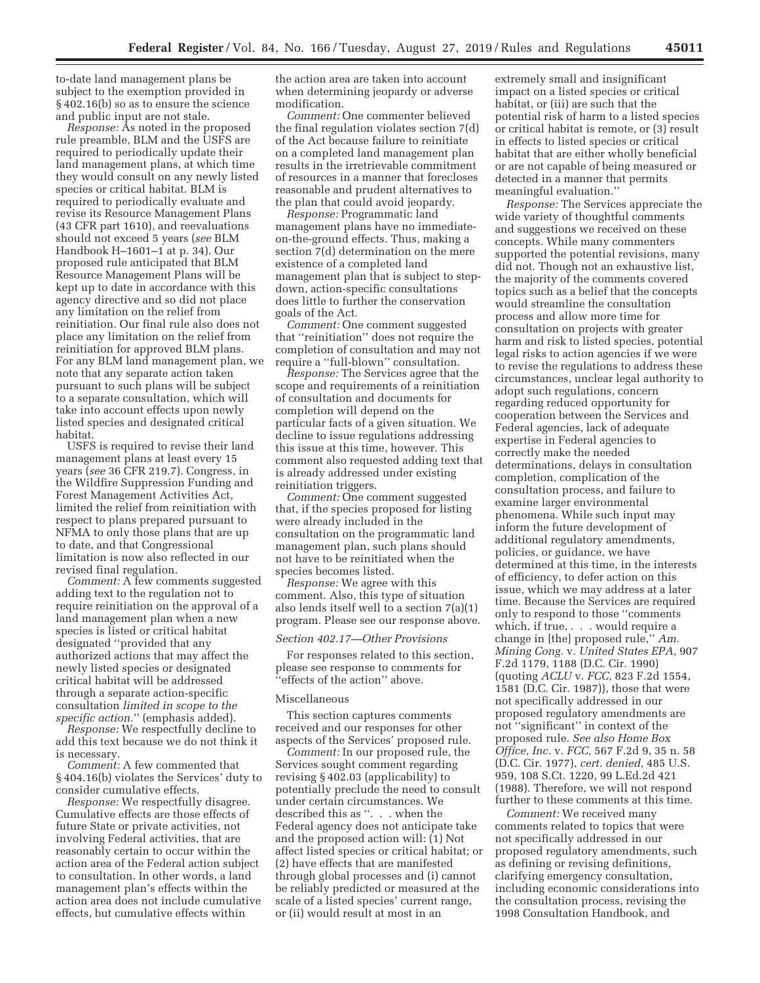to-date land management plans be subject to the exemption provided in § 402.16(b) so as to ensure the science and public input are not stale.

*Response:* As noted in the proposed rule preamble, BLM and the USFS are required to periodically update their land management plans, at which time they would consult on any newly listed species or critical habitat. BLM is required to periodically evaluate and revise its Resource Management Plans (43 CFR part 1610), and reevaluations should not exceed 5 years (*see* BLM Handbook H–1601–1 at p. 34). Our proposed rule anticipated that BLM Resource Management Plans will be kept up to date in accordance with this agency directive and so did not place any limitation on the relief from reinitiation. Our final rule also does not place any limitation on the relief from reinitiation for approved BLM plans. For any BLM land management plan, we note that any separate action taken pursuant to such plans will be subject to a separate consultation, which will take into account effects upon newly listed species and designated critical habitat.

USFS is required to revise their land management plans at least every 15 years (*see* 36 CFR 219.7). Congress, in the Wildfire Suppression Funding and Forest Management Activities Act, limited the relief from reinitiation with respect to plans prepared pursuant to NFMA to only those plans that are up to date, and that Congressional limitation is now also reflected in our revised final regulation.

*Comment:* A few comments suggested adding text to the regulation not to require reinitiation on the approval of a land management plan when a new species is listed or critical habitat designated ''provided that any authorized actions that may affect the newly listed species or designated critical habitat will be addressed through a separate action-specific consultation *limited in scope to the specific action.*'' (emphasis added).

*Response:* We respectfully decline to add this text because we do not think it is necessary.

*Comment:* A few commented that § 404.16(b) violates the Services' duty to consider cumulative effects.

*Response:* We respectfully disagree. Cumulative effects are those effects of future State or private activities, not involving Federal activities, that are reasonably certain to occur within the action area of the Federal action subject to consultation. In other words, a land management plan's effects within the action area does not include cumulative effects, but cumulative effects within

the action area are taken into account when determining jeopardy or adverse modification.

*Comment:* One commenter believed the final regulation violates section 7(d) of the Act because failure to reinitiate on a completed land management plan results in the irretrievable commitment of resources in a manner that forecloses reasonable and prudent alternatives to the plan that could avoid jeopardy.

*Response:* Programmatic land management plans have no immediateon-the-ground effects. Thus, making a section 7(d) determination on the mere existence of a completed land management plan that is subject to stepdown, action-specific consultations does little to further the conservation goals of the Act.

*Comment:* One comment suggested that ''reinitiation'' does not require the completion of consultation and may not require a ''full-blown'' consultation.

*Response:* The Services agree that the scope and requirements of a reinitiation of consultation and documents for completion will depend on the particular facts of a given situation. We decline to issue regulations addressing this issue at this time, however. This comment also requested adding text that is already addressed under existing reinitiation triggers.

*Comment:* One comment suggested that, if the species proposed for listing were already included in the consultation on the programmatic land management plan, such plans should not have to be reinitiated when the species becomes listed.

*Response:* We agree with this comment. Also, this type of situation also lends itself well to a section 7(a)(1) program. Please see our response above.

### *Section 402.17—Other Provisions*

For responses related to this section, please see response to comments for ''effects of the action'' above.

#### Miscellaneous

This section captures comments received and our responses for other aspects of the Services' proposed rule.

*Comment:* In our proposed rule, the Services sought comment regarding revising § 402.03 (applicability) to potentially preclude the need to consult under certain circumstances. We described this as ''. . . when the Federal agency does not anticipate take and the proposed action will: (1) Not affect listed species or critical habitat; or (2) have effects that are manifested through global processes and (i) cannot be reliably predicted or measured at the scale of a listed species' current range, or (ii) would result at most in an

extremely small and insignificant impact on a listed species or critical habitat, or (iii) are such that the potential risk of harm to a listed species or critical habitat is remote, or (3) result in effects to listed species or critical habitat that are either wholly beneficial or are not capable of being measured or detected in a manner that permits meaningful evaluation.''

*Response:* The Services appreciate the wide variety of thoughtful comments and suggestions we received on these concepts. While many commenters supported the potential revisions, many did not. Though not an exhaustive list, the majority of the comments covered topics such as a belief that the concepts would streamline the consultation process and allow more time for consultation on projects with greater harm and risk to listed species, potential legal risks to action agencies if we were to revise the regulations to address these circumstances, unclear legal authority to adopt such regulations, concern regarding reduced opportunity for cooperation between the Services and Federal agencies, lack of adequate expertise in Federal agencies to correctly make the needed determinations, delays in consultation completion, complication of the consultation process, and failure to examine larger environmental phenomena. While such input may inform the future development of additional regulatory amendments, policies, or guidance, we have determined at this time, in the interests of efficiency, to defer action on this issue, which we may address at a later time. Because the Services are required only to respond to those ''comments which, if true, . . . would require a change in [the] proposed rule,'' *Am. Mining Cong.* v. *United States EPA,* 907 F.2d 1179, 1188 (D.C. Cir. 1990) (quoting *ACLU* v. *FCC,* 823 F.2d 1554, 1581 (D.C. Cir. 1987)), those that were not specifically addressed in our proposed regulatory amendments are not ''significant'' in context of the proposed rule. *See also Home Box Office, Inc.* v. *FCC,* 567 F.2d 9, 35 n. 58 (D.C. Cir. 1977), *cert. denied,* 485 U.S. 959, 108 S.Ct. 1220, 99 L.Ed.2d 421 (1988). Therefore, we will not respond further to these comments at this time.

*Comment:* We received many comments related to topics that were not specifically addressed in our proposed regulatory amendments, such as defining or revising definitions, clarifying emergency consultation, including economic considerations into the consultation process, revising the 1998 Consultation Handbook, and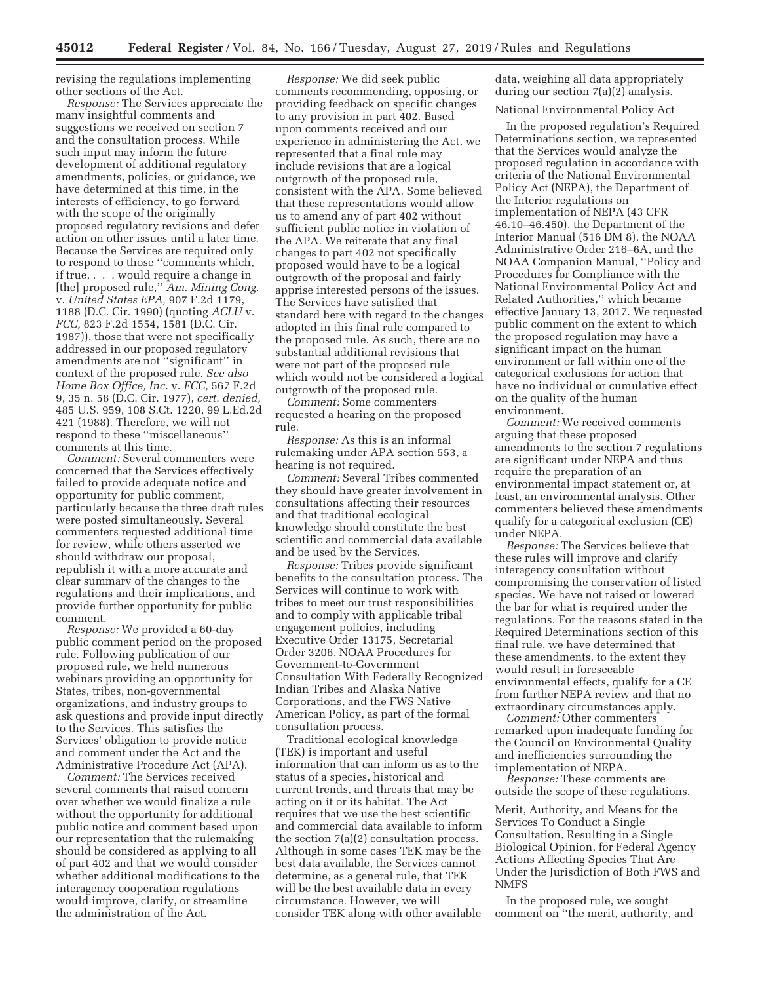revising the regulations implementing other sections of the Act.

*Response:* The Services appreciate the many insightful comments and suggestions we received on section 7 and the consultation process. While such input may inform the future development of additional regulatory amendments, policies, or guidance, we have determined at this time, in the interests of efficiency, to go forward with the scope of the originally proposed regulatory revisions and defer action on other issues until a later time. Because the Services are required only to respond to those ''comments which, if true, . . . would require a change in [the] proposed rule,'' *Am. Mining Cong.*  v. *United States EPA,* 907 F.2d 1179, 1188 (D.C. Cir. 1990) (quoting *ACLU* v. *FCC,* 823 F.2d 1554, 1581 (D.C. Cir. 1987)), those that were not specifically addressed in our proposed regulatory amendments are not ''significant'' in context of the proposed rule. *See also Home Box Office, Inc.* v. *FCC,* 567 F.2d 9, 35 n. 58 (D.C. Cir. 1977), *cert. denied,*  485 U.S. 959, 108 S.Ct. 1220, 99 L.Ed.2d 421 (1988). Therefore, we will not respond to these ''miscellaneous'' comments at this time.

*Comment:* Several commenters were concerned that the Services effectively failed to provide adequate notice and opportunity for public comment, particularly because the three draft rules were posted simultaneously. Several commenters requested additional time for review, while others asserted we should withdraw our proposal, republish it with a more accurate and clear summary of the changes to the regulations and their implications, and provide further opportunity for public comment.

*Response:* We provided a 60-day public comment period on the proposed rule. Following publication of our proposed rule, we held numerous webinars providing an opportunity for States, tribes, non-governmental organizations, and industry groups to ask questions and provide input directly to the Services. This satisfies the Services' obligation to provide notice and comment under the Act and the Administrative Procedure Act (APA).

*Comment:* The Services received several comments that raised concern over whether we would finalize a rule without the opportunity for additional public notice and comment based upon our representation that the rulemaking should be considered as applying to all of part 402 and that we would consider whether additional modifications to the interagency cooperation regulations would improve, clarify, or streamline the administration of the Act.

*Response:* We did seek public comments recommending, opposing, or providing feedback on specific changes to any provision in part 402. Based upon comments received and our experience in administering the Act, we represented that a final rule may include revisions that are a logical outgrowth of the proposed rule, consistent with the APA. Some believed that these representations would allow us to amend any of part 402 without sufficient public notice in violation of the APA. We reiterate that any final changes to part 402 not specifically proposed would have to be a logical outgrowth of the proposal and fairly apprise interested persons of the issues. The Services have satisfied that standard here with regard to the changes adopted in this final rule compared to the proposed rule. As such, there are no substantial additional revisions that were not part of the proposed rule which would not be considered a logical outgrowth of the proposed rule.

*Comment:* Some commenters requested a hearing on the proposed rule.

*Response:* As this is an informal rulemaking under APA section 553, a hearing is not required.

*Comment:* Several Tribes commented they should have greater involvement in consultations affecting their resources and that traditional ecological knowledge should constitute the best scientific and commercial data available and be used by the Services.

*Response:* Tribes provide significant benefits to the consultation process. The Services will continue to work with tribes to meet our trust responsibilities and to comply with applicable tribal engagement policies, including Executive Order 13175, Secretarial Order 3206, NOAA Procedures for Government-to-Government Consultation With Federally Recognized Indian Tribes and Alaska Native Corporations, and the FWS Native American Policy, as part of the formal consultation process.

Traditional ecological knowledge (TEK) is important and useful information that can inform us as to the status of a species, historical and current trends, and threats that may be acting on it or its habitat. The Act requires that we use the best scientific and commercial data available to inform the section 7(a)(2) consultation process. Although in some cases TEK may be the best data available, the Services cannot determine, as a general rule, that TEK will be the best available data in every circumstance. However, we will consider TEK along with other available

data, weighing all data appropriately during our section 7(a)(2) analysis.

National Environmental Policy Act

In the proposed regulation's Required Determinations section, we represented that the Services would analyze the proposed regulation in accordance with criteria of the National Environmental Policy Act (NEPA), the Department of the Interior regulations on implementation of NEPA (43 CFR 46.10–46.450), the Department of the Interior Manual (516 DM 8), the NOAA Administrative Order 216–6A, and the NOAA Companion Manual, ''Policy and Procedures for Compliance with the National Environmental Policy Act and Related Authorities,'' which became effective January 13, 2017. We requested public comment on the extent to which the proposed regulation may have a significant impact on the human environment or fall within one of the categorical exclusions for action that have no individual or cumulative effect on the quality of the human environment.

*Comment:* We received comments arguing that these proposed amendments to the section 7 regulations are significant under NEPA and thus require the preparation of an environmental impact statement or, at least, an environmental analysis. Other commenters believed these amendments qualify for a categorical exclusion (CE) under NEPA.

*Response:* The Services believe that these rules will improve and clarify interagency consultation without compromising the conservation of listed species. We have not raised or lowered the bar for what is required under the regulations. For the reasons stated in the Required Determinations section of this final rule, we have determined that these amendments, to the extent they would result in foreseeable environmental effects, qualify for a CE from further NEPA review and that no extraordinary circumstances apply.

*Comment:* Other commenters remarked upon inadequate funding for the Council on Environmental Quality and inefficiencies surrounding the implementation of NEPA.

*Response:* These comments are outside the scope of these regulations.

Merit, Authority, and Means for the Services To Conduct a Single Consultation, Resulting in a Single Biological Opinion, for Federal Agency Actions Affecting Species That Are Under the Jurisdiction of Both FWS and NMFS

In the proposed rule, we sought comment on ''the merit, authority, and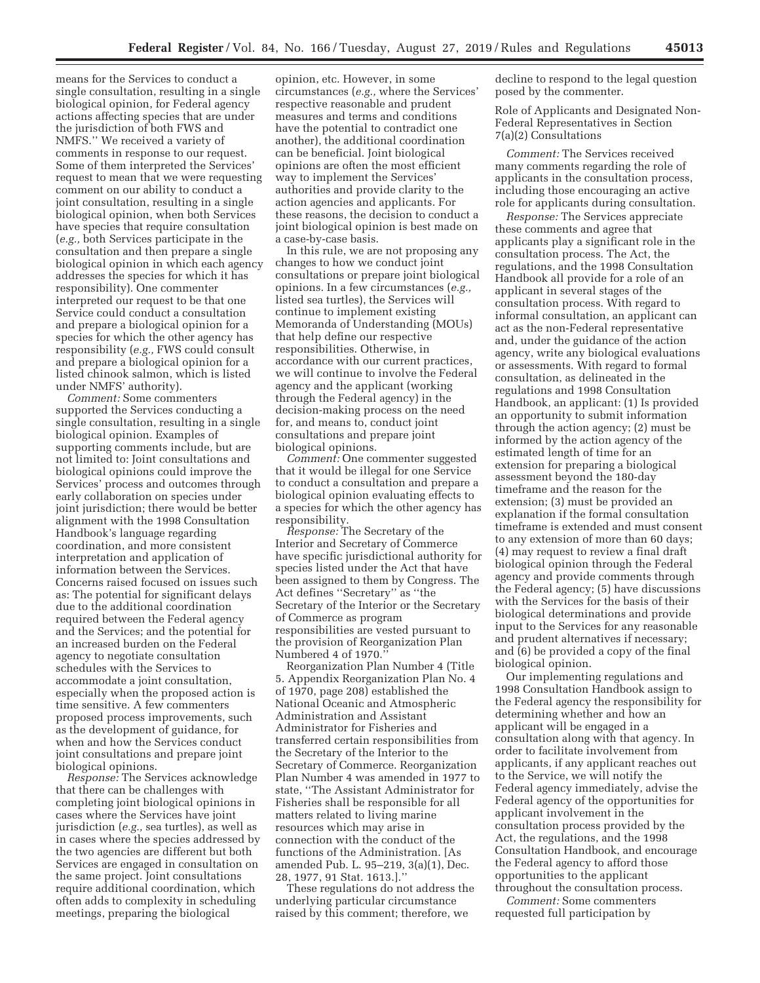means for the Services to conduct a single consultation, resulting in a single biological opinion, for Federal agency actions affecting species that are under the jurisdiction of both FWS and NMFS.'' We received a variety of comments in response to our request. Some of them interpreted the Services' request to mean that we were requesting comment on our ability to conduct a joint consultation, resulting in a single biological opinion, when both Services have species that require consultation (*e.g.,* both Services participate in the consultation and then prepare a single biological opinion in which each agency addresses the species for which it has responsibility). One commenter interpreted our request to be that one Service could conduct a consultation and prepare a biological opinion for a species for which the other agency has responsibility (*e.g.,* FWS could consult and prepare a biological opinion for a listed chinook salmon, which is listed under NMFS' authority).

*Comment:* Some commenters supported the Services conducting a single consultation, resulting in a single biological opinion. Examples of supporting comments include, but are not limited to: Joint consultations and biological opinions could improve the Services' process and outcomes through early collaboration on species under joint jurisdiction; there would be better alignment with the 1998 Consultation Handbook's language regarding coordination, and more consistent interpretation and application of information between the Services. Concerns raised focused on issues such as: The potential for significant delays due to the additional coordination required between the Federal agency and the Services; and the potential for an increased burden on the Federal agency to negotiate consultation schedules with the Services to accommodate a joint consultation, especially when the proposed action is time sensitive. A few commenters proposed process improvements, such as the development of guidance, for when and how the Services conduct joint consultations and prepare joint biological opinions.

*Response:* The Services acknowledge that there can be challenges with completing joint biological opinions in cases where the Services have joint jurisdiction (*e.g.,* sea turtles), as well as in cases where the species addressed by the two agencies are different but both Services are engaged in consultation on the same project. Joint consultations require additional coordination, which often adds to complexity in scheduling meetings, preparing the biological

opinion, etc. However, in some circumstances (*e.g.,* where the Services' respective reasonable and prudent measures and terms and conditions have the potential to contradict one another), the additional coordination can be beneficial. Joint biological opinions are often the most efficient way to implement the Services' authorities and provide clarity to the action agencies and applicants. For these reasons, the decision to conduct a joint biological opinion is best made on a case-by-case basis.

In this rule, we are not proposing any changes to how we conduct joint consultations or prepare joint biological opinions. In a few circumstances (*e.g.,*  listed sea turtles), the Services will continue to implement existing Memoranda of Understanding (MOUs) that help define our respective responsibilities. Otherwise, in accordance with our current practices, we will continue to involve the Federal agency and the applicant (working through the Federal agency) in the decision-making process on the need for, and means to, conduct joint consultations and prepare joint biological opinions.

*Comment:* One commenter suggested that it would be illegal for one Service to conduct a consultation and prepare a biological opinion evaluating effects to a species for which the other agency has responsibility.

*Response:* The Secretary of the Interior and Secretary of Commerce have specific jurisdictional authority for species listed under the Act that have been assigned to them by Congress. The Act defines ''Secretary'' as ''the Secretary of the Interior or the Secretary of Commerce as program responsibilities are vested pursuant to the provision of Reorganization Plan Numbered 4 of 1970.

Reorganization Plan Number 4 (Title 5. Appendix Reorganization Plan No. 4 of 1970, page 208) established the National Oceanic and Atmospheric Administration and Assistant Administrator for Fisheries and transferred certain responsibilities from the Secretary of the Interior to the Secretary of Commerce. Reorganization Plan Number 4 was amended in 1977 to state, ''The Assistant Administrator for Fisheries shall be responsible for all matters related to living marine resources which may arise in connection with the conduct of the functions of the Administration. [As amended Pub. L. 95–219, 3(a)(1), Dec. 28, 1977, 91 Stat. 1613.].''

These regulations do not address the underlying particular circumstance raised by this comment; therefore, we

decline to respond to the legal question posed by the commenter.

Role of Applicants and Designated Non-Federal Representatives in Section 7(a)(2) Consultations

*Comment:* The Services received many comments regarding the role of applicants in the consultation process, including those encouraging an active role for applicants during consultation.

*Response:* The Services appreciate these comments and agree that applicants play a significant role in the consultation process. The Act, the regulations, and the 1998 Consultation Handbook all provide for a role of an applicant in several stages of the consultation process. With regard to informal consultation, an applicant can act as the non-Federal representative and, under the guidance of the action agency, write any biological evaluations or assessments. With regard to formal consultation, as delineated in the regulations and 1998 Consultation Handbook, an applicant: (1) Is provided an opportunity to submit information through the action agency; (2) must be informed by the action agency of the estimated length of time for an extension for preparing a biological assessment beyond the 180-day timeframe and the reason for the extension; (3) must be provided an explanation if the formal consultation timeframe is extended and must consent to any extension of more than 60 days; (4) may request to review a final draft biological opinion through the Federal agency and provide comments through the Federal agency; (5) have discussions with the Services for the basis of their biological determinations and provide input to the Services for any reasonable and prudent alternatives if necessary; and (6) be provided a copy of the final biological opinion.

Our implementing regulations and 1998 Consultation Handbook assign to the Federal agency the responsibility for determining whether and how an applicant will be engaged in a consultation along with that agency. In order to facilitate involvement from applicants, if any applicant reaches out to the Service, we will notify the Federal agency immediately, advise the Federal agency of the opportunities for applicant involvement in the consultation process provided by the Act, the regulations, and the 1998 Consultation Handbook, and encourage the Federal agency to afford those opportunities to the applicant throughout the consultation process.

*Comment:* Some commenters requested full participation by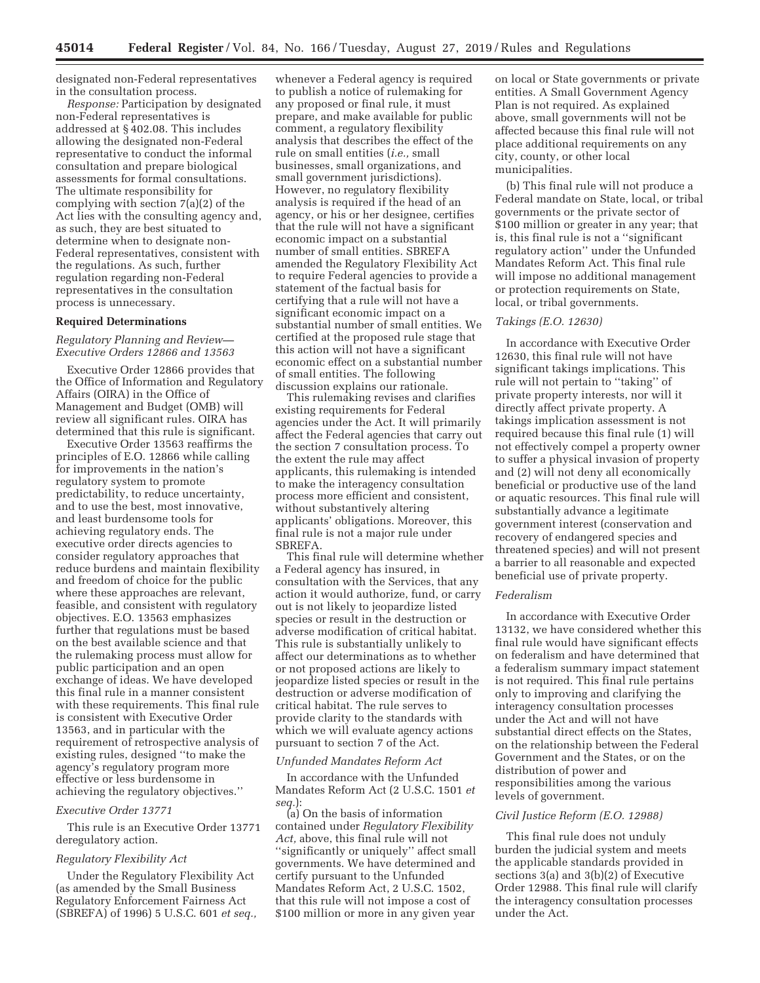designated non-Federal representatives in the consultation process.

*Response:* Participation by designated non-Federal representatives is addressed at § 402.08. This includes allowing the designated non-Federal representative to conduct the informal consultation and prepare biological assessments for formal consultations. The ultimate responsibility for complying with section 7(a)(2) of the Act lies with the consulting agency and, as such, they are best situated to determine when to designate non-Federal representatives, consistent with the regulations. As such, further regulation regarding non-Federal representatives in the consultation process is unnecessary.

## **Required Determinations**

## *Regulatory Planning and Review— Executive Orders 12866 and 13563*

Executive Order 12866 provides that the Office of Information and Regulatory Affairs (OIRA) in the Office of Management and Budget (OMB) will review all significant rules. OIRA has determined that this rule is significant.

Executive Order 13563 reaffirms the principles of E.O. 12866 while calling for improvements in the nation's regulatory system to promote predictability, to reduce uncertainty, and to use the best, most innovative, and least burdensome tools for achieving regulatory ends. The executive order directs agencies to consider regulatory approaches that reduce burdens and maintain flexibility and freedom of choice for the public where these approaches are relevant, feasible, and consistent with regulatory objectives. E.O. 13563 emphasizes further that regulations must be based on the best available science and that the rulemaking process must allow for public participation and an open exchange of ideas. We have developed this final rule in a manner consistent with these requirements. This final rule is consistent with Executive Order 13563, and in particular with the requirement of retrospective analysis of existing rules, designed ''to make the agency's regulatory program more effective or less burdensome in achieving the regulatory objectives.''

# *Executive Order 13771*

This rule is an Executive Order 13771 deregulatory action.

#### *Regulatory Flexibility Act*

Under the Regulatory Flexibility Act (as amended by the Small Business Regulatory Enforcement Fairness Act (SBREFA) of 1996) 5 U.S.C. 601 *et seq.,* 

whenever a Federal agency is required to publish a notice of rulemaking for any proposed or final rule, it must prepare, and make available for public comment, a regulatory flexibility analysis that describes the effect of the rule on small entities (*i.e.,* small businesses, small organizations, and small government jurisdictions). However, no regulatory flexibility analysis is required if the head of an agency, or his or her designee, certifies that the rule will not have a significant economic impact on a substantial number of small entities. SBREFA amended the Regulatory Flexibility Act to require Federal agencies to provide a statement of the factual basis for certifying that a rule will not have a significant economic impact on a substantial number of small entities. We certified at the proposed rule stage that this action will not have a significant economic effect on a substantial number of small entities. The following discussion explains our rationale.

This rulemaking revises and clarifies existing requirements for Federal agencies under the Act. It will primarily affect the Federal agencies that carry out the section 7 consultation process. To the extent the rule may affect applicants, this rulemaking is intended to make the interagency consultation process more efficient and consistent, without substantively altering applicants' obligations. Moreover, this final rule is not a major rule under SBREFA.

This final rule will determine whether a Federal agency has insured, in consultation with the Services, that any action it would authorize, fund, or carry out is not likely to jeopardize listed species or result in the destruction or adverse modification of critical habitat. This rule is substantially unlikely to affect our determinations as to whether or not proposed actions are likely to jeopardize listed species or result in the destruction or adverse modification of critical habitat. The rule serves to provide clarity to the standards with which we will evaluate agency actions pursuant to section 7 of the Act.

#### *Unfunded Mandates Reform Act*

In accordance with the Unfunded Mandates Reform Act (2 U.S.C. 1501 *et seq.*):

(a) On the basis of information contained under *Regulatory Flexibility Act,* above, this final rule will not ''significantly or uniquely'' affect small governments. We have determined and certify pursuant to the Unfunded Mandates Reform Act, 2 U.S.C. 1502, that this rule will not impose a cost of \$100 million or more in any given year

on local or State governments or private entities. A Small Government Agency Plan is not required. As explained above, small governments will not be affected because this final rule will not place additional requirements on any city, county, or other local municipalities.

(b) This final rule will not produce a Federal mandate on State, local, or tribal governments or the private sector of \$100 million or greater in any year; that is, this final rule is not a ''significant regulatory action'' under the Unfunded Mandates Reform Act. This final rule will impose no additional management or protection requirements on State, local, or tribal governments.

## *Takings (E.O. 12630)*

In accordance with Executive Order 12630, this final rule will not have significant takings implications. This rule will not pertain to ''taking'' of private property interests, nor will it directly affect private property. A takings implication assessment is not required because this final rule (1) will not effectively compel a property owner to suffer a physical invasion of property and (2) will not deny all economically beneficial or productive use of the land or aquatic resources. This final rule will substantially advance a legitimate government interest (conservation and recovery of endangered species and threatened species) and will not present a barrier to all reasonable and expected beneficial use of private property.

#### *Federalism*

In accordance with Executive Order 13132, we have considered whether this final rule would have significant effects on federalism and have determined that a federalism summary impact statement is not required. This final rule pertains only to improving and clarifying the interagency consultation processes under the Act and will not have substantial direct effects on the States, on the relationship between the Federal Government and the States, or on the distribution of power and responsibilities among the various levels of government.

### *Civil Justice Reform (E.O. 12988)*

This final rule does not unduly burden the judicial system and meets the applicable standards provided in sections 3(a) and 3(b)(2) of Executive Order 12988. This final rule will clarify the interagency consultation processes under the Act.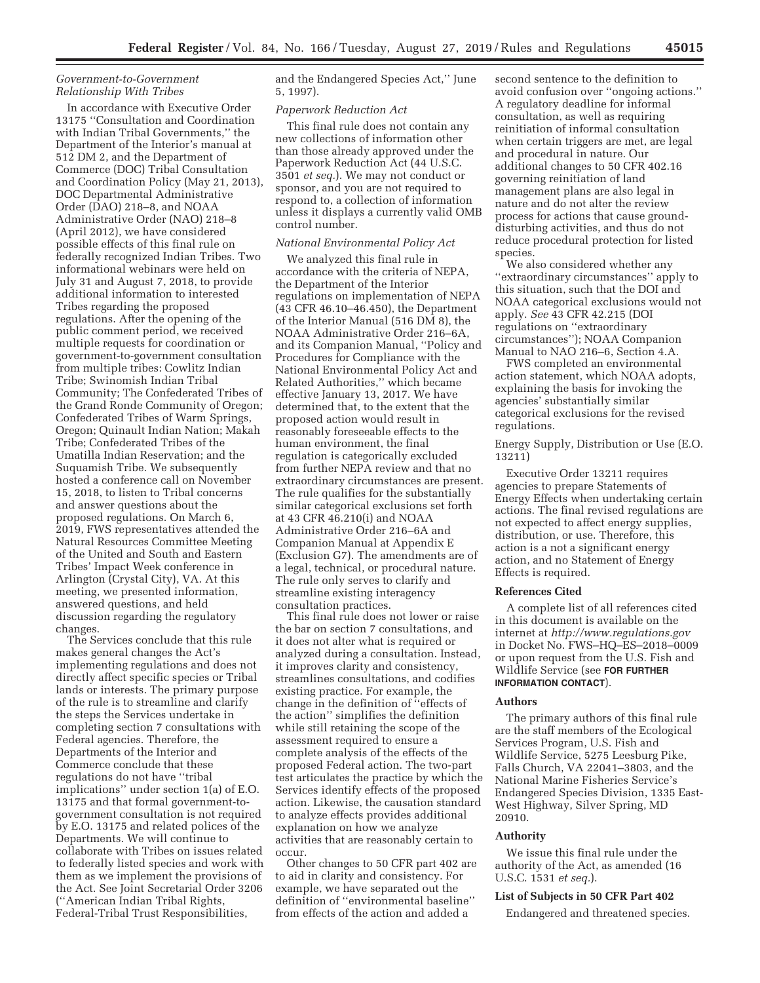## *Government-to-Government Relationship With Tribes*

In accordance with Executive Order 13175 ''Consultation and Coordination with Indian Tribal Governments,'' the Department of the Interior's manual at 512 DM 2, and the Department of Commerce (DOC) Tribal Consultation and Coordination Policy (May 21, 2013), DOC Departmental Administrative Order (DAO) 218–8, and NOAA Administrative Order (NAO) 218–8 (April 2012), we have considered possible effects of this final rule on federally recognized Indian Tribes. Two informational webinars were held on July 31 and August 7, 2018, to provide additional information to interested Tribes regarding the proposed regulations. After the opening of the public comment period, we received multiple requests for coordination or government-to-government consultation from multiple tribes: Cowlitz Indian Tribe; Swinomish Indian Tribal Community; The Confederated Tribes of the Grand Ronde Community of Oregon; Confederated Tribes of Warm Springs, Oregon; Quinault Indian Nation; Makah Tribe; Confederated Tribes of the Umatilla Indian Reservation; and the Suquamish Tribe. We subsequently hosted a conference call on November 15, 2018, to listen to Tribal concerns and answer questions about the proposed regulations. On March 6, 2019, FWS representatives attended the Natural Resources Committee Meeting of the United and South and Eastern Tribes' Impact Week conference in Arlington (Crystal City), VA. At this meeting, we presented information, answered questions, and held discussion regarding the regulatory changes.

The Services conclude that this rule makes general changes the Act's implementing regulations and does not directly affect specific species or Tribal lands or interests. The primary purpose of the rule is to streamline and clarify the steps the Services undertake in completing section 7 consultations with Federal agencies. Therefore, the Departments of the Interior and Commerce conclude that these regulations do not have ''tribal implications'' under section 1(a) of E.O. 13175 and that formal government-togovernment consultation is not required by E.O. 13175 and related polices of the Departments. We will continue to collaborate with Tribes on issues related to federally listed species and work with them as we implement the provisions of the Act. See Joint Secretarial Order 3206 (''American Indian Tribal Rights, Federal-Tribal Trust Responsibilities,

and the Endangered Species Act,'' June 5, 1997).

#### *Paperwork Reduction Act*

This final rule does not contain any new collections of information other than those already approved under the Paperwork Reduction Act (44 U.S.C. 3501 *et seq.*). We may not conduct or sponsor, and you are not required to respond to, a collection of information unless it displays a currently valid OMB control number.

# *National Environmental Policy Act*

We analyzed this final rule in accordance with the criteria of NEPA, the Department of the Interior regulations on implementation of NEPA (43 CFR 46.10–46.450), the Department of the Interior Manual (516 DM 8), the NOAA Administrative Order 216–6A, and its Companion Manual, ''Policy and Procedures for Compliance with the National Environmental Policy Act and Related Authorities,'' which became effective January 13, 2017. We have determined that, to the extent that the proposed action would result in reasonably foreseeable effects to the human environment, the final regulation is categorically excluded from further NEPA review and that no extraordinary circumstances are present. The rule qualifies for the substantially similar categorical exclusions set forth at 43 CFR 46.210(i) and NOAA Administrative Order 216–6A and Companion Manual at Appendix E (Exclusion G7). The amendments are of a legal, technical, or procedural nature. The rule only serves to clarify and streamline existing interagency consultation practices.

This final rule does not lower or raise the bar on section 7 consultations, and it does not alter what is required or analyzed during a consultation. Instead, it improves clarity and consistency, streamlines consultations, and codifies existing practice. For example, the change in the definition of ''effects of the action'' simplifies the definition while still retaining the scope of the assessment required to ensure a complete analysis of the effects of the proposed Federal action. The two-part test articulates the practice by which the Services identify effects of the proposed action. Likewise, the causation standard to analyze effects provides additional explanation on how we analyze activities that are reasonably certain to occur.

Other changes to 50 CFR part 402 are to aid in clarity and consistency. For example, we have separated out the definition of ''environmental baseline'' from effects of the action and added a

second sentence to the definition to avoid confusion over ''ongoing actions.'' A regulatory deadline for informal consultation, as well as requiring reinitiation of informal consultation when certain triggers are met, are legal and procedural in nature. Our additional changes to 50 CFR 402.16 governing reinitiation of land management plans are also legal in nature and do not alter the review process for actions that cause grounddisturbing activities, and thus do not reduce procedural protection for listed species.

We also considered whether any ''extraordinary circumstances'' apply to this situation, such that the DOI and NOAA categorical exclusions would not apply. *See* 43 CFR 42.215 (DOI regulations on ''extraordinary circumstances''); NOAA Companion Manual to NAO 216–6, Section 4.A.

FWS completed an environmental action statement, which NOAA adopts, explaining the basis for invoking the agencies' substantially similar categorical exclusions for the revised regulations.

Energy Supply, Distribution or Use (E.O. 13211)

Executive Order 13211 requires agencies to prepare Statements of Energy Effects when undertaking certain actions. The final revised regulations are not expected to affect energy supplies, distribution, or use. Therefore, this action is a not a significant energy action, and no Statement of Energy Effects is required.

## **References Cited**

A complete list of all references cited in this document is available on the internet at *http://www.regulations.gov*  in Docket No. FWS–HQ–ES–2018–0009 or upon request from the U.S. Fish and Wildlife Service (see **FOR FURTHER INFORMATION CONTACT**).

#### **Authors**

The primary authors of this final rule are the staff members of the Ecological Services Program, U.S. Fish and Wildlife Service, 5275 Leesburg Pike, Falls Church, VA 22041–3803, and the National Marine Fisheries Service's Endangered Species Division, 1335 East-West Highway, Silver Spring, MD 20910.

#### **Authority**

We issue this final rule under the authority of the Act, as amended (16 U.S.C. 1531 *et seq.*).

### **List of Subjects in 50 CFR Part 402**

Endangered and threatened species.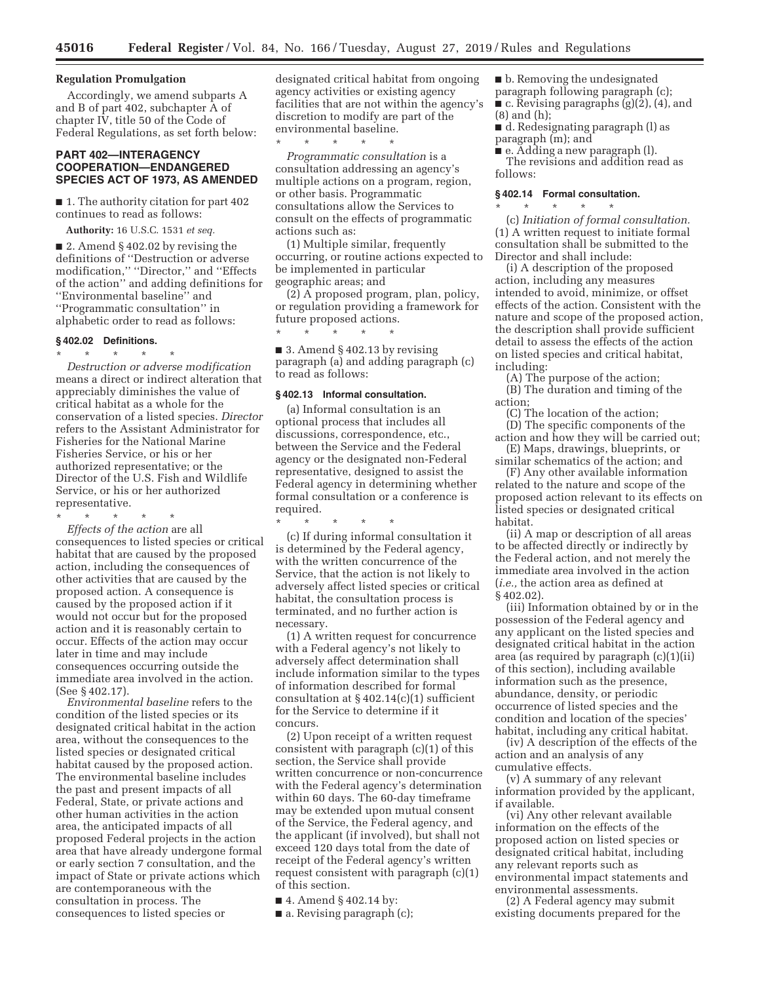#### **Regulation Promulgation**

Accordingly, we amend subparts A and B of part 402, subchapter A of chapter IV, title 50 of the Code of Federal Regulations, as set forth below:

## **PART 402—INTERAGENCY COOPERATION—ENDANGERED SPECIES ACT OF 1973, AS AMENDED**

■ 1. The authority citation for part 402 continues to read as follows:

**Authority:** 16 U.S.C. 1531 *et seq.* 

■ 2. Amend § 402.02 by revising the definitions of ''Destruction or adverse modification,'' ''Director,'' and ''Effects of the action'' and adding definitions for ''Environmental baseline'' and ''Programmatic consultation'' in alphabetic order to read as follows:

#### **§ 402.02 Definitions.**

\* \* \* \* \* *Destruction or adverse modification*  means a direct or indirect alteration that appreciably diminishes the value of critical habitat as a whole for the conservation of a listed species. *Director*  refers to the Assistant Administrator for Fisheries for the National Marine Fisheries Service, or his or her authorized representative; or the Director of the U.S. Fish and Wildlife Service, or his or her authorized representative.

\* \* \* \* \*

*Effects of the action* are all consequences to listed species or critical habitat that are caused by the proposed action, including the consequences of other activities that are caused by the proposed action. A consequence is caused by the proposed action if it would not occur but for the proposed action and it is reasonably certain to occur. Effects of the action may occur later in time and may include consequences occurring outside the immediate area involved in the action. (See § 402.17).

*Environmental baseline* refers to the condition of the listed species or its designated critical habitat in the action area, without the consequences to the listed species or designated critical habitat caused by the proposed action. The environmental baseline includes the past and present impacts of all Federal, State, or private actions and other human activities in the action area, the anticipated impacts of all proposed Federal projects in the action area that have already undergone formal or early section 7 consultation, and the impact of State or private actions which are contemporaneous with the consultation in process. The consequences to listed species or

designated critical habitat from ongoing agency activities or existing agency facilities that are not within the agency's discretion to modify are part of the environmental baseline.  $*$  \* \*

*Programmatic consultation* is a consultation addressing an agency's multiple actions on a program, region, or other basis. Programmatic consultations allow the Services to consult on the effects of programmatic actions such as:

(1) Multiple similar, frequently occurring, or routine actions expected to be implemented in particular geographic areas; and

(2) A proposed program, plan, policy, or regulation providing a framework for future proposed actions.

■ 3. Amend § 402.13 by revising paragraph (a) and adding paragraph (c) to read as follows:

### **§ 402.13 Informal consultation.**

\* \* \* \* \*

(a) Informal consultation is an optional process that includes all discussions, correspondence, etc., between the Service and the Federal agency or the designated non-Federal representative, designed to assist the Federal agency in determining whether formal consultation or a conference is required.

\* \* \* \* \*

(c) If during informal consultation it is determined by the Federal agency, with the written concurrence of the Service, that the action is not likely to adversely affect listed species or critical habitat, the consultation process is terminated, and no further action is necessary.

(1) A written request for concurrence with a Federal agency's not likely to adversely affect determination shall include information similar to the types of information described for formal consultation at § 402.14(c)(1) sufficient for the Service to determine if it concurs.

(2) Upon receipt of a written request consistent with paragraph (c)(1) of this section, the Service shall provide written concurrence or non-concurrence with the Federal agency's determination within 60 days. The 60-day timeframe may be extended upon mutual consent of the Service, the Federal agency, and the applicant (if involved), but shall not exceed 120 days total from the date of receipt of the Federal agency's written request consistent with paragraph (c)(1) of this section.

■ 4. Amend § 402.14 by:

■ b. Removing the undesignated paragraph following paragraph (c);  $\blacksquare$  c. Revising paragraphs (g)(2), (4), and (8) and (h);

■ d. Redesignating paragraph (l) as paragraph (m); and

■ e. Adding a new paragraph (l). The revisions and addition read as follows:

### **§ 402.14 Formal consultation.**

\* \* \* \* \* (c) *Initiation of formal consultation.*  (1) A written request to initiate formal consultation shall be submitted to the Director and shall include:

(i) A description of the proposed action, including any measures intended to avoid, minimize, or offset effects of the action. Consistent with the nature and scope of the proposed action, the description shall provide sufficient detail to assess the effects of the action on listed species and critical habitat, including:

(A) The purpose of the action; (B) The duration and timing of the action;

(C) The location of the action; (D) The specific components of the action and how they will be carried out;

(E) Maps, drawings, blueprints, or similar schematics of the action; and

(F) Any other available information related to the nature and scope of the proposed action relevant to its effects on listed species or designated critical habitat.

(ii) A map or description of all areas to be affected directly or indirectly by the Federal action, and not merely the immediate area involved in the action (*i.e.,* the action area as defined at § 402.02).

(iii) Information obtained by or in the possession of the Federal agency and any applicant on the listed species and designated critical habitat in the action area (as required by paragraph (c)(1)(ii) of this section), including available information such as the presence, abundance, density, or periodic occurrence of listed species and the condition and location of the species' habitat, including any critical habitat.

(iv) A description of the effects of the action and an analysis of any cumulative effects.

(v) A summary of any relevant information provided by the applicant, if available.

(vi) Any other relevant available information on the effects of the proposed action on listed species or designated critical habitat, including any relevant reports such as environmental impact statements and environmental assessments.

(2) A Federal agency may submit existing documents prepared for the

 $\blacksquare$  a. Revising paragraph (c);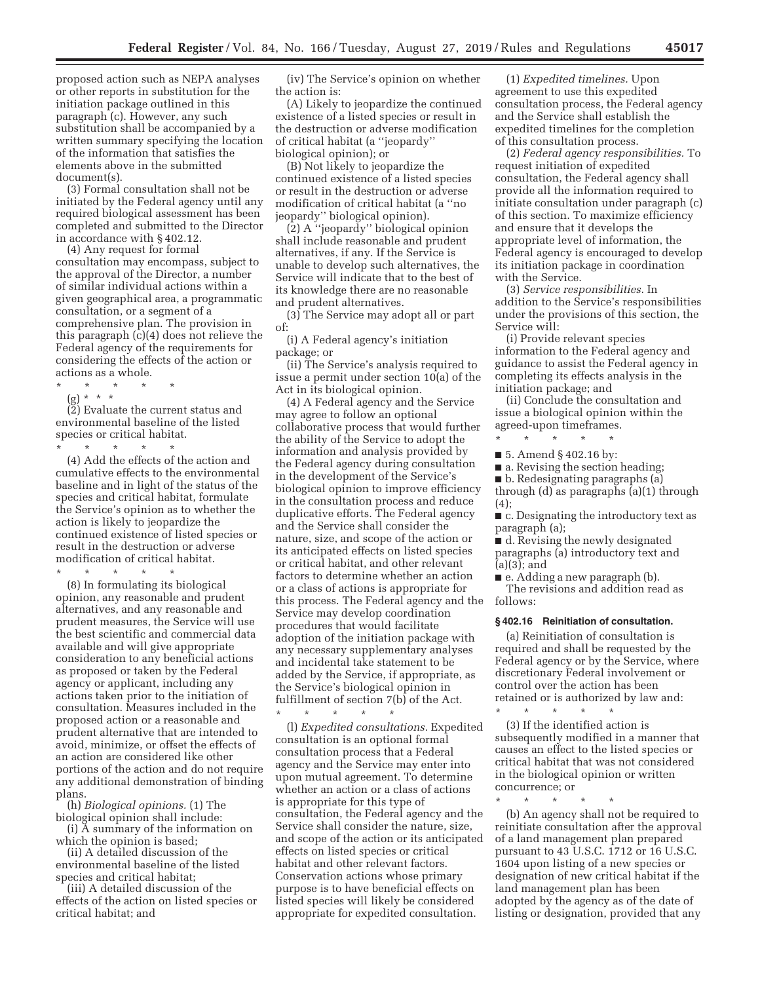proposed action such as NEPA analyses or other reports in substitution for the initiation package outlined in this paragraph (c). However, any such substitution shall be accompanied by a written summary specifying the location of the information that satisfies the elements above in the submitted document(s).

(3) Formal consultation shall not be initiated by the Federal agency until any required biological assessment has been completed and submitted to the Director in accordance with § 402.12.

(4) Any request for formal consultation may encompass, subject to the approval of the Director, a number of similar individual actions within a given geographical area, a programmatic consultation, or a segment of a comprehensive plan. The provision in this paragraph (c)(4) does not relieve the Federal agency of the requirements for considering the effects of the action or actions as a whole.

\* \* \* \* \*

(g) \* \* \*

(2) Evaluate the current status and environmental baseline of the listed species or critical habitat.

\* \* \* \* \* (4) Add the effects of the action and cumulative effects to the environmental baseline and in light of the status of the species and critical habitat, formulate the Service's opinion as to whether the action is likely to jeopardize the continued existence of listed species or result in the destruction or adverse modification of critical habitat.

\* \* \* \* \*

(8) In formulating its biological opinion, any reasonable and prudent alternatives, and any reasonable and prudent measures, the Service will use the best scientific and commercial data available and will give appropriate consideration to any beneficial actions as proposed or taken by the Federal agency or applicant, including any actions taken prior to the initiation of consultation. Measures included in the proposed action or a reasonable and prudent alternative that are intended to avoid, minimize, or offset the effects of an action are considered like other portions of the action and do not require any additional demonstration of binding plans.

(h) *Biological opinions.* (1) The biological opinion shall include:

(i) A summary of the information on which the opinion is based;

(ii) A detailed discussion of the environmental baseline of the listed species and critical habitat;

(iii) A detailed discussion of the effects of the action on listed species or critical habitat; and

(iv) The Service's opinion on whether the action is:

(A) Likely to jeopardize the continued existence of a listed species or result in the destruction or adverse modification of critical habitat (a ''jeopardy'' biological opinion); or

(B) Not likely to jeopardize the continued existence of a listed species or result in the destruction or adverse modification of critical habitat (a ''no jeopardy'' biological opinion).

(2) A ''jeopardy'' biological opinion shall include reasonable and prudent alternatives, if any. If the Service is unable to develop such alternatives, the Service will indicate that to the best of its knowledge there are no reasonable and prudent alternatives.

(3) The Service may adopt all or part of:

(i) A Federal agency's initiation package; or

(ii) The Service's analysis required to issue a permit under section 10(a) of the Act in its biological opinion.

(4) A Federal agency and the Service may agree to follow an optional collaborative process that would further the ability of the Service to adopt the information and analysis provided by the Federal agency during consultation in the development of the Service's biological opinion to improve efficiency in the consultation process and reduce duplicative efforts. The Federal agency and the Service shall consider the nature, size, and scope of the action or its anticipated effects on listed species or critical habitat, and other relevant factors to determine whether an action or a class of actions is appropriate for this process. The Federal agency and the Service may develop coordination procedures that would facilitate adoption of the initiation package with any necessary supplementary analyses and incidental take statement to be added by the Service, if appropriate, as the Service's biological opinion in fulfillment of section 7(b) of the Act. \* \* \* \* \*

(l) *Expedited consultations.* Expedited consultation is an optional formal consultation process that a Federal agency and the Service may enter into upon mutual agreement. To determine whether an action or a class of actions is appropriate for this type of consultation, the Federal agency and the Service shall consider the nature, size, and scope of the action or its anticipated effects on listed species or critical habitat and other relevant factors. Conservation actions whose primary purpose is to have beneficial effects on listed species will likely be considered appropriate for expedited consultation.

(1) *Expedited timelines.* Upon agreement to use this expedited consultation process, the Federal agency and the Service shall establish the expedited timelines for the completion of this consultation process.

(2) *Federal agency responsibilities.* To request initiation of expedited consultation, the Federal agency shall provide all the information required to initiate consultation under paragraph (c) of this section. To maximize efficiency and ensure that it develops the appropriate level of information, the Federal agency is encouraged to develop its initiation package in coordination with the Service.

(3) *Service responsibilities.* In addition to the Service's responsibilities under the provisions of this section, the Service will:

(i) Provide relevant species information to the Federal agency and guidance to assist the Federal agency in completing its effects analysis in the initiation package; and

(ii) Conclude the consultation and issue a biological opinion within the agreed-upon timeframes.

\* \* \* \* \* ■ 5. Amend § 402.16 by:

■ a. Revising the section heading;

■ b. Redesignating paragraphs (a)

through (d) as paragraphs (a)(1) through (4);

■ c. Designating the introductory text as paragraph (a);

■ d. Revising the newly designated paragraphs (a) introductory text and (a)(3); and

■ e. Adding a new paragraph (b). The revisions and addition read as follows:

### **§ 402.16 Reinitiation of consultation.**

(a) Reinitiation of consultation is required and shall be requested by the Federal agency or by the Service, where discretionary Federal involvement or control over the action has been retained or is authorized by law and:

\* \* \* \* \* (3) If the identified action is subsequently modified in a manner that causes an effect to the listed species or critical habitat that was not considered in the biological opinion or written concurrence; or

\* \* \* \* \* (b) An agency shall not be required to reinitiate consultation after the approval of a land management plan prepared pursuant to 43 U.S.C. 1712 or 16 U.S.C. 1604 upon listing of a new species or designation of new critical habitat if the land management plan has been adopted by the agency as of the date of listing or designation, provided that any